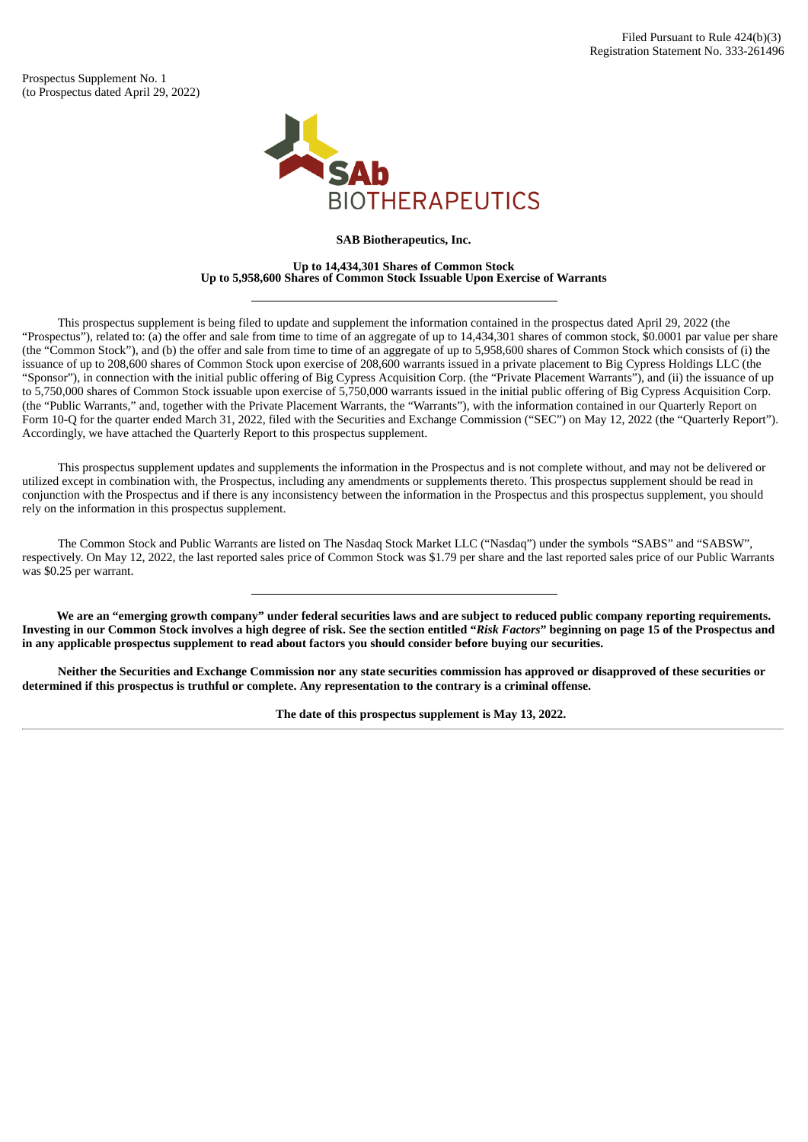Prospectus Supplement No. 1 (to Prospectus dated April 29, 2022)



**SAB Biotherapeutics, Inc.**

**Up to 14,434,301 Shares of Common Stock Up to 5,958,600 Shares of Common Stock Issuable Upon Exercise of Warrants**

This prospectus supplement is being filed to update and supplement the information contained in the prospectus dated April 29, 2022 (the "Prospectus"), related to: (a) the offer and sale from time to time of an aggregate of up to 14,434,301 shares of common stock, \$0.0001 par value per share (the "Common Stock"), and (b) the offer and sale from time to time of an aggregate of up to 5,958,600 shares of Common Stock which consists of (i) the issuance of up to 208,600 shares of Common Stock upon exercise of 208,600 warrants issued in a private placement to Big Cypress Holdings LLC (the "Sponsor"), in connection with the initial public offering of Big Cypress Acquisition Corp. (the "Private Placement Warrants"), and (ii) the issuance of up to 5,750,000 shares of Common Stock issuable upon exercise of 5,750,000 warrants issued in the initial public offering of Big Cypress Acquisition Corp. (the "Public Warrants," and, together with the Private Placement Warrants, the "Warrants"), with the information contained in our Quarterly Report on Form 10-Q for the quarter ended March 31, 2022, filed with the Securities and Exchange Commission ("SEC") on May 12, 2022 (the "Quarterly Report"). Accordingly, we have attached the Quarterly Report to this prospectus supplement.

This prospectus supplement updates and supplements the information in the Prospectus and is not complete without, and may not be delivered or utilized except in combination with, the Prospectus, including any amendments or supplements thereto. This prospectus supplement should be read in conjunction with the Prospectus and if there is any inconsistency between the information in the Prospectus and this prospectus supplement, you should rely on the information in this prospectus supplement.

The Common Stock and Public Warrants are listed on The Nasdaq Stock Market LLC ("Nasdaq") under the symbols "SABS" and "SABSW", respectively. On May 12, 2022, the last reported sales price of Common Stock was \$1.79 per share and the last reported sales price of our Public Warrants was \$0.25 per warrant.

We are an "emerging growth company" under federal securities laws and are subject to reduced public company reporting requirements. Investing in our Common Stock involves a high degree of risk. See the section entitled "Risk Factors" beginning on page 15 of the Prospectus and **in any applicable prospectus supplement to read about factors you should consider before buying our securities.**

Neither the Securities and Exchange Commission nor any state securities commission has approved or disapproved of these securities or determined if this prospectus is truthful or complete. Any representation to the contrary is a criminal offense.

**The date of this prospectus supplement is May 13, 2022.**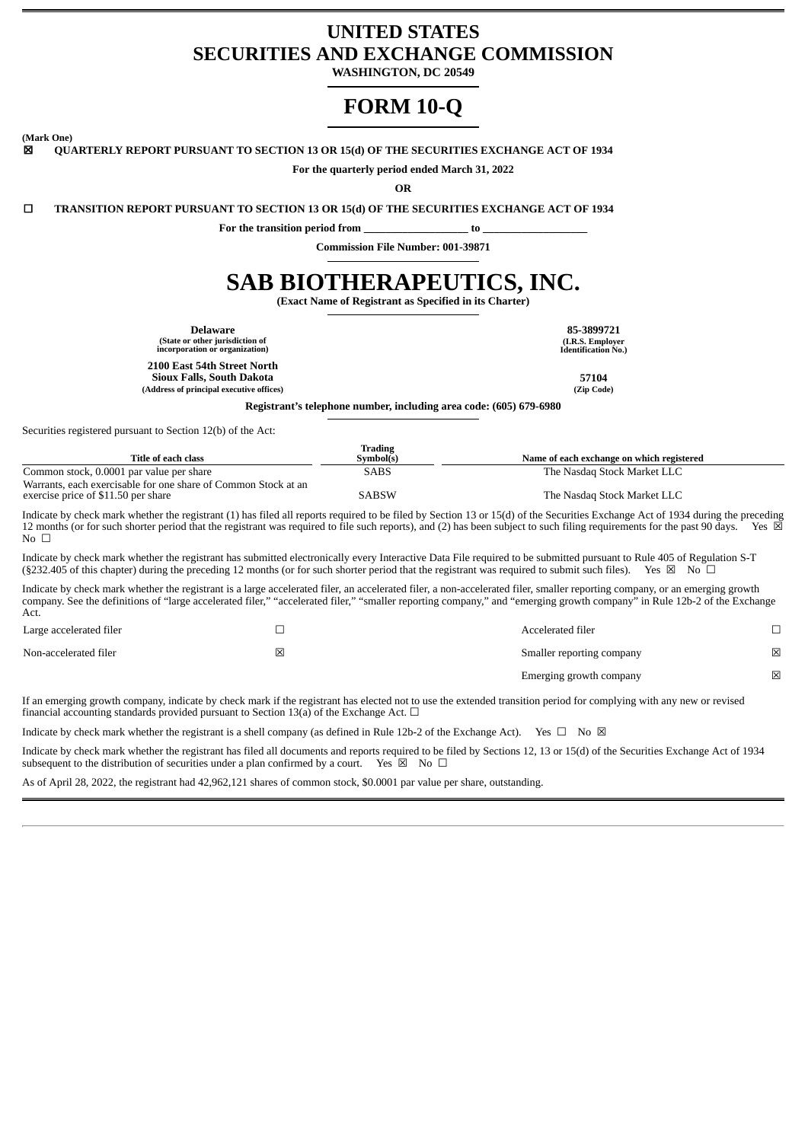# **UNITED STATES SECURITIES AND EXCHANGE COMMISSION**

**WASHINGTON, DC 20549**

# **FORM 10-Q**

**(Mark One)**

☒ **QUARTERLY REPORT PURSUANT TO SECTION 13 OR 15(d) OF THE SECURITIES EXCHANGE ACT OF 1934**

**For the quarterly period ended March 31, 2022**

**OR**

☐ **TRANSITION REPORT PURSUANT TO SECTION 13 OR 15(d) OF THE SECURITIES EXCHANGE ACT OF 1934**

For the transition period from \_\_\_\_\_\_\_\_\_\_\_\_\_\_\_\_\_\_\_\_\_\_\_\_\_\_ to

**Commission File Number: 001-39871**

# **SAB BIOTHERAPEUTICS, INC.**

**(Exact Name of Registrant as Specified in its Charter)**

**(I.R.S. Employer Identification No.)**

**Delaware 85-3899721 (State or other jurisdiction of incorporation or organization)**

**2100 East 54th Street North**

**Sioux Falls, South Dakota 57104 (Address of principal executive offices) (Zip Code)**

**Registrant's telephone number, including area code: (605) 679-6980**

Securities registered pursuant to Section 12(b) of the Act:

|                                                                | Trading   |                                           |
|----------------------------------------------------------------|-----------|-------------------------------------------|
| Title of each class                                            | Symbol(s) | Name of each exchange on which registered |
| Common stock, 0.0001 par value per share                       | SABS      | The Nasdag Stock Market LLC               |
| Warrants, each exercisable for one share of Common Stock at an |           |                                           |
| exercise price of \$11.50 per share                            | SABSW     | The Nasdag Stock Market LLC               |

Indicate by check mark whether the registrant (1) has filed all reports required to be filed by Section 13 or 15(d) of the Securities Exchange Act of 1934 during the preceding 12 months (or for such shorter period that the registrant was required to file such reports), and (2) has been subject to such filing requirements for the past 90 days. Yes  $\boxtimes$  $No \square$ 

Indicate by check mark whether the registrant has submitted electronically every Interactive Data File required to be submitted pursuant to Rule 405 of Regulation S-T (§232.405 of this chapter) during the preceding 12 mon (§232.405 of this chapter) during the preceding 12 months (or for such shorter period that the registrant was required to submit such files).

Indicate by check mark whether the registrant is a large accelerated filer, an accelerated filer, a non-accelerated filer, smaller reporting company, or an emerging growth company. See the definitions of "large accelerated filer," "accelerated filer," "smaller reporting company," and "emerging growth company" in Rule 12b-2 of the Exchange Act.

| Large accelerated filer |   | Accelerated filer         |             |
|-------------------------|---|---------------------------|-------------|
| Non-accelerated filer   | ⊠ | Smaller reporting company | 図           |
|                         |   | Emerging growth company   | $\boxtimes$ |

If an emerging growth company, indicate by check mark if the registrant has elected not to use the extended transition period for complying with any new or revised financial accounting standards provided pursuant to Section 13(a) of the Exchange Act.  $\Box$ 

Indicate by check mark whether the registrant is a shell company (as defined in Rule 12b-2 of the Exchange Act). Yes  $\Box$  No  $\boxtimes$ 

Indicate by check mark whether the registrant has filed all documents and reports required to be filed by Sections 12, 13 or 15(d) of the Securities Exchange Act of 1934 subsequent to the distribution of securities under a plan confirmed by a court. Yes  $\boxtimes$  No  $\Box$ 

As of April 28, 2022, the registrant had 42,962,121 shares of common stock, \$0.0001 par value per share, outstanding.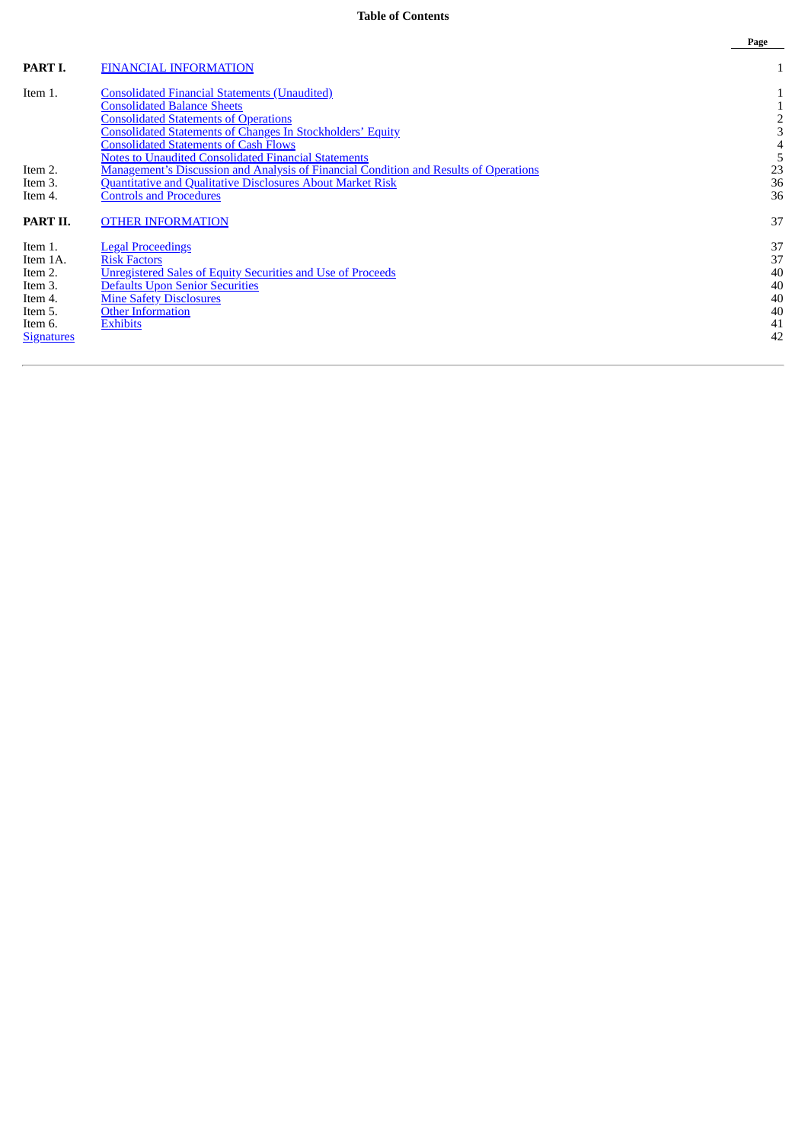# **Table of Contents**

|                   |                                                                                              | Page |
|-------------------|----------------------------------------------------------------------------------------------|------|
| PART I.           | <b>FINANCIAL INFORMATION</b>                                                                 |      |
| Item 1.           | <b>Consolidated Financial Statements (Unaudited)</b>                                         |      |
|                   | <b>Consolidated Balance Sheets</b>                                                           |      |
|                   | <b>Consolidated Statements of Operations</b>                                                 |      |
|                   | <b>Consolidated Statements of Changes In Stockholders' Equity</b>                            |      |
|                   | <b>Consolidated Statements of Cash Flows</b>                                                 |      |
|                   | <b>Notes to Unaudited Consolidated Financial Statements</b>                                  |      |
| Item 2.           | <b>Management's Discussion and Analysis of Financial Condition and Results of Operations</b> | 23   |
| Item 3.           | <b>Quantitative and Qualitative Disclosures About Market Risk</b>                            | 36   |
| Item 4.           | <b>Controls and Procedures</b>                                                               | 36   |
| PART II.          | <b>OTHER INFORMATION</b>                                                                     | 37   |
| Item 1.           | <b>Legal Proceedings</b>                                                                     | 37   |
| Item 1A.          | <b>Risk Factors</b>                                                                          | 37   |
| Item 2.           | Unregistered Sales of Equity Securities and Use of Proceeds                                  | 40   |
| Item 3.           | <b>Defaults Upon Senior Securities</b>                                                       | 40   |
| Item 4.           | <b>Mine Safety Disclosures</b>                                                               | 40   |
| Item 5.           | <b>Other Information</b>                                                                     | 40   |
| Item 6.           | <b>Exhibits</b>                                                                              | 41   |
| <b>Signatures</b> |                                                                                              | 42   |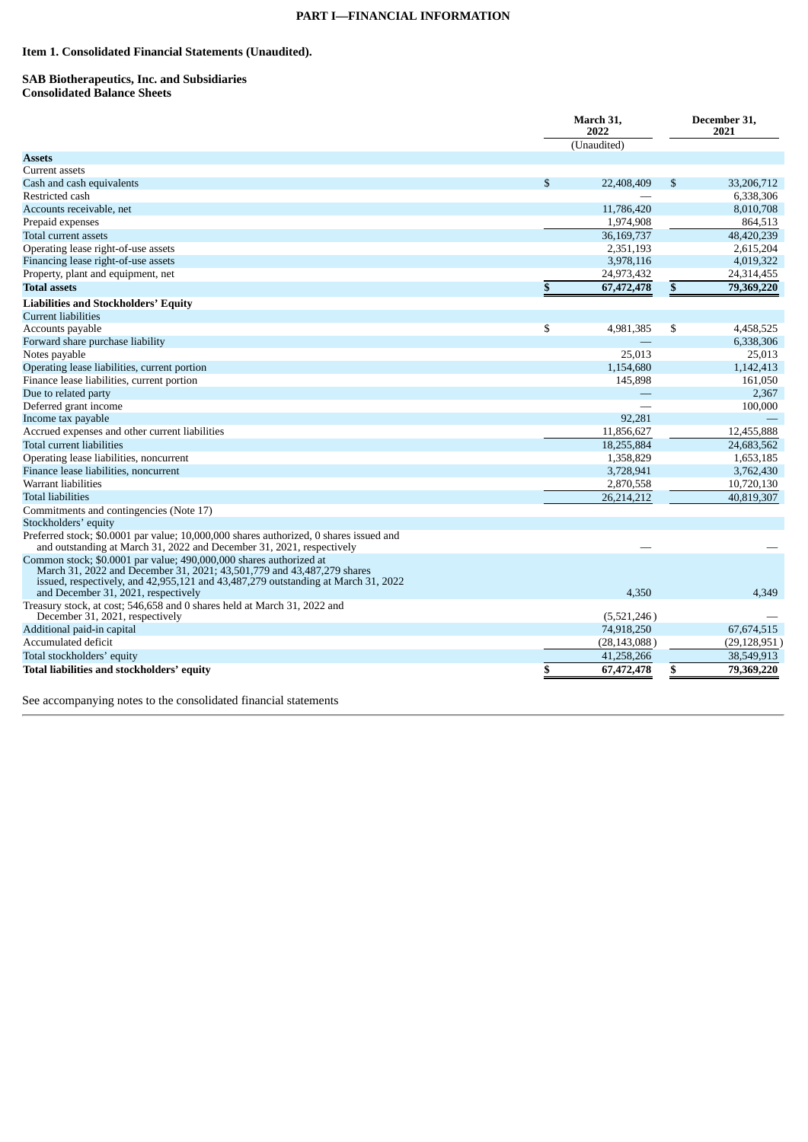# **PART I—FINANCIAL INFORMATION**

# <span id="page-3-1"></span><span id="page-3-0"></span>**Item 1. Consolidated Financial Statements (Unaudited).**

#### <span id="page-3-2"></span>**SAB Biotherapeutics, Inc. and Subsidiaries Consolidated Balance Sheets**

|                                                                                                                                                                                                                                                                          |                           | March 31,<br>2022 |    | December 31,<br>2021 |  |
|--------------------------------------------------------------------------------------------------------------------------------------------------------------------------------------------------------------------------------------------------------------------------|---------------------------|-------------------|----|----------------------|--|
|                                                                                                                                                                                                                                                                          |                           | (Unaudited)       |    |                      |  |
| <b>Assets</b>                                                                                                                                                                                                                                                            |                           |                   |    |                      |  |
| Current assets                                                                                                                                                                                                                                                           |                           |                   |    |                      |  |
| Cash and cash equivalents                                                                                                                                                                                                                                                | $\mathfrak{s}$            | 22,408,409        | \$ | 33,206,712           |  |
| Restricted cash                                                                                                                                                                                                                                                          |                           |                   |    | 6,338,306            |  |
| Accounts receivable, net                                                                                                                                                                                                                                                 |                           | 11,786,420        |    | 8,010,708            |  |
| Prepaid expenses                                                                                                                                                                                                                                                         |                           | 1,974,908         |    | 864,513              |  |
| Total current assets                                                                                                                                                                                                                                                     |                           | 36,169,737        |    | 48,420,239           |  |
| Operating lease right-of-use assets                                                                                                                                                                                                                                      |                           | 2,351,193         |    | 2,615,204            |  |
| Financing lease right-of-use assets                                                                                                                                                                                                                                      |                           | 3,978,116         |    | 4,019,322            |  |
| Property, plant and equipment, net                                                                                                                                                                                                                                       |                           | 24,973,432        |    | 24,314,455           |  |
| <b>Total assets</b>                                                                                                                                                                                                                                                      | $\boldsymbol{\mathsf{s}}$ | 67,472,478        | \$ | 79,369,220           |  |
| <b>Liabilities and Stockholders' Equity</b>                                                                                                                                                                                                                              |                           |                   |    |                      |  |
| <b>Current liabilities</b>                                                                                                                                                                                                                                               |                           |                   |    |                      |  |
| Accounts payable                                                                                                                                                                                                                                                         | \$                        | 4,981,385         | \$ | 4,458,525            |  |
| Forward share purchase liability                                                                                                                                                                                                                                         |                           |                   |    | 6,338,306            |  |
| Notes payable                                                                                                                                                                                                                                                            |                           | 25,013            |    | 25,013               |  |
| Operating lease liabilities, current portion                                                                                                                                                                                                                             |                           | 1,154,680         |    | 1,142,413            |  |
| Finance lease liabilities, current portion                                                                                                                                                                                                                               |                           | 145,898           |    | 161,050              |  |
| Due to related party                                                                                                                                                                                                                                                     |                           |                   |    | 2,367                |  |
| Deferred grant income                                                                                                                                                                                                                                                    |                           |                   |    | 100,000              |  |
| Income tax payable                                                                                                                                                                                                                                                       |                           | 92,281            |    |                      |  |
| Accrued expenses and other current liabilities                                                                                                                                                                                                                           |                           | 11,856,627        |    | 12,455,888           |  |
| Total current liabilities                                                                                                                                                                                                                                                |                           | 18,255,884        |    | 24,683,562           |  |
| Operating lease liabilities, noncurrent                                                                                                                                                                                                                                  |                           | 1,358,829         |    | 1,653,185            |  |
| Finance lease liabilities, noncurrent                                                                                                                                                                                                                                    |                           | 3,728,941         |    | 3,762,430            |  |
| Warrant liabilities                                                                                                                                                                                                                                                      |                           | 2,870,558         |    | 10,720,130           |  |
| <b>Total liabilities</b>                                                                                                                                                                                                                                                 |                           | 26,214,212        |    | 40,819,307           |  |
| Commitments and contingencies (Note 17)                                                                                                                                                                                                                                  |                           |                   |    |                      |  |
| Stockholders' equity                                                                                                                                                                                                                                                     |                           |                   |    |                      |  |
| Preferred stock; \$0.0001 par value; 10,000,000 shares authorized, 0 shares issued and<br>and outstanding at March 31, 2022 and December 31, 2021, respectively                                                                                                          |                           |                   |    |                      |  |
| Common stock; \$0.0001 par value; 490,000,000 shares authorized at<br>March 31, 2022 and December 31, 2021; 43,501,779 and 43,487,279 shares<br>issued, respectively, and 42,955,121 and 43,487,279 outstanding at March 31, 2022<br>and December 31, 2021, respectively |                           | 4.350             |    | 4.349                |  |
| Treasury stock, at cost; 546,658 and 0 shares held at March 31, 2022 and<br>December 31, 2021, respectively                                                                                                                                                              |                           | (5,521,246)       |    |                      |  |
| Additional paid-in capital                                                                                                                                                                                                                                               |                           | 74,918,250        |    | 67,674,515           |  |
| Accumulated deficit                                                                                                                                                                                                                                                      |                           | (28, 143, 088)    |    | (29, 128, 951)       |  |
| Total stockholders' equity                                                                                                                                                                                                                                               |                           | 41,258,266        |    | 38,549,913           |  |
| Total liabilities and stockholders' equity                                                                                                                                                                                                                               | \$                        | 67,472,478        | \$ | 79,369,220           |  |

See accompanying notes to the consolidated financial statements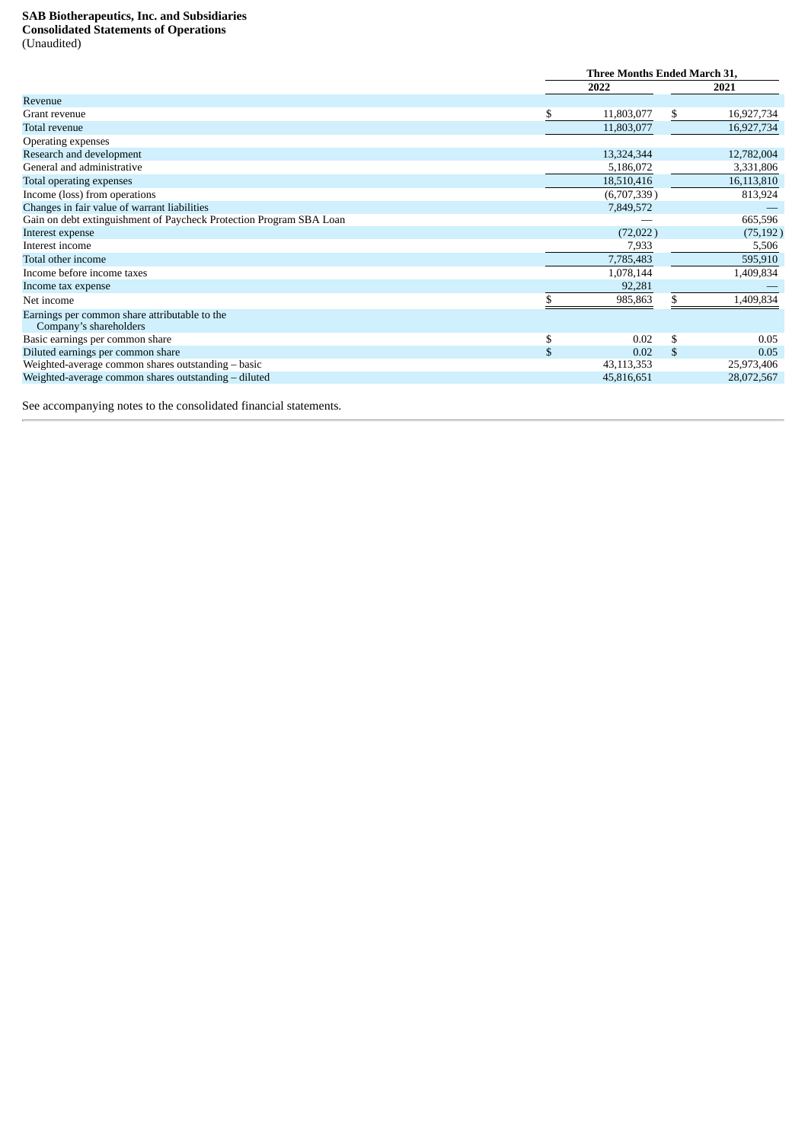# <span id="page-4-0"></span>**SAB Biotherapeutics, Inc. and Subsidiaries Consolidated Statements of Operations**

|  | (Unaudited) |
|--|-------------|
|  |             |

|                                                                         |    | <b>Three Months Ended March 31.</b> |              |            |  |  |
|-------------------------------------------------------------------------|----|-------------------------------------|--------------|------------|--|--|
|                                                                         |    | 2022                                |              | 2021       |  |  |
| Revenue                                                                 |    |                                     |              |            |  |  |
| Grant revenue                                                           | \$ | 11,803,077                          | S.           | 16,927,734 |  |  |
| Total revenue                                                           |    | 11,803,077                          |              | 16,927,734 |  |  |
| <b>Operating expenses</b>                                               |    |                                     |              |            |  |  |
| Research and development                                                |    | 13,324,344                          |              | 12,782,004 |  |  |
| General and administrative                                              |    | 5,186,072                           |              | 3,331,806  |  |  |
| Total operating expenses                                                |    | 18,510,416                          |              | 16,113,810 |  |  |
| Income (loss) from operations                                           |    | (6,707,339)                         |              | 813,924    |  |  |
| Changes in fair value of warrant liabilities                            |    | 7,849,572                           |              |            |  |  |
| Gain on debt extinguishment of Paycheck Protection Program SBA Loan     |    |                                     |              | 665,596    |  |  |
| Interest expense                                                        |    | (72,022)                            |              | (75, 192)  |  |  |
| Interest income                                                         |    | 7,933                               |              | 5,506      |  |  |
| Total other income                                                      |    | 7,785,483                           |              | 595,910    |  |  |
| Income before income taxes                                              |    | 1,078,144                           |              | 1,409,834  |  |  |
| Income tax expense                                                      |    | 92,281                              |              |            |  |  |
| Net income                                                              |    | 985,863                             |              | 1,409,834  |  |  |
| Earnings per common share attributable to the<br>Company's shareholders |    |                                     |              |            |  |  |
| Basic earnings per common share                                         | \$ | 0.02                                | \$           | 0.05       |  |  |
| Diluted earnings per common share                                       | \$ | 0.02                                | $\mathbb{S}$ | 0.05       |  |  |
| Weighted-average common shares outstanding – basic                      |    | 43,113,353                          |              | 25,973,406 |  |  |
| Weighted-average common shares outstanding - diluted                    |    | 45,816,651                          |              | 28,072,567 |  |  |
|                                                                         |    |                                     |              |            |  |  |

See accompanying notes to the consolidated financial statements.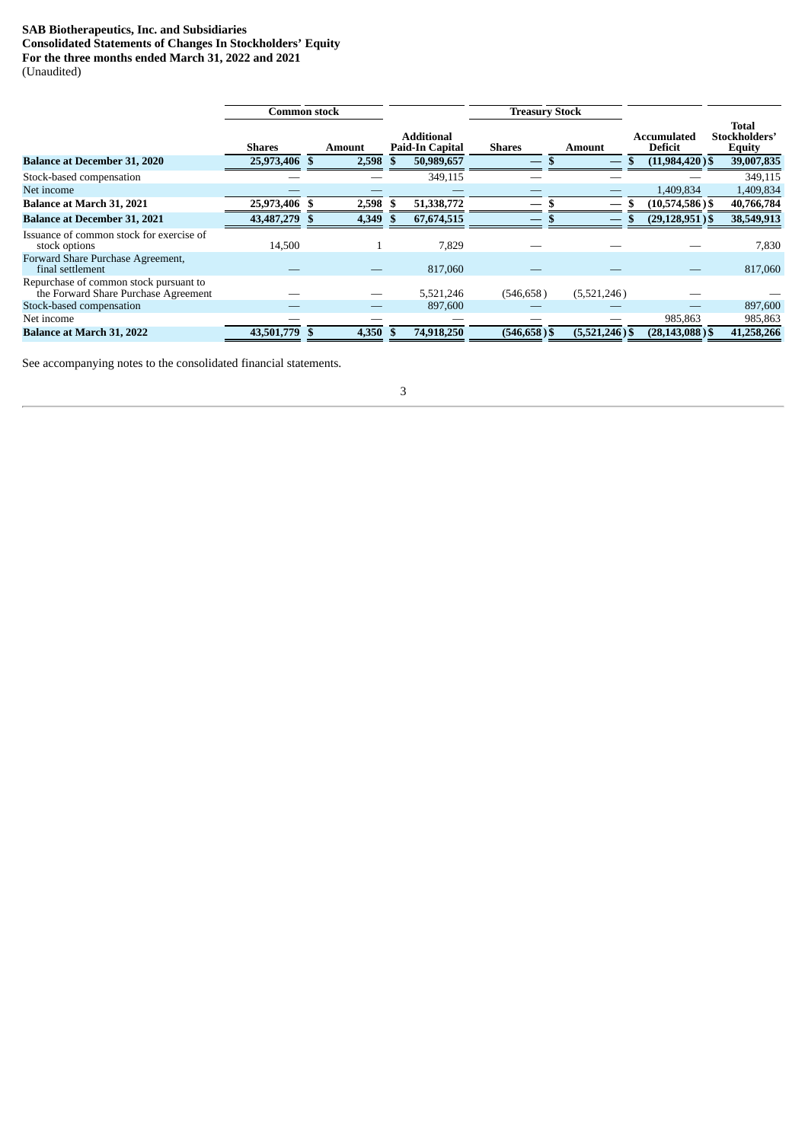# <span id="page-5-0"></span>**SAB Biotherapeutics, Inc. and Subsidiaries Consolidated Statements of Changes In Stockholders' Equity For the three months ended March 31, 2022 and 2021** (Unaudited)

**Common stock Treasury Stock Shares Amount**<br>25,973,406 **\$** 2,598 **Additional Paid-In Capital Shares Amount**<br> **S** 50,989,657 **Amount Accumulated** Deficit<br>(11,984,420) **Total Stockholders' Equity**<br>39,007,835 **Balance at December 31, 2020 25,973,406 \$ 2,598 \$ 50,989,657 — \$ \$ \$ \$ \$**  $S$ tock-based compensation — — — 349,115 — — — — — — — — — — — 349,115 — — — — — 349,115 — — — 349,115 — — — — 349,115 — — — — 349,115 — — — — 349,115 — — — — — — 349,115 — — — — — — 349,115 — — — — — 349,115 — — — — — — Net income  $\qquad \qquad \qquad \qquad \qquad \qquad \qquad \qquad \qquad \qquad \qquad \qquad \qquad \qquad 1,409,834$   $\qquad \qquad 1,409,834$ **Balance at March 31, 2021 25,973,406 \$ 2,598 \$ 51,338,772 — \$ — \$ (10,574,586 ) \$ 40,766,784 Balance at December 31, 2021 43,487,279 \$ 4,349 \$ 67,674,515 — \$ — \$ (29,128,951 ) \$ 38,549,913** Issuance of common stock for exercise of stock options and the stock options to the stock options and the stock options are the stock options and the stock of  $14,500$  and the stock of  $14,500$  and the stock options are the stock of  $14,500$  and the stock of  $14,$ Forward Share Purchase Agreement,  $f_{\text{final}}$  settlement and  $f_{\text{real}}$  and  $f_{\text{real}}$  and  $f_{\text{real}}$  and  $f_{\text{real}}$  and  $f_{\text{real}}$  and  $f_{\text{real}}$  and  $f_{\text{real}}$  and  $f_{\text{real}}$  and  $f_{\text{real}}$  and  $f_{\text{real}}$  and  $f_{\text{real}}$  and  $f_{\text{real}}$  and  $f_{\text{real}}$  and  $f_{\text{real}}$  and Repurchase of common stock pursuant to the Forward Share Purchase Agreement — — — 5,521,246 (546,658) (5,521,246) — — 897,600<br>ck-based compensation — — 897,600 — — 897,600 Stock-based compensation — — — 897,600 Net income — — — — — 985,863 985,863 **Balance at March 31, 2022 43,501,779 \$ 4,350 \$ 74,918,250 (546,658 ) \$ (5,521,246 ) \$ (28,143,088 ) \$ 41,258,266**

See accompanying notes to the consolidated financial statements.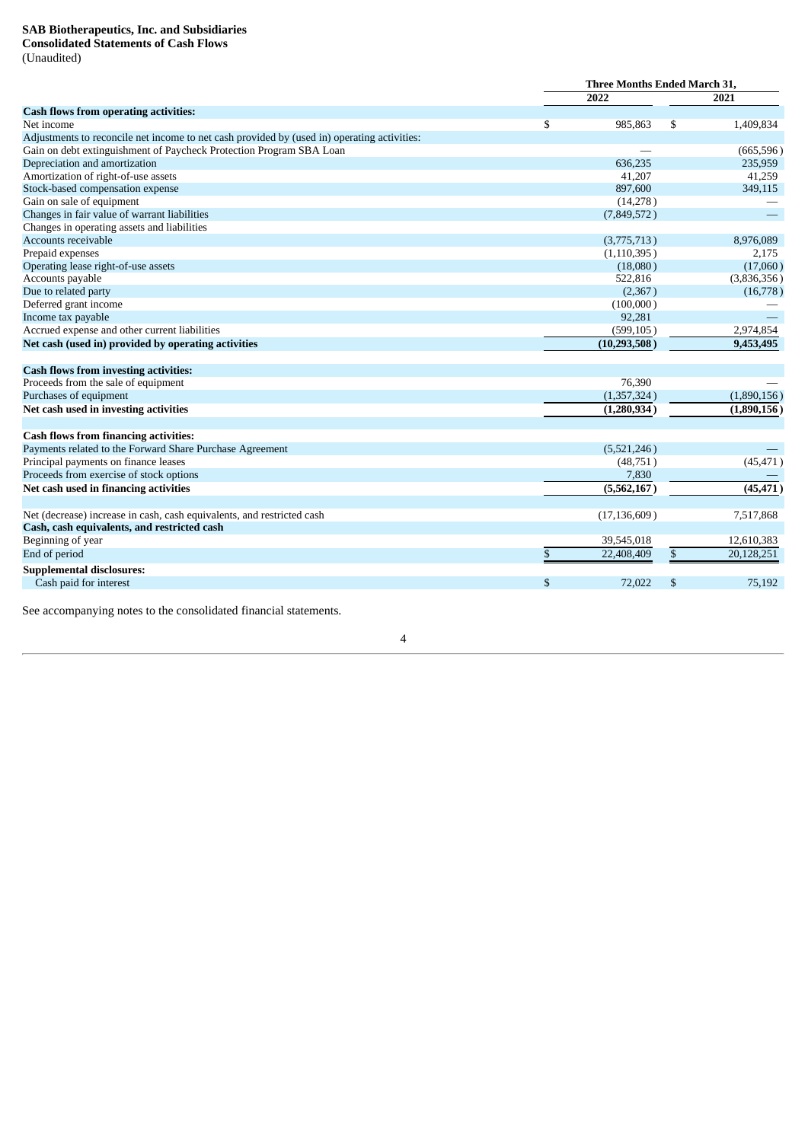# <span id="page-6-0"></span>**SAB Biotherapeutics, Inc. and Subsidiaries Consolidated Statements of Cash Flows**

(Unaudited)

|                                                                                             | Three Months Ended March 31, |                |    |             |
|---------------------------------------------------------------------------------------------|------------------------------|----------------|----|-------------|
|                                                                                             |                              | 2022           |    | 2021        |
| Cash flows from operating activities:                                                       |                              |                |    |             |
| Net income                                                                                  | \$                           | 985,863        | \$ | 1,409,834   |
| Adjustments to reconcile net income to net cash provided by (used in) operating activities: |                              |                |    |             |
| Gain on debt extinguishment of Paycheck Protection Program SBA Loan                         |                              |                |    | (665, 596)  |
| Depreciation and amortization                                                               |                              | 636,235        |    | 235,959     |
| Amortization of right-of-use assets                                                         |                              | 41,207         |    | 41,259      |
| Stock-based compensation expense                                                            |                              | 897,600        |    | 349,115     |
| Gain on sale of equipment                                                                   |                              | (14,278)       |    |             |
| Changes in fair value of warrant liabilities                                                |                              | (7,849,572)    |    |             |
| Changes in operating assets and liabilities                                                 |                              |                |    |             |
| Accounts receivable                                                                         |                              | (3,775,713)    |    | 8,976,089   |
| Prepaid expenses                                                                            |                              | (1,110,395)    |    | 2,175       |
| Operating lease right-of-use assets                                                         |                              | (18,080)       |    | (17,060)    |
| Accounts payable                                                                            |                              | 522,816        |    | (3,836,356) |
| Due to related party                                                                        |                              | (2,367)        |    | (16,778)    |
| Deferred grant income                                                                       |                              | (100,000)      |    |             |
| Income tax payable                                                                          |                              | 92,281         |    |             |
| Accrued expense and other current liabilities                                               |                              | (599, 105)     |    | 2,974,854   |
| Net cash (used in) provided by operating activities                                         |                              | (10, 293, 508) |    | 9,453,495   |
| <b>Cash flows from investing activities:</b>                                                |                              |                |    |             |
| Proceeds from the sale of equipment                                                         |                              | 76,390         |    |             |
| Purchases of equipment                                                                      |                              | (1,357,324)    |    | (1,890,156) |
| Net cash used in investing activities                                                       |                              | (1,280,934)    |    | (1,890,156) |
| <b>Cash flows from financing activities:</b>                                                |                              |                |    |             |
| Payments related to the Forward Share Purchase Agreement                                    |                              | (5,521,246)    |    |             |
| Principal payments on finance leases                                                        |                              | (48,751)       |    | (45, 471)   |
| Proceeds from exercise of stock options                                                     |                              | 7,830          |    |             |
| Net cash used in financing activities                                                       |                              | (5,562,167)    |    | (45, 471)   |
| Net (decrease) increase in cash, cash equivalents, and restricted cash                      |                              | (17, 136, 609) |    | 7,517,868   |
| Cash, cash equivalents, and restricted cash                                                 |                              |                |    |             |
| Beginning of year                                                                           |                              | 39,545,018     |    | 12,610,383  |
| End of period                                                                               | \$                           | 22,408,409     | \$ | 20,128,251  |
| <b>Supplemental disclosures:</b>                                                            |                              |                |    |             |
| Cash paid for interest                                                                      | \$                           | 72,022         | \$ | 75,192      |

See accompanying notes to the consolidated financial statements.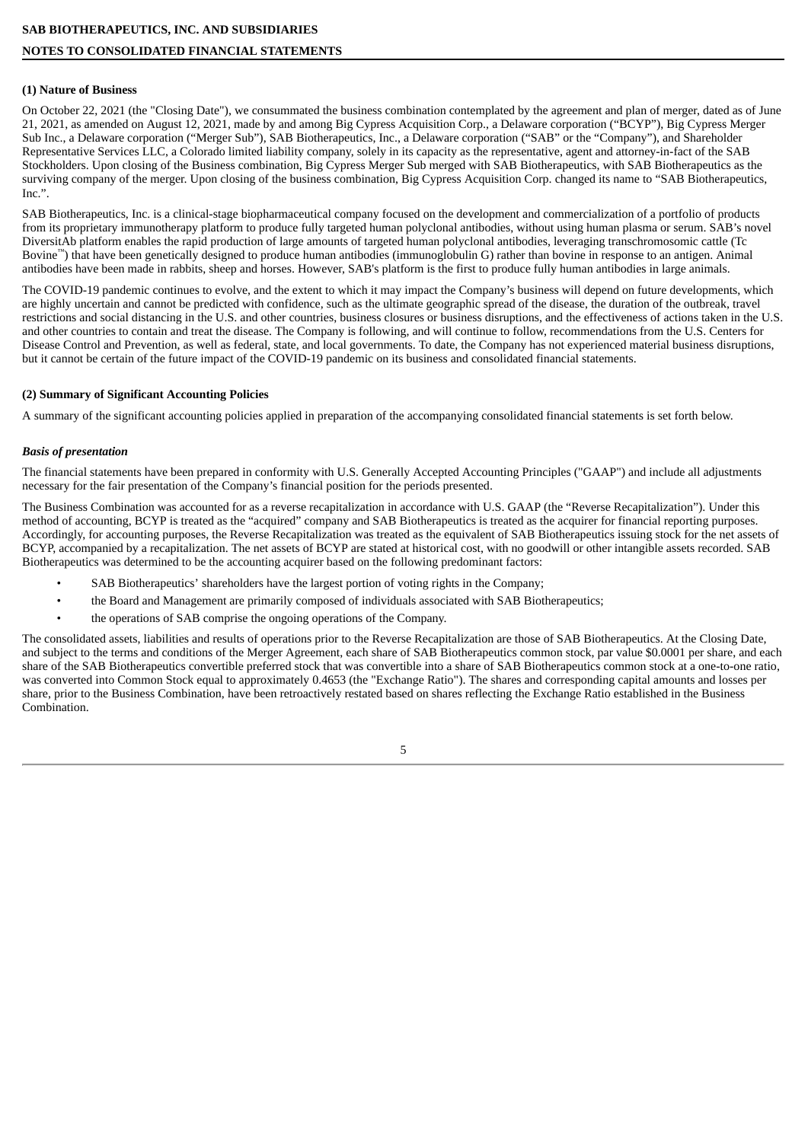# <span id="page-7-0"></span>**(1) Nature of Business**

On October 22, 2021 (the "Closing Date"), we consummated the business combination contemplated by the agreement and plan of merger, dated as of June 21, 2021, as amended on August 12, 2021, made by and among Big Cypress Acquisition Corp., a Delaware corporation ("BCYP"), Big Cypress Merger Sub Inc., a Delaware corporation ("Merger Sub"), SAB Biotherapeutics, Inc., a Delaware corporation ("SAB" or the "Company"), and Shareholder Representative Services LLC, a Colorado limited liability company, solely in its capacity as the representative, agent and attorney-in-fact of the SAB Stockholders. Upon closing of the Business combination, Big Cypress Merger Sub merged with SAB Biotherapeutics, with SAB Biotherapeutics as the surviving company of the merger. Upon closing of the business combination, Big Cypress Acquisition Corp. changed its name to "SAB Biotherapeutics, Inc.".

SAB Biotherapeutics, Inc. is a clinical-stage biopharmaceutical company focused on the development and commercialization of a portfolio of products from its proprietary immunotherapy platform to produce fully targeted human polyclonal antibodies, without using human plasma or serum. SAB's novel DiversitAb platform enables the rapid production of large amounts of targeted human polyclonal antibodies, leveraging transchromosomic cattle (Tc Bovine ™ ) that have been genetically designed to produce human antibodies (immunoglobulin G) rather than bovine in response to an antigen. Animal antibodies have been made in rabbits, sheep and horses. However, SAB's platform is the first to produce fully human antibodies in large animals.

The COVID-19 pandemic continues to evolve, and the extent to which it may impact the Company's business will depend on future developments, which are highly uncertain and cannot be predicted with confidence, such as the ultimate geographic spread of the disease, the duration of the outbreak, travel restrictions and social distancing in the U.S. and other countries, business closures or business disruptions, and the effectiveness of actions taken in the U.S. and other countries to contain and treat the disease. The Company is following, and will continue to follow, recommendations from the U.S. Centers for Disease Control and Prevention, as well as federal, state, and local governments. To date, the Company has not experienced material business disruptions, but it cannot be certain of the future impact of the COVID-19 pandemic on its business and consolidated financial statements.

# **(2) Summary of Significant Accounting Policies**

A summary of the significant accounting policies applied in preparation of the accompanying consolidated financial statements is set forth below.

# *Basis of presentation*

The financial statements have been prepared in conformity with U.S. Generally Accepted Accounting Principles ("GAAP") and include all adjustments necessary for the fair presentation of the Company's financial position for the periods presented.

The Business Combination was accounted for as a reverse recapitalization in accordance with U.S. GAAP (the "Reverse Recapitalization"). Under this method of accounting, BCYP is treated as the "acquired" company and SAB Biotherapeutics is treated as the acquirer for financial reporting purposes. Accordingly, for accounting purposes, the Reverse Recapitalization was treated as the equivalent of SAB Biotherapeutics issuing stock for the net assets of BCYP, accompanied by a recapitalization. The net assets of BCYP are stated at historical cost, with no goodwill or other intangible assets recorded. SAB Biotherapeutics was determined to be the accounting acquirer based on the following predominant factors:

- SAB Biotherapeutics' shareholders have the largest portion of voting rights in the Company;
- the Board and Management are primarily composed of individuals associated with SAB Biotherapeutics;
- the operations of SAB comprise the ongoing operations of the Company.

The consolidated assets, liabilities and results of operations prior to the Reverse Recapitalization are those of SAB Biotherapeutics. At the Closing Date, and subject to the terms and conditions of the Merger Agreement, each share of SAB Biotherapeutics common stock, par value \$0.0001 per share, and each share of the SAB Biotherapeutics convertible preferred stock that was convertible into a share of SAB Biotherapeutics common stock at a one-to-one ratio, was converted into Common Stock equal to approximately 0.4653 (the "Exchange Ratio"). The shares and corresponding capital amounts and losses per share, prior to the Business Combination, have been retroactively restated based on shares reflecting the Exchange Ratio established in the Business Combination.

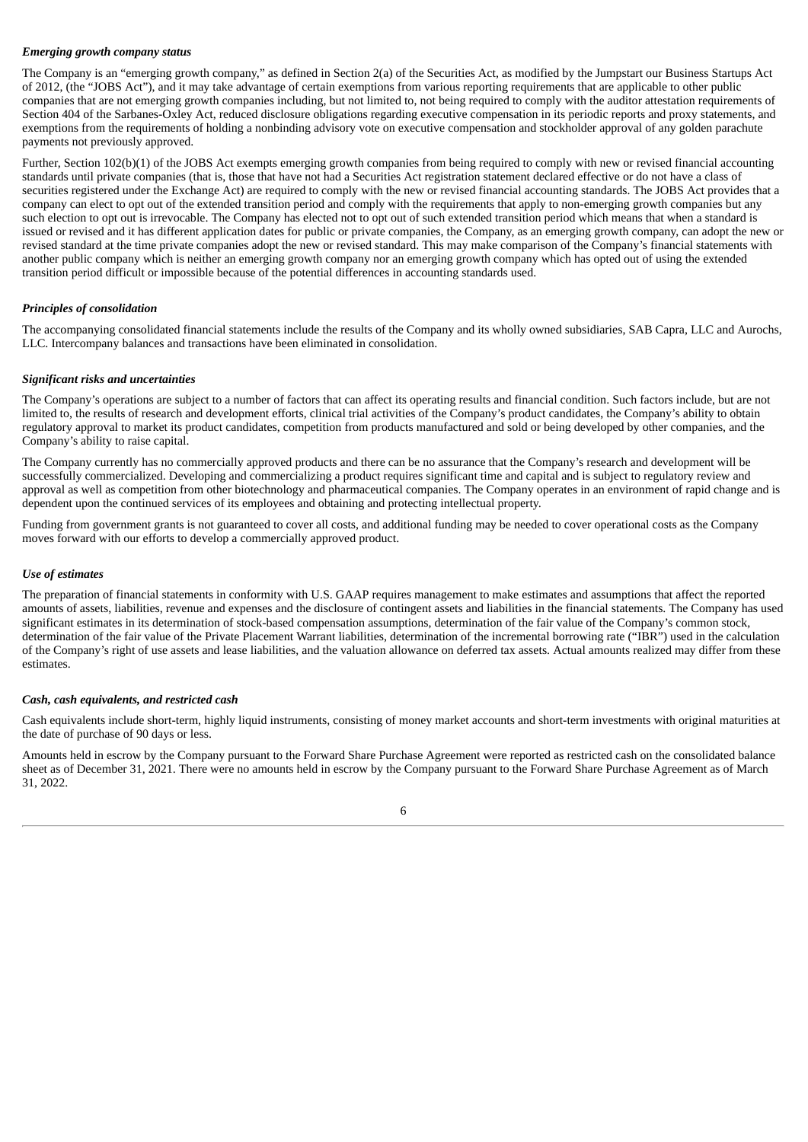# *Emerging growth company status*

The Company is an "emerging growth company," as defined in Section 2(a) of the Securities Act, as modified by the Jumpstart our Business Startups Act of 2012, (the "JOBS Act"), and it may take advantage of certain exemptions from various reporting requirements that are applicable to other public companies that are not emerging growth companies including, but not limited to, not being required to comply with the auditor attestation requirements of Section 404 of the Sarbanes-Oxley Act, reduced disclosure obligations regarding executive compensation in its periodic reports and proxy statements, and exemptions from the requirements of holding a nonbinding advisory vote on executive compensation and stockholder approval of any golden parachute payments not previously approved.

Further, Section 102(b)(1) of the JOBS Act exempts emerging growth companies from being required to comply with new or revised financial accounting standards until private companies (that is, those that have not had a Securities Act registration statement declared effective or do not have a class of securities registered under the Exchange Act) are required to comply with the new or revised financial accounting standards. The JOBS Act provides that a company can elect to opt out of the extended transition period and comply with the requirements that apply to non-emerging growth companies but any such election to opt out is irrevocable. The Company has elected not to opt out of such extended transition period which means that when a standard is issued or revised and it has different application dates for public or private companies, the Company, as an emerging growth company, can adopt the new or revised standard at the time private companies adopt the new or revised standard. This may make comparison of the Company's financial statements with another public company which is neither an emerging growth company nor an emerging growth company which has opted out of using the extended transition period difficult or impossible because of the potential differences in accounting standards used.

# *Principles of consolidation*

The accompanying consolidated financial statements include the results of the Company and its wholly owned subsidiaries, SAB Capra, LLC and Aurochs, LLC. Intercompany balances and transactions have been eliminated in consolidation.

### *Significant risks and uncertainties*

The Company's operations are subject to a number of factors that can affect its operating results and financial condition. Such factors include, but are not limited to, the results of research and development efforts, clinical trial activities of the Company's product candidates, the Company's ability to obtain regulatory approval to market its product candidates, competition from products manufactured and sold or being developed by other companies, and the Company's ability to raise capital.

The Company currently has no commercially approved products and there can be no assurance that the Company's research and development will be successfully commercialized. Developing and commercializing a product requires significant time and capital and is subject to regulatory review and approval as well as competition from other biotechnology and pharmaceutical companies. The Company operates in an environment of rapid change and is dependent upon the continued services of its employees and obtaining and protecting intellectual property.

Funding from government grants is not guaranteed to cover all costs, and additional funding may be needed to cover operational costs as the Company moves forward with our efforts to develop a commercially approved product.

### *Use of estimates*

The preparation of financial statements in conformity with U.S. GAAP requires management to make estimates and assumptions that affect the reported amounts of assets, liabilities, revenue and expenses and the disclosure of contingent assets and liabilities in the financial statements. The Company has used significant estimates in its determination of stock-based compensation assumptions, determination of the fair value of the Company's common stock, determination of the fair value of the Private Placement Warrant liabilities, determination of the incremental borrowing rate ("IBR") used in the calculation of the Company's right of use assets and lease liabilities, and the valuation allowance on deferred tax assets. Actual amounts realized may differ from these estimates.

### *Cash, cash equivalents, and restricted cash*

Cash equivalents include short-term, highly liquid instruments, consisting of money market accounts and short-term investments with original maturities at the date of purchase of 90 days or less.

Amounts held in escrow by the Company pursuant to the Forward Share Purchase Agreement were reported as restricted cash on the consolidated balance sheet as of December 31, 2021. There were no amounts held in escrow by the Company pursuant to the Forward Share Purchase Agreement as of March 31, 2022.

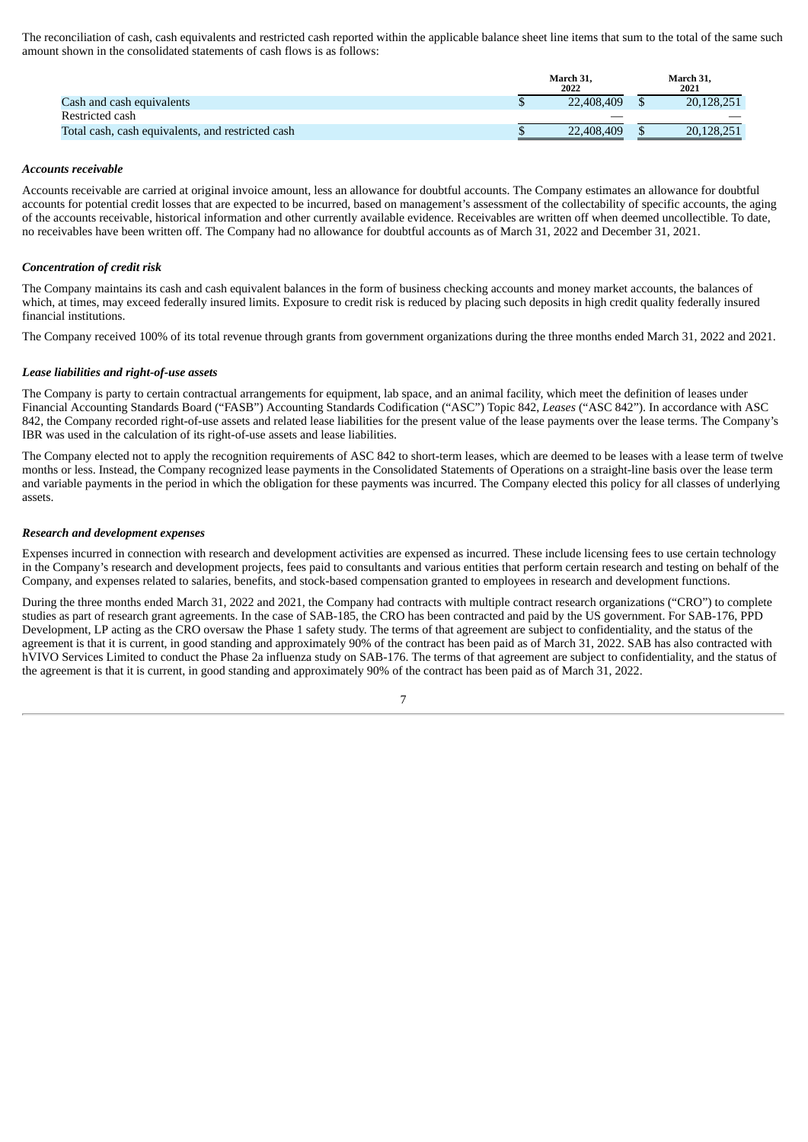The reconciliation of cash, cash equivalents and restricted cash reported within the applicable balance sheet line items that sum to the total of the same such amount shown in the consolidated statements of cash flows is as follows:

|                                                   | March 31.<br>2022 | March 31,<br>2021 |
|---------------------------------------------------|-------------------|-------------------|
| Cash and cash equivalents                         | 22,408,409        | 20,128,251        |
| Restricted cash                                   |                   |                   |
| Total cash, cash equivalents, and restricted cash | 22,408,409        | 20,128,251        |

### *Accounts receivable*

Accounts receivable are carried at original invoice amount, less an allowance for doubtful accounts. The Company estimates an allowance for doubtful accounts for potential credit losses that are expected to be incurred, based on management's assessment of the collectability of specific accounts, the aging of the accounts receivable, historical information and other currently available evidence. Receivables are written off when deemed uncollectible. To date, no receivables have been written off. The Company had no allowance for doubtful accounts as of March 31, 2022 and December 31, 2021.

# *Concentration of credit risk*

The Company maintains its cash and cash equivalent balances in the form of business checking accounts and money market accounts, the balances of which, at times, may exceed federally insured limits. Exposure to credit risk is reduced by placing such deposits in high credit quality federally insured financial institutions.

The Company received 100% of its total revenue through grants from government organizations during the three months ended March 31, 2022 and 2021.

### *Lease liabilities and right-of-use assets*

The Company is party to certain contractual arrangements for equipment, lab space, and an animal facility, which meet the definition of leases under Financial Accounting Standards Board ("FASB") Accounting Standards Codification ("ASC") Topic 842, *Leases* ("ASC 842"). In accordance with ASC 842, the Company recorded right-of-use assets and related lease liabilities for the present value of the lease payments over the lease terms. The Company's IBR was used in the calculation of its right-of-use assets and lease liabilities.

The Company elected not to apply the recognition requirements of ASC 842 to short-term leases, which are deemed to be leases with a lease term of twelve months or less. Instead, the Company recognized lease payments in the Consolidated Statements of Operations on a straight-line basis over the lease term and variable payments in the period in which the obligation for these payments was incurred. The Company elected this policy for all classes of underlying assets.

### *Research and development expenses*

Expenses incurred in connection with research and development activities are expensed as incurred. These include licensing fees to use certain technology in the Company's research and development projects, fees paid to consultants and various entities that perform certain research and testing on behalf of the Company, and expenses related to salaries, benefits, and stock-based compensation granted to employees in research and development functions.

During the three months ended March 31, 2022 and 2021, the Company had contracts with multiple contract research organizations ("CRO") to complete studies as part of research grant agreements. In the case of SAB-185, the CRO has been contracted and paid by the US government. For SAB-176, PPD Development, LP acting as the CRO oversaw the Phase 1 safety study. The terms of that agreement are subject to confidentiality, and the status of the agreement is that it is current, in good standing and approximately 90% of the contract has been paid as of March 31, 2022. SAB has also contracted with hVIVO Services Limited to conduct the Phase 2a influenza study on SAB-176. The terms of that agreement are subject to confidentiality, and the status of the agreement is that it is current, in good standing and approximately 90% of the contract has been paid as of March 31, 2022.

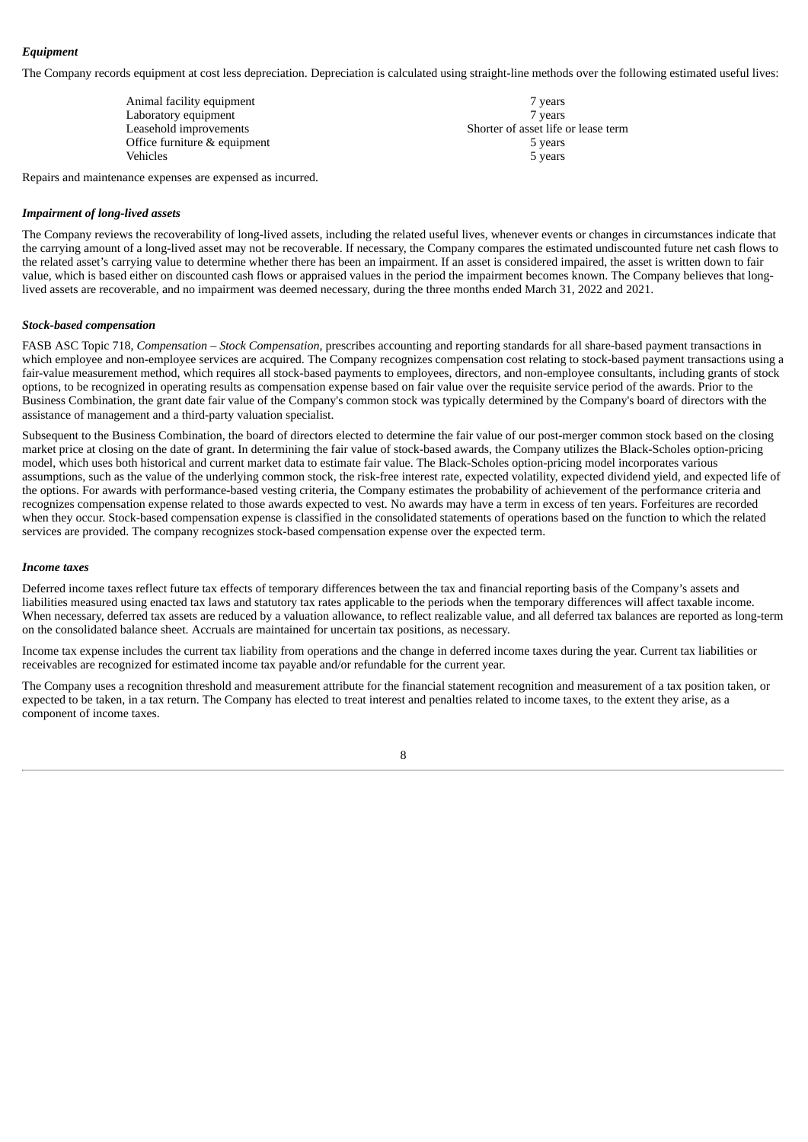# *Equipment*

The Company records equipment at cost less depreciation. Depreciation is calculated using straight-line methods over the following estimated useful lives:

| Animal facility equipment    | 7 years                             |
|------------------------------|-------------------------------------|
| Laboratory equipment         | 7 years                             |
| Leasehold improvements       | Shorter of asset life or lease term |
| Office furniture & equipment | 5 years                             |
| <b>Vehicles</b>              | 5 years                             |

Repairs and maintenance expenses are expensed as incurred.

# *Impairment of long-lived assets*

The Company reviews the recoverability of long-lived assets, including the related useful lives, whenever events or changes in circumstances indicate that the carrying amount of a long-lived asset may not be recoverable. If necessary, the Company compares the estimated undiscounted future net cash flows to the related asset's carrying value to determine whether there has been an impairment. If an asset is considered impaired, the asset is written down to fair value, which is based either on discounted cash flows or appraised values in the period the impairment becomes known. The Company believes that longlived assets are recoverable, and no impairment was deemed necessary, during the three months ended March 31, 2022 and 2021.

# *Stock-based compensation*

FASB ASC Topic 718, *Compensation – Stock Compensation*, prescribes accounting and reporting standards for all share-based payment transactions in which employee and non-employee services are acquired. The Company recognizes compensation cost relating to stock-based payment transactions using a fair-value measurement method, which requires all stock-based payments to employees, directors, and non-employee consultants, including grants of stock options, to be recognized in operating results as compensation expense based on fair value over the requisite service period of the awards. Prior to the Business Combination, the grant date fair value of the Company's common stock was typically determined by the Company's board of directors with the assistance of management and a third-party valuation specialist.

Subsequent to the Business Combination, the board of directors elected to determine the fair value of our post-merger common stock based on the closing market price at closing on the date of grant. In determining the fair value of stock-based awards, the Company utilizes the Black-Scholes option-pricing model, which uses both historical and current market data to estimate fair value. The Black-Scholes option-pricing model incorporates various assumptions, such as the value of the underlying common stock, the risk-free interest rate, expected volatility, expected dividend yield, and expected life of the options. For awards with performance-based vesting criteria, the Company estimates the probability of achievement of the performance criteria and recognizes compensation expense related to those awards expected to vest. No awards may have a term in excess of ten years. Forfeitures are recorded when they occur. Stock-based compensation expense is classified in the consolidated statements of operations based on the function to which the related services are provided. The company recognizes stock-based compensation expense over the expected term.

# *Income taxes*

Deferred income taxes reflect future tax effects of temporary differences between the tax and financial reporting basis of the Company's assets and liabilities measured using enacted tax laws and statutory tax rates applicable to the periods when the temporary differences will affect taxable income. When necessary, deferred tax assets are reduced by a valuation allowance, to reflect realizable value, and all deferred tax balances are reported as long-term on the consolidated balance sheet. Accruals are maintained for uncertain tax positions, as necessary.

Income tax expense includes the current tax liability from operations and the change in deferred income taxes during the year. Current tax liabilities or receivables are recognized for estimated income tax payable and/or refundable for the current year.

The Company uses a recognition threshold and measurement attribute for the financial statement recognition and measurement of a tax position taken, or expected to be taken, in a tax return. The Company has elected to treat interest and penalties related to income taxes, to the extent they arise, as a component of income taxes.

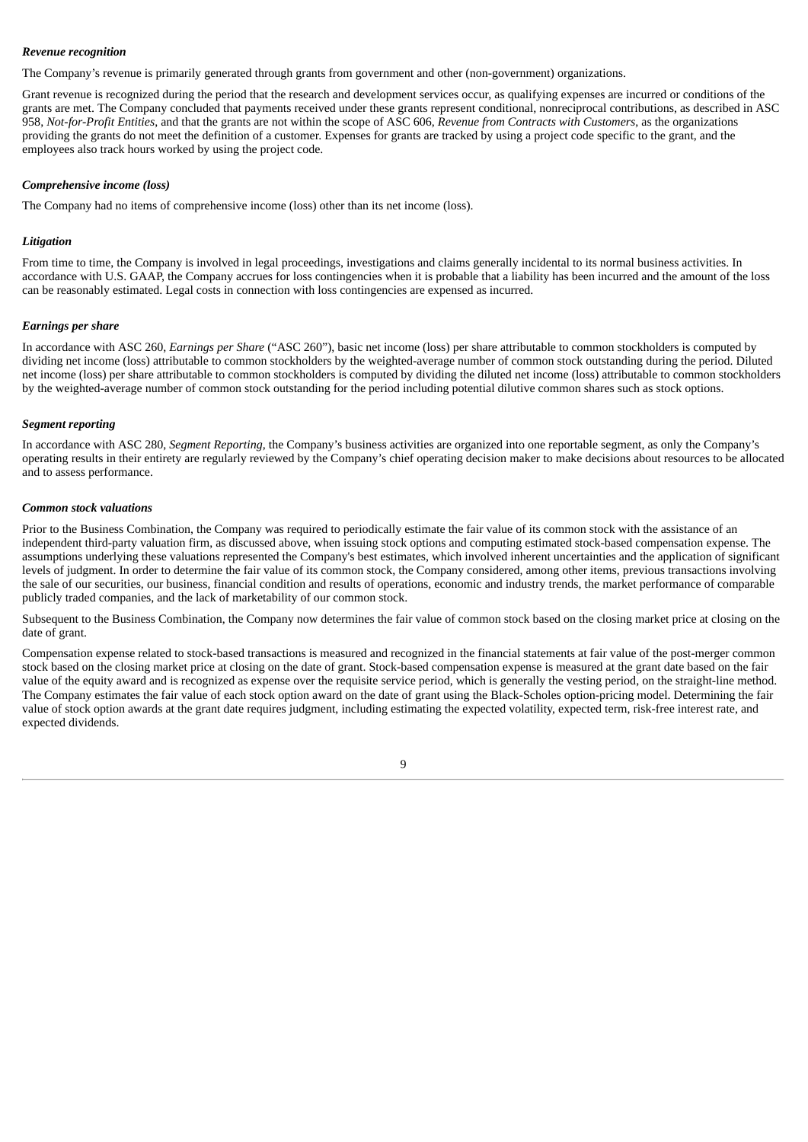# *Revenue recognition*

The Company's revenue is primarily generated through grants from government and other (non-government) organizations.

Grant revenue is recognized during the period that the research and development services occur, as qualifying expenses are incurred or conditions of the grants are met. The Company concluded that payments received under these grants represent conditional, nonreciprocal contributions, as described in ASC 958, *Not-for-Profit Entities*, and that the grants are not within the scope of ASC 606, *Revenue from Contracts with Customers*, as the organizations providing the grants do not meet the definition of a customer. Expenses for grants are tracked by using a project code specific to the grant, and the employees also track hours worked by using the project code.

# *Comprehensive income (loss)*

The Company had no items of comprehensive income (loss) other than its net income (loss).

# *Litigation*

From time to time, the Company is involved in legal proceedings, investigations and claims generally incidental to its normal business activities. In accordance with U.S. GAAP, the Company accrues for loss contingencies when it is probable that a liability has been incurred and the amount of the loss can be reasonably estimated. Legal costs in connection with loss contingencies are expensed as incurred.

# *Earnings per share*

In accordance with ASC 260, *Earnings per Share* ("ASC 260"), basic net income (loss) per share attributable to common stockholders is computed by dividing net income (loss) attributable to common stockholders by the weighted-average number of common stock outstanding during the period. Diluted net income (loss) per share attributable to common stockholders is computed by dividing the diluted net income (loss) attributable to common stockholders by the weighted-average number of common stock outstanding for the period including potential dilutive common shares such as stock options.

# *Segment reporting*

In accordance with ASC 280, *Segment Reporting*, the Company's business activities are organized into one reportable segment, as only the Company's operating results in their entirety are regularly reviewed by the Company's chief operating decision maker to make decisions about resources to be allocated and to assess performance.

# *Common stock valuations*

Prior to the Business Combination, the Company was required to periodically estimate the fair value of its common stock with the assistance of an independent third-party valuation firm, as discussed above, when issuing stock options and computing estimated stock-based compensation expense. The assumptions underlying these valuations represented the Company's best estimates, which involved inherent uncertainties and the application of significant levels of judgment. In order to determine the fair value of its common stock, the Company considered, among other items, previous transactions involving the sale of our securities, our business, financial condition and results of operations, economic and industry trends, the market performance of comparable publicly traded companies, and the lack of marketability of our common stock.

Subsequent to the Business Combination, the Company now determines the fair value of common stock based on the closing market price at closing on the date of grant.

Compensation expense related to stock-based transactions is measured and recognized in the financial statements at fair value of the post-merger common stock based on the closing market price at closing on the date of grant. Stock-based compensation expense is measured at the grant date based on the fair value of the equity award and is recognized as expense over the requisite service period, which is generally the vesting period, on the straight-line method. The Company estimates the fair value of each stock option award on the date of grant using the Black-Scholes option-pricing model. Determining the fair value of stock option awards at the grant date requires judgment, including estimating the expected volatility, expected term, risk-free interest rate, and expected dividends.

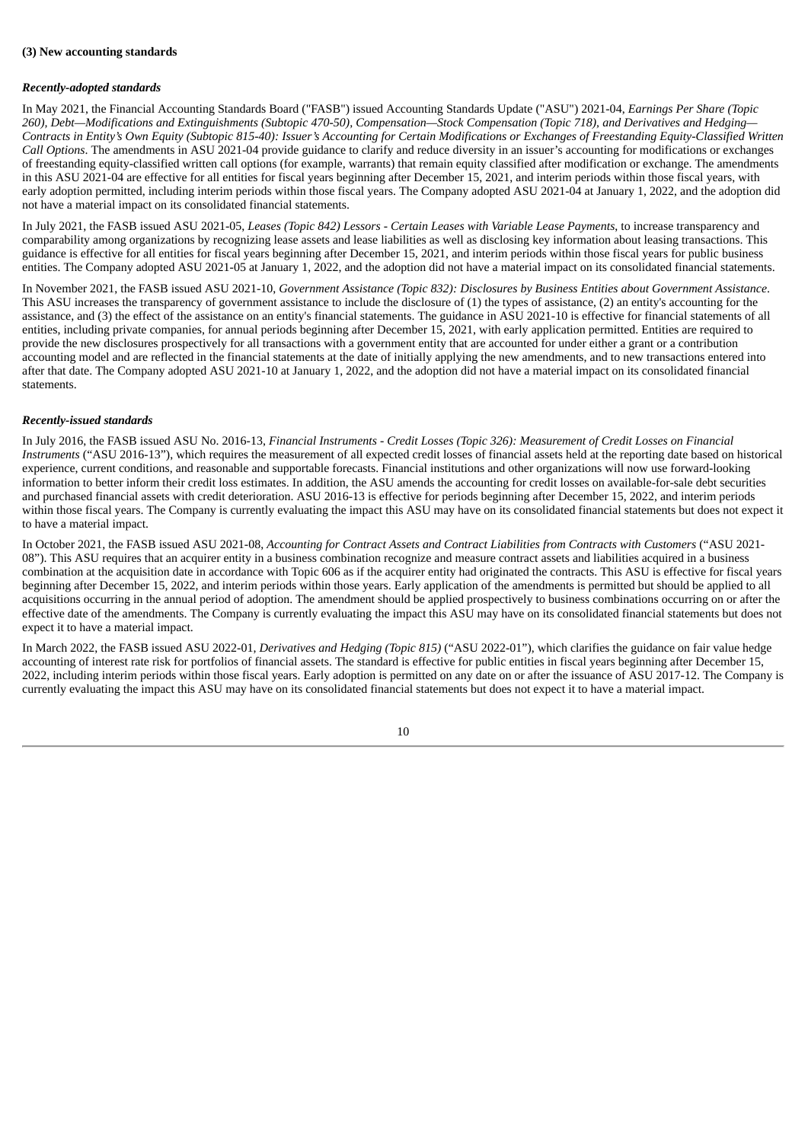### **(3) New accounting standards**

# *Recently-adopted standards*

In May 2021, the Financial Accounting Standards Board ("FASB") issued Accounting Standards Update ("ASU") 2021-04, *Earnings Per Share (Topic* 260), Debt-Modifications and Extinguishments (Subtopic 470-50), Compensation-Stock Compensation (Topic 718), and Derivatives and Hedging-Contracts in Entity's Own Equity (Subtopic 815-40): Issuer's Accounting for Certain Modifications or Exchanges of Freestanding Equity-Classified Written *Call Options*. The amendments in ASU 2021-04 provide guidance to clarify and reduce diversity in an issuer's accounting for modifications or exchanges of freestanding equity-classified written call options (for example, warrants) that remain equity classified after modification or exchange. The amendments in this ASU 2021-04 are effective for all entities for fiscal years beginning after December 15, 2021, and interim periods within those fiscal years, with early adoption permitted, including interim periods within those fiscal years. The Company adopted ASU 2021-04 at January 1, 2022, and the adoption did not have a material impact on its consolidated financial statements.

In July 2021, the FASB issued ASU 2021-05, *Leases (Topic 842) Lessors - Certain Leases with Variable Lease Payments*, to increase transparency and comparability among organizations by recognizing lease assets and lease liabilities as well as disclosing key information about leasing transactions. This guidance is effective for all entities for fiscal years beginning after December 15, 2021, and interim periods within those fiscal years for public business entities. The Company adopted ASU 2021-05 at January 1, 2022, and the adoption did not have a material impact on its consolidated financial statements.

In November 2021, the FASB issued ASU 2021-10, *Government Assistance (Topic 832): Disclosures by Business Entities about Government Assistance*. This ASU increases the transparency of government assistance to include the disclosure of (1) the types of assistance, (2) an entity's accounting for the assistance, and (3) the effect of the assistance on an entity's financial statements. The guidance in ASU 2021-10 is effective for financial statements of all entities, including private companies, for annual periods beginning after December 15, 2021, with early application permitted. Entities are required to provide the new disclosures prospectively for all transactions with a government entity that are accounted for under either a grant or a contribution accounting model and are reflected in the financial statements at the date of initially applying the new amendments, and to new transactions entered into after that date. The Company adopted ASU 2021-10 at January 1, 2022, and the adoption did not have a material impact on its consolidated financial statements.

# *Recently-issued standards*

In July 2016, the FASB issued ASU No. 2016-13, Financial Instruments - Credit Losses (Topic 326): Measurement of Credit Losses on Financial *Instruments* ("ASU 2016-13"), which requires the measurement of all expected credit losses of financial assets held at the reporting date based on historical experience, current conditions, and reasonable and supportable forecasts. Financial institutions and other organizations will now use forward-looking information to better inform their credit loss estimates. In addition, the ASU amends the accounting for credit losses on available-for-sale debt securities and purchased financial assets with credit deterioration. ASU 2016-13 is effective for periods beginning after December 15, 2022, and interim periods within those fiscal years. The Company is currently evaluating the impact this ASU may have on its consolidated financial statements but does not expect it to have a material impact.

In October 2021, the FASB issued ASU 2021-08, *Accounting for Contract Assets and Contract Liabilities from Contracts with Customers* ("ASU 2021- 08"). This ASU requires that an acquirer entity in a business combination recognize and measure contract assets and liabilities acquired in a business combination at the acquisition date in accordance with Topic 606 as if the acquirer entity had originated the contracts. This ASU is effective for fiscal years beginning after December 15, 2022, and interim periods within those years. Early application of the amendments is permitted but should be applied to all acquisitions occurring in the annual period of adoption. The amendment should be applied prospectively to business combinations occurring on or after the effective date of the amendments. The Company is currently evaluating the impact this ASU may have on its consolidated financial statements but does not expect it to have a material impact.

In March 2022, the FASB issued ASU 2022-01, *Derivatives and Hedging (Topic 815)* ("ASU 2022-01"), which clarifies the guidance on fair value hedge accounting of interest rate risk for portfolios of financial assets. The standard is effective for public entities in fiscal years beginning after December 15, 2022, including interim periods within those fiscal years. Early adoption is permitted on any date on or after the issuance of ASU 2017-12. The Company is currently evaluating the impact this ASU may have on its consolidated financial statements but does not expect it to have a material impact.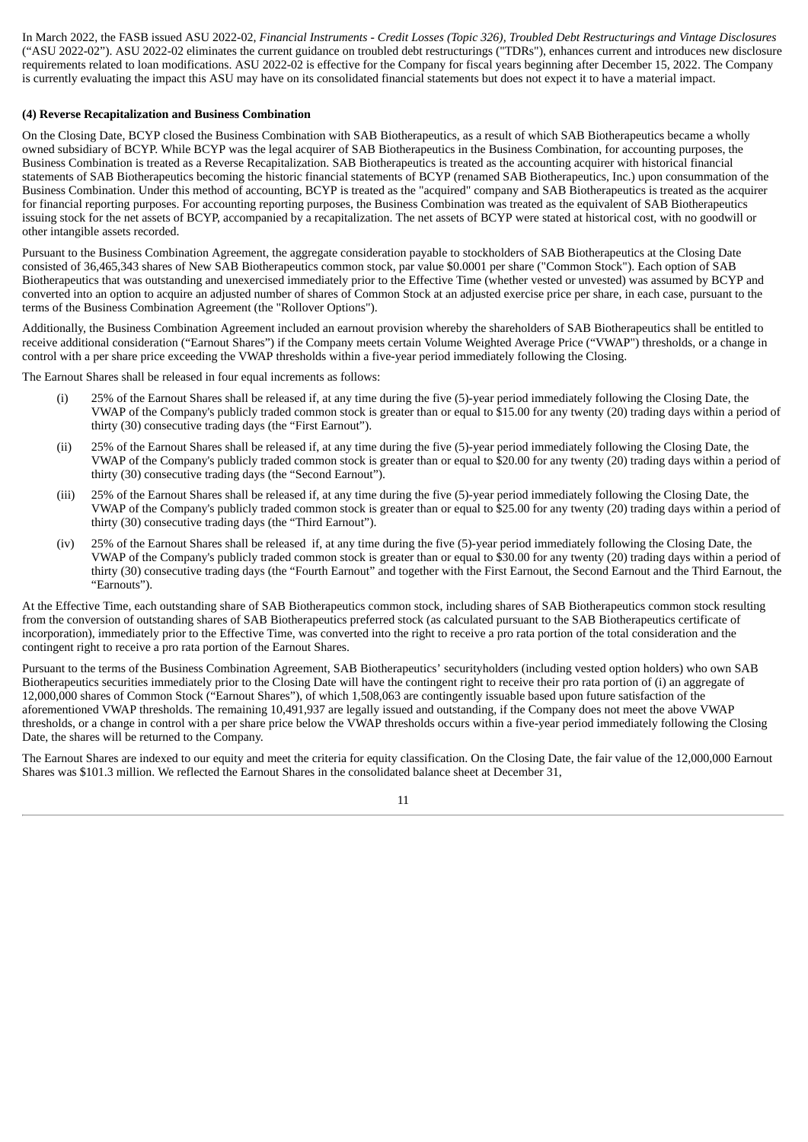In March 2022, the FASB issued ASU 2022-02, Financial Instruments - Credit Losses (Topic 326), Troubled Debt Restructurings and Vintage Disclosures ("ASU 2022-02"). ASU 2022-02 eliminates the current guidance on troubled debt restructurings ("TDRs"), enhances current and introduces new disclosure requirements related to loan modifications. ASU 2022-02 is effective for the Company for fiscal years beginning after December 15, 2022. The Company is currently evaluating the impact this ASU may have on its consolidated financial statements but does not expect it to have a material impact.

### **(4) Reverse Recapitalization and Business Combination**

On the Closing Date, BCYP closed the Business Combination with SAB Biotherapeutics, as a result of which SAB Biotherapeutics became a wholly owned subsidiary of BCYP. While BCYP was the legal acquirer of SAB Biotherapeutics in the Business Combination, for accounting purposes, the Business Combination is treated as a Reverse Recapitalization. SAB Biotherapeutics is treated as the accounting acquirer with historical financial statements of SAB Biotherapeutics becoming the historic financial statements of BCYP (renamed SAB Biotherapeutics, Inc.) upon consummation of the Business Combination. Under this method of accounting, BCYP is treated as the "acquired" company and SAB Biotherapeutics is treated as the acquirer for financial reporting purposes. For accounting reporting purposes, the Business Combination was treated as the equivalent of SAB Biotherapeutics issuing stock for the net assets of BCYP, accompanied by a recapitalization. The net assets of BCYP were stated at historical cost, with no goodwill or other intangible assets recorded.

Pursuant to the Business Combination Agreement, the aggregate consideration payable to stockholders of SAB Biotherapeutics at the Closing Date consisted of 36,465,343 shares of New SAB Biotherapeutics common stock, par value \$0.0001 per share ("Common Stock"). Each option of SAB Biotherapeutics that was outstanding and unexercised immediately prior to the Effective Time (whether vested or unvested) was assumed by BCYP and converted into an option to acquire an adjusted number of shares of Common Stock at an adjusted exercise price per share, in each case, pursuant to the terms of the Business Combination Agreement (the "Rollover Options").

Additionally, the Business Combination Agreement included an earnout provision whereby the shareholders of SAB Biotherapeutics shall be entitled to receive additional consideration ("Earnout Shares") if the Company meets certain Volume Weighted Average Price ("VWAP") thresholds, or a change in control with a per share price exceeding the VWAP thresholds within a five-year period immediately following the Closing.

The Earnout Shares shall be released in four equal increments as follows:

- (i) 25% of the Earnout Shares shall be released if, at any time during the five (5)-year period immediately following the Closing Date, the VWAP of the Company's publicly traded common stock is greater than or equal to \$15.00 for any twenty (20) trading days within a period of thirty (30) consecutive trading days (the "First Earnout").
- (ii) 25% of the Earnout Shares shall be released if, at any time during the five (5)-year period immediately following the Closing Date, the VWAP of the Company's publicly traded common stock is greater than or equal to \$20.00 for any twenty (20) trading days within a period of thirty (30) consecutive trading days (the "Second Earnout").
- (iii) 25% of the Earnout Shares shall be released if, at any time during the five (5)-year period immediately following the Closing Date, the VWAP of the Company's publicly traded common stock is greater than or equal to \$25.00 for any twenty (20) trading days within a period of thirty (30) consecutive trading days (the "Third Earnout").
- (iv) 25% of the Earnout Shares shall be released if, at any time during the five (5)-year period immediately following the Closing Date, the VWAP of the Company's publicly traded common stock is greater than or equal to \$30.00 for any twenty (20) trading days within a period of thirty (30) consecutive trading days (the "Fourth Earnout" and together with the First Earnout, the Second Earnout and the Third Earnout, the "Earnouts").

At the Effective Time, each outstanding share of SAB Biotherapeutics common stock, including shares of SAB Biotherapeutics common stock resulting from the conversion of outstanding shares of SAB Biotherapeutics preferred stock (as calculated pursuant to the SAB Biotherapeutics certificate of incorporation), immediately prior to the Effective Time, was converted into the right to receive a pro rata portion of the total consideration and the contingent right to receive a pro rata portion of the Earnout Shares.

Pursuant to the terms of the Business Combination Agreement, SAB Biotherapeutics' securityholders (including vested option holders) who own SAB Biotherapeutics securities immediately prior to the Closing Date will have the contingent right to receive their pro rata portion of (i) an aggregate of 12,000,000 shares of Common Stock ("Earnout Shares"), of which 1,508,063 are contingently issuable based upon future satisfaction of the aforementioned VWAP thresholds. The remaining 10,491,937 are legally issued and outstanding, if the Company does not meet the above VWAP thresholds, or a change in control with a per share price below the VWAP thresholds occurs within a five-year period immediately following the Closing Date, the shares will be returned to the Company.

The Earnout Shares are indexed to our equity and meet the criteria for equity classification. On the Closing Date, the fair value of the 12,000,000 Earnout Shares was \$101.3 million. We reflected the Earnout Shares in the consolidated balance sheet at December 31,

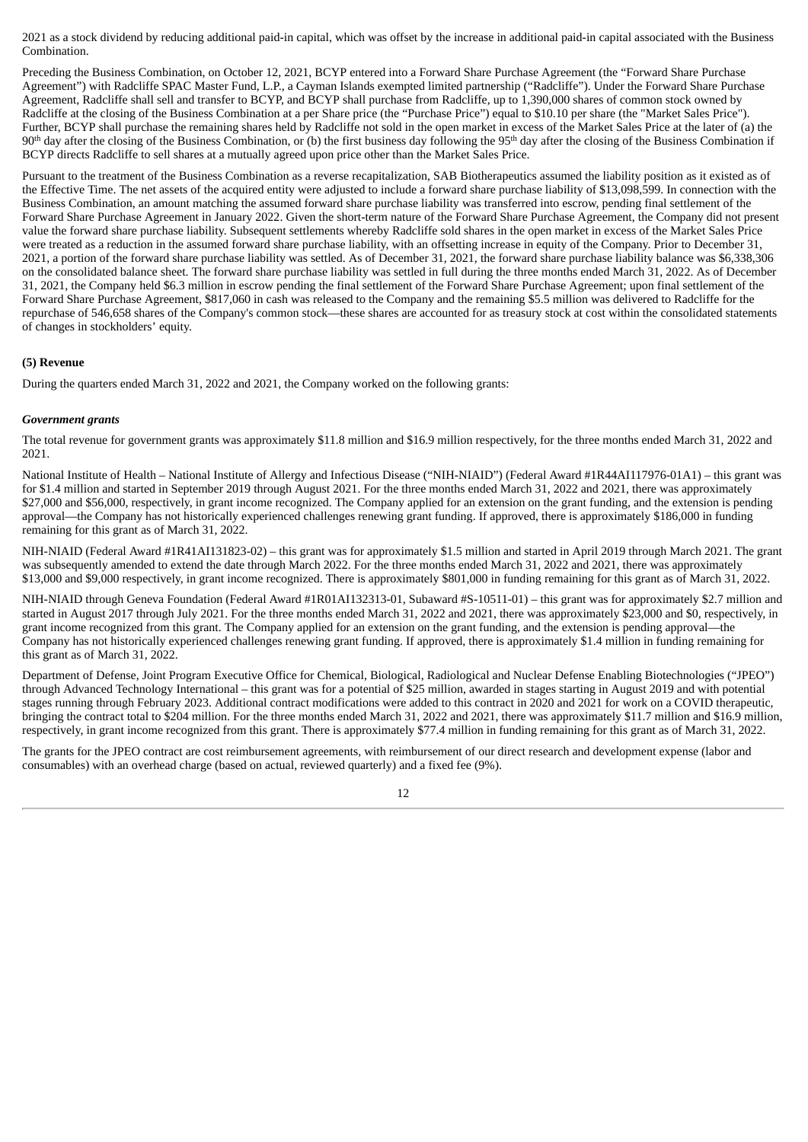2021 as a stock dividend by reducing additional paid-in capital, which was offset by the increase in additional paid-in capital associated with the Business Combination.

Preceding the Business Combination, on October 12, 2021, BCYP entered into a Forward Share Purchase Agreement (the "Forward Share Purchase Agreement") with Radcliffe SPAC Master Fund, L.P., a Cayman Islands exempted limited partnership ("Radcliffe"). Under the Forward Share Purchase Agreement, Radcliffe shall sell and transfer to BCYP, and BCYP shall purchase from Radcliffe, up to 1,390,000 shares of common stock owned by Radcliffe at the closing of the Business Combination at a per Share price (the "Purchase Price") equal to \$10.10 per share (the "Market Sales Price"). Further, BCYP shall purchase the remaining shares held by Radcliffe not sold in the open market in excess of the Market Sales Price at the later of (a) the 90<sup>th</sup> day after the closing of the Business Combination, or (b) the first business day following the 95<sup>th</sup> day after the closing of the Business Combination if BCYP directs Radcliffe to sell shares at a mutually agreed upon price other than the Market Sales Price.

Pursuant to the treatment of the Business Combination as a reverse recapitalization, SAB Biotherapeutics assumed the liability position as it existed as of the Effective Time. The net assets of the acquired entity were adjusted to include a forward share purchase liability of \$13,098,599. In connection with the Business Combination, an amount matching the assumed forward share purchase liability was transferred into escrow, pending final settlement of the Forward Share Purchase Agreement in January 2022. Given the short-term nature of the Forward Share Purchase Agreement, the Company did not present value the forward share purchase liability. Subsequent settlements whereby Radcliffe sold shares in the open market in excess of the Market Sales Price were treated as a reduction in the assumed forward share purchase liability, with an offsetting increase in equity of the Company. Prior to December 31, 2021, a portion of the forward share purchase liability was settled. As of December 31, 2021, the forward share purchase liability balance was \$6,338,306 on the consolidated balance sheet. The forward share purchase liability was settled in full during the three months ended March 31, 2022. As of December 31, 2021, the Company held \$6.3 million in escrow pending the final settlement of the Forward Share Purchase Agreement; upon final settlement of the Forward Share Purchase Agreement, \$817,060 in cash was released to the Company and the remaining \$5.5 million was delivered to Radcliffe for the repurchase of 546,658 shares of the Company's common stock—these shares are accounted for as treasury stock at cost within the consolidated statements of changes in stockholders' equity.

# **(5) Revenue**

During the quarters ended March 31, 2022 and 2021, the Company worked on the following grants:

# *Government grants*

The total revenue for government grants was approximately \$11.8 million and \$16.9 million respectively, for the three months ended March 31, 2022 and 2021.

National Institute of Health – National Institute of Allergy and Infectious Disease ("NIH-NIAID") (Federal Award #1R44AI117976-01A1) – this grant was for \$1.4 million and started in September 2019 through August 2021. For the three months ended March 31, 2022 and 2021, there was approximately \$27,000 and \$56,000, respectively, in grant income recognized. The Company applied for an extension on the grant funding, and the extension is pending approval—the Company has not historically experienced challenges renewing grant funding. If approved, there is approximately \$186,000 in funding remaining for this grant as of March 31, 2022.

NIH-NIAID (Federal Award #1R41AI131823-02) – this grant was for approximately \$1.5 million and started in April 2019 through March 2021. The grant was subsequently amended to extend the date through March 2022. For the three months ended March 31, 2022 and 2021, there was approximately \$13,000 and \$9,000 respectively, in grant income recognized. There is approximately \$801,000 in funding remaining for this grant as of March 31, 2022.

NIH-NIAID through Geneva Foundation (Federal Award #1R01AI132313-01, Subaward #S-10511-01) – this grant was for approximately \$2.7 million and started in August 2017 through July 2021. For the three months ended March 31, 2022 and 2021, there was approximately \$23,000 and \$0, respectively, in grant income recognized from this grant. The Company applied for an extension on the grant funding, and the extension is pending approval—the Company has not historically experienced challenges renewing grant funding. If approved, there is approximately \$1.4 million in funding remaining for this grant as of March 31, 2022.

Department of Defense, Joint Program Executive Office for Chemical, Biological, Radiological and Nuclear Defense Enabling Biotechnologies ("JPEO") through Advanced Technology International – this grant was for a potential of \$25 million, awarded in stages starting in August 2019 and with potential stages running through February 2023. Additional contract modifications were added to this contract in 2020 and 2021 for work on a COVID therapeutic, bringing the contract total to \$204 million. For the three months ended March 31, 2022 and 2021, there was approximately \$11.7 million and \$16.9 million, respectively, in grant income recognized from this grant. There is approximately \$77.4 million in funding remaining for this grant as of March 31, 2022.

The grants for the JPEO contract are cost reimbursement agreements, with reimbursement of our direct research and development expense (labor and consumables) with an overhead charge (based on actual, reviewed quarterly) and a fixed fee (9%).

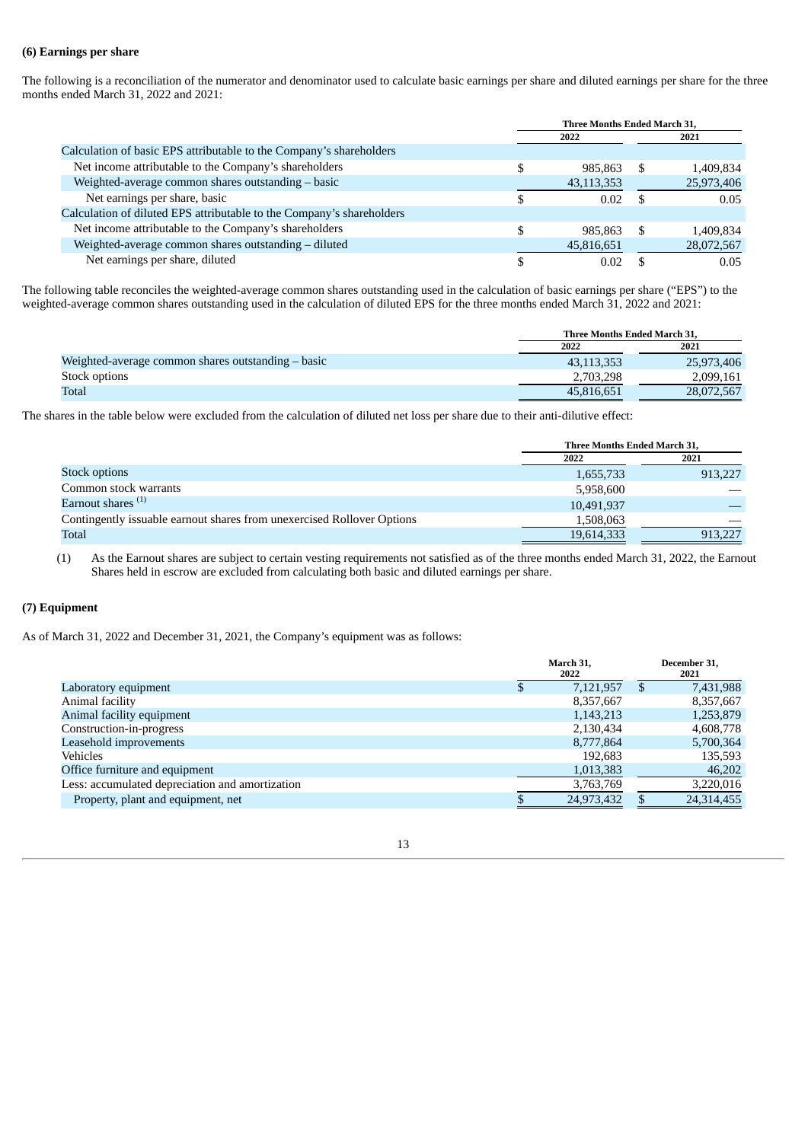# **(6) Earnings per share**

The following is a reconciliation of the numerator and denominator used to calculate basic earnings per share and diluted earnings per share for the three months ended March 31, 2022 and 2021:

|                                                                       | Three Months Ended March 31, |            |    |            |
|-----------------------------------------------------------------------|------------------------------|------------|----|------------|
|                                                                       |                              | 2022       |    | 2021       |
| Calculation of basic EPS attributable to the Company's shareholders   |                              |            |    |            |
| Net income attributable to the Company's shareholders                 | \$                           | 985.863    | .S | 1,409,834  |
| Weighted-average common shares outstanding - basic                    |                              | 43,113,353 |    | 25,973,406 |
| Net earnings per share, basic                                         | S                            | 0.02       |    | 0.05       |
| Calculation of diluted EPS attributable to the Company's shareholders |                              |            |    |            |
| Net income attributable to the Company's shareholders                 | \$                           | 985.863    | S  | 1.409.834  |
| Weighted-average common shares outstanding - diluted                  |                              | 45,816,651 |    | 28,072,567 |
| Net earnings per share, diluted                                       |                              | 0.02       |    | 0.05       |

The following table reconciles the weighted-average common shares outstanding used in the calculation of basic earnings per share ("EPS") to the weighted-average common shares outstanding used in the calculation of diluted EPS for the three months ended March 31, 2022 and 2021:

|                                                    | Three Months Ended March 31. |            |
|----------------------------------------------------|------------------------------|------------|
|                                                    | 2022                         | 2021       |
| Weighted-average common shares outstanding – basic | 43,113,353                   | 25,973,406 |
| Stock options                                      | 2,703,298                    | 2,099,161  |
| Total                                              | 45.816.651                   | 28,072,567 |

The shares in the table below were excluded from the calculation of diluted net loss per share due to their anti-dilutive effect:

|                                                                        | Three Months Ended March 31, |         |
|------------------------------------------------------------------------|------------------------------|---------|
|                                                                        | 2022                         | 2021    |
| Stock options                                                          | 1,655,733                    | 913,227 |
| Common stock warrants                                                  | 5,958,600                    |         |
| Earnout shares <sup>(1)</sup>                                          | 10,491,937                   |         |
| Contingently issuable earnout shares from unexercised Rollover Options | 1,508,063                    |         |
| <b>Total</b>                                                           | 19,614,333                   | 913.227 |

(1) As the Earnout shares are subject to certain vesting requirements not satisfied as of the three months ended March 31, 2022, the Earnout Shares held in escrow are excluded from calculating both basic and diluted earnings per share.

# **(7) Equipment**

As of March 31, 2022 and December 31, 2021, the Company's equipment was as follows:

|                                                 | March 31,<br>2022 |            |    | December 31,<br>2021 |  |  |
|-------------------------------------------------|-------------------|------------|----|----------------------|--|--|
| Laboratory equipment                            | \$                | 7,121,957  | £. | 7,431,988            |  |  |
| Animal facility                                 |                   | 8,357,667  |    | 8,357,667            |  |  |
| Animal facility equipment                       |                   | 1,143,213  |    | 1,253,879            |  |  |
| Construction-in-progress                        |                   | 2,130,434  |    | 4,608,778            |  |  |
| Leasehold improvements                          |                   | 8,777,864  |    | 5,700,364            |  |  |
| Vehicles                                        |                   | 192.683    |    | 135,593              |  |  |
| Office furniture and equipment                  |                   | 1,013,383  |    | 46,202               |  |  |
| Less: accumulated depreciation and amortization |                   | 3,763,769  |    | 3,220,016            |  |  |
| Property, plant and equipment, net              |                   | 24,973,432 |    | 24,314,455           |  |  |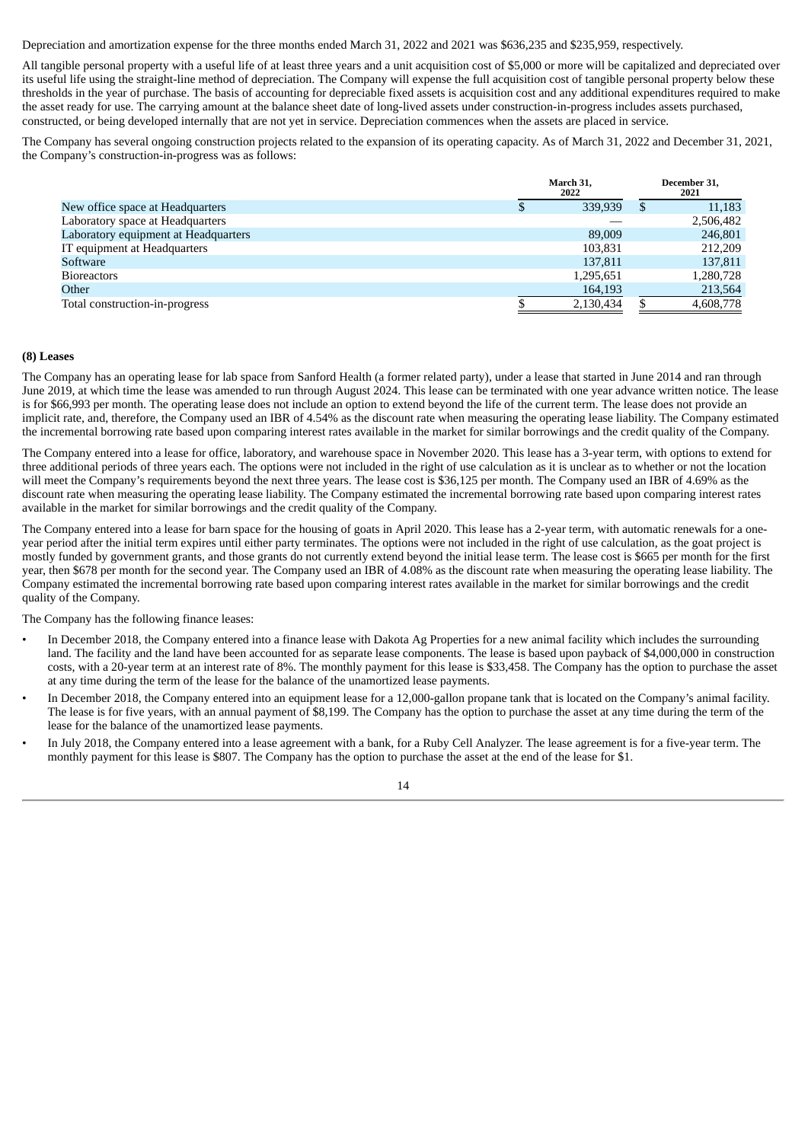Depreciation and amortization expense for the three months ended March 31, 2022 and 2021 was \$636,235 and \$235,959, respectively.

All tangible personal property with a useful life of at least three years and a unit acquisition cost of \$5,000 or more will be capitalized and depreciated over its useful life using the straight-line method of depreciation. The Company will expense the full acquisition cost of tangible personal property below these thresholds in the year of purchase. The basis of accounting for depreciable fixed assets is acquisition cost and any additional expenditures required to make the asset ready for use. The carrying amount at the balance sheet date of long-lived assets under construction-in-progress includes assets purchased, constructed, or being developed internally that are not yet in service. Depreciation commences when the assets are placed in service.

The Company has several ongoing construction projects related to the expansion of its operating capacity. As of March 31, 2022 and December 31, 2021, the Company's construction-in-progress was as follows:

|                                      | March 31.<br>2022 |   | December 31,<br>2021 |
|--------------------------------------|-------------------|---|----------------------|
| New office space at Headquarters     | 339,939           | Ъ | 11,183               |
| Laboratory space at Headquarters     |                   |   | 2,506,482            |
| Laboratory equipment at Headquarters | 89,009            |   | 246,801              |
| IT equipment at Headquarters         | 103.831           |   | 212,209              |
| Software                             | 137,811           |   | 137,811              |
| <b>Bioreactors</b>                   | 1,295,651         |   | 1,280,728            |
| Other                                | 164,193           |   | 213,564              |
| Total construction-in-progress       | 2,130,434         |   | 4,608,778            |

# **(8) Leases**

The Company has an operating lease for lab space from Sanford Health (a former related party), under a lease that started in June 2014 and ran through June 2019, at which time the lease was amended to run through August 2024. This lease can be terminated with one year advance written notice. The lease is for \$66,993 per month. The operating lease does not include an option to extend beyond the life of the current term. The lease does not provide an implicit rate, and, therefore, the Company used an IBR of 4.54% as the discount rate when measuring the operating lease liability. The Company estimated the incremental borrowing rate based upon comparing interest rates available in the market for similar borrowings and the credit quality of the Company.

The Company entered into a lease for office, laboratory, and warehouse space in November 2020. This lease has a 3-year term, with options to extend for three additional periods of three years each. The options were not included in the right of use calculation as it is unclear as to whether or not the location will meet the Company's requirements beyond the next three years. The lease cost is \$36,125 per month. The Company used an IBR of 4.69% as the discount rate when measuring the operating lease liability. The Company estimated the incremental borrowing rate based upon comparing interest rates available in the market for similar borrowings and the credit quality of the Company.

The Company entered into a lease for barn space for the housing of goats in April 2020. This lease has a 2-year term, with automatic renewals for a oneyear period after the initial term expires until either party terminates. The options were not included in the right of use calculation, as the goat project is mostly funded by government grants, and those grants do not currently extend beyond the initial lease term. The lease cost is \$665 per month for the first year, then \$678 per month for the second year. The Company used an IBR of 4.08% as the discount rate when measuring the operating lease liability. The Company estimated the incremental borrowing rate based upon comparing interest rates available in the market for similar borrowings and the credit quality of the Company.

The Company has the following finance leases:

- In December 2018, the Company entered into a finance lease with Dakota Ag Properties for a new animal facility which includes the surrounding land. The facility and the land have been accounted for as separate lease components. The lease is based upon payback of \$4,000,000 in construction costs, with a 20-year term at an interest rate of 8%. The monthly payment for this lease is \$33,458. The Company has the option to purchase the asset at any time during the term of the lease for the balance of the unamortized lease payments.
- In December 2018, the Company entered into an equipment lease for a 12,000-gallon propane tank that is located on the Company's animal facility. The lease is for five years, with an annual payment of \$8,199. The Company has the option to purchase the asset at any time during the term of the lease for the balance of the unamortized lease payments.
- In July 2018, the Company entered into a lease agreement with a bank, for a Ruby Cell Analyzer. The lease agreement is for a five-year term. The monthly payment for this lease is \$807. The Company has the option to purchase the asset at the end of the lease for \$1.

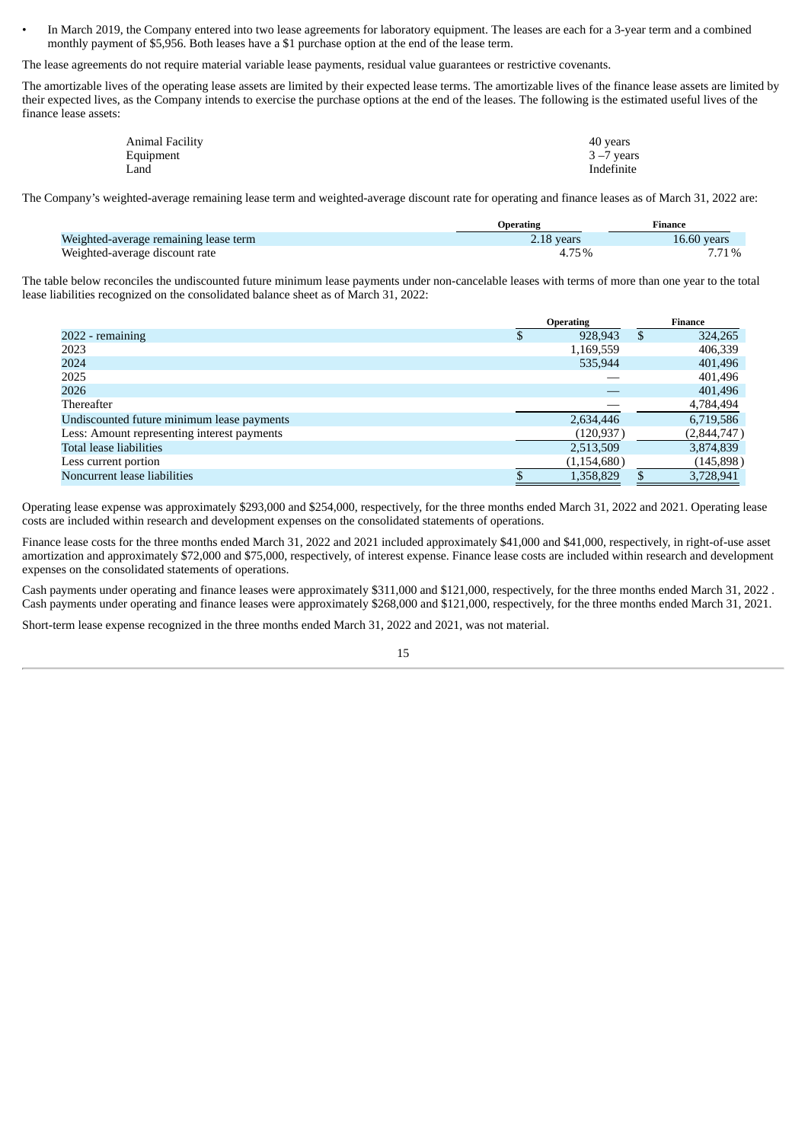• In March 2019, the Company entered into two lease agreements for laboratory equipment. The leases are each for a 3-year term and a combined monthly payment of \$5,956. Both leases have a \$1 purchase option at the end of the lease term.

The lease agreements do not require material variable lease payments, residual value guarantees or restrictive covenants.

The amortizable lives of the operating lease assets are limited by their expected lease terms. The amortizable lives of the finance lease assets are limited by their expected lives, as the Company intends to exercise the purchase options at the end of the leases. The following is the estimated useful lives of the finance lease assets:

| Animal Facility | 40 years      |
|-----------------|---------------|
| Equipment       | $3 - 7$ years |
| Land            | Indefinite    |

The Company's weighted-average remaining lease term and weighted-average discount rate for operating and finance leases as of March 31, 2022 are:

|                                       | Operating  | Finance     |
|---------------------------------------|------------|-------------|
| Weighted-average remaining lease term | 2.18 years | 16.60 vears |
| Weighted-average discount rate        |            | 7.71%       |

The table below reconciles the undiscounted future minimum lease payments under non-cancelable leases with terms of more than one year to the total lease liabilities recognized on the consolidated balance sheet as of March 31, 2022:

|                                             | <b>Operating</b> | <b>Finance</b> |             |  |
|---------------------------------------------|------------------|----------------|-------------|--|
| 2022 - remaining                            | 928,943          | \$.            | 324,265     |  |
| 2023                                        | 1,169,559        |                | 406,339     |  |
| 2024                                        | 535,944          |                | 401,496     |  |
| 2025                                        |                  |                | 401,496     |  |
| 2026                                        |                  |                | 401,496     |  |
| Thereafter                                  |                  |                | 4,784,494   |  |
| Undiscounted future minimum lease payments  | 2,634,446        |                | 6,719,586   |  |
| Less: Amount representing interest payments | (120, 937)       |                | (2,844,747) |  |
| Total lease liabilities                     | 2,513,509        |                | 3,874,839   |  |
| Less current portion                        | (1, 154, 680)    |                | (145, 898)  |  |
| Noncurrent lease liabilities                | 1,358,829        |                | 3,728,941   |  |

Operating lease expense was approximately \$293,000 and \$254,000, respectively, for the three months ended March 31, 2022 and 2021. Operating lease costs are included within research and development expenses on the consolidated statements of operations.

Finance lease costs for the three months ended March 31, 2022 and 2021 included approximately \$41,000 and \$41,000, respectively, in right-of-use asset amortization and approximately \$72,000 and \$75,000, respectively, of interest expense. Finance lease costs are included within research and development expenses on the consolidated statements of operations.

Cash payments under operating and finance leases were approximately \$311,000 and \$121,000, respectively, for the three months ended March 31, 2022 . Cash payments under operating and finance leases were approximately \$268,000 and \$121,000, respectively, for the three months ended March 31, 2021.

Short-term lease expense recognized in the three months ended March 31, 2022 and 2021, was not material.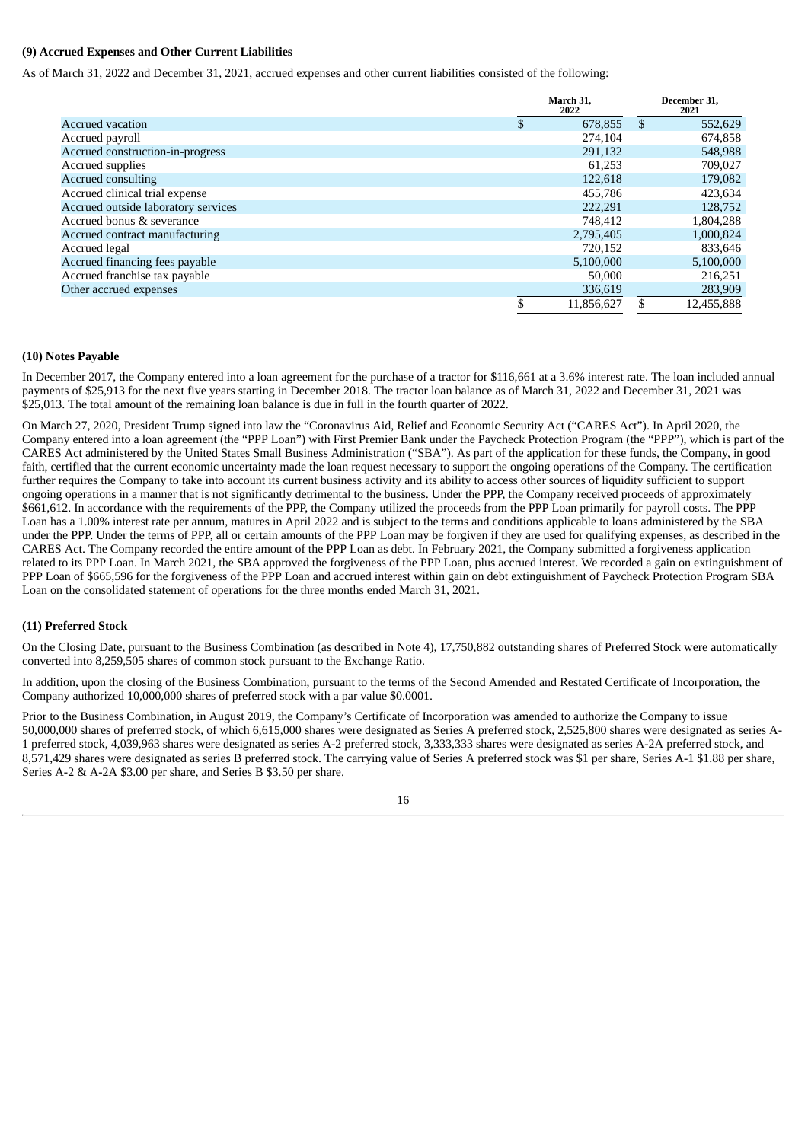# **(9) Accrued Expenses and Other Current Liabilities**

As of March 31, 2022 and December 31, 2021, accrued expenses and other current liabilities consisted of the following:

|                                     | March 31,<br>2022 | December 31,<br>2021 |
|-------------------------------------|-------------------|----------------------|
| <b>Accrued vacation</b>             | \$<br>678,855     | \$<br>552,629        |
| Accrued payroll                     | 274,104           | 674,858              |
| Accrued construction-in-progress    | 291,132           | 548,988              |
| Accrued supplies                    | 61.253            | 709,027              |
| <b>Accrued consulting</b>           | 122,618           | 179,082              |
| Accrued clinical trial expense      | 455,786           | 423,634              |
| Accrued outside laboratory services | 222.291           | 128,752              |
| Accrued bonus & severance           | 748.412           | 1,804,288            |
| Accrued contract manufacturing      | 2,795,405         | 1,000,824            |
| Accrued legal                       | 720.152           | 833,646              |
| Accrued financing fees payable      | 5,100,000         | 5,100,000            |
| Accrued franchise tax payable       | 50,000            | 216,251              |
| Other accrued expenses              | 336,619           | 283,909              |
|                                     | \$<br>11,856,627  | \$<br>12,455,888     |

# **(10) Notes Payable**

In December 2017, the Company entered into a loan agreement for the purchase of a tractor for \$116,661 at a 3.6% interest rate. The loan included annual payments of \$25,913 for the next five years starting in December 2018. The tractor loan balance as of March 31, 2022 and December 31, 2021 was \$25,013. The total amount of the remaining loan balance is due in full in the fourth quarter of 2022.

On March 27, 2020, President Trump signed into law the "Coronavirus Aid, Relief and Economic Security Act ("CARES Act"). In April 2020, the Company entered into a loan agreement (the "PPP Loan") with First Premier Bank under the Paycheck Protection Program (the "PPP"), which is part of the CARES Act administered by the United States Small Business Administration ("SBA"). As part of the application for these funds, the Company, in good faith, certified that the current economic uncertainty made the loan request necessary to support the ongoing operations of the Company. The certification further requires the Company to take into account its current business activity and its ability to access other sources of liquidity sufficient to support ongoing operations in a manner that is not significantly detrimental to the business. Under the PPP, the Company received proceeds of approximately \$661,612. In accordance with the requirements of the PPP, the Company utilized the proceeds from the PPP Loan primarily for payroll costs. The PPP Loan has a 1.00% interest rate per annum, matures in April 2022 and is subject to the terms and conditions applicable to loans administered by the SBA under the PPP. Under the terms of PPP, all or certain amounts of the PPP Loan may be forgiven if they are used for qualifying expenses, as described in the CARES Act. The Company recorded the entire amount of the PPP Loan as debt. In February 2021, the Company submitted a forgiveness application related to its PPP Loan. In March 2021, the SBA approved the forgiveness of the PPP Loan, plus accrued interest. We recorded a gain on extinguishment of PPP Loan of \$665,596 for the forgiveness of the PPP Loan and accrued interest within gain on debt extinguishment of Paycheck Protection Program SBA Loan on the consolidated statement of operations for the three months ended March 31, 2021.

# **(11) Preferred Stock**

On the Closing Date, pursuant to the Business Combination (as described in Note 4), 17,750,882 outstanding shares of Preferred Stock were automatically converted into 8,259,505 shares of common stock pursuant to the Exchange Ratio.

In addition, upon the closing of the Business Combination, pursuant to the terms of the Second Amended and Restated Certificate of Incorporation, the Company authorized 10,000,000 shares of preferred stock with a par value \$0.0001.

Prior to the Business Combination, in August 2019, the Company's Certificate of Incorporation was amended to authorize the Company to issue 50,000,000 shares of preferred stock, of which 6,615,000 shares were designated as Series A preferred stock, 2,525,800 shares were designated as series A-1 preferred stock, 4,039,963 shares were designated as series A-2 preferred stock, 3,333,333 shares were designated as series A-2A preferred stock, and 8,571,429 shares were designated as series B preferred stock. The carrying value of Series A preferred stock was \$1 per share, Series A-1 \$1.88 per share, Series A-2 & A-2A \$3.00 per share, and Series B \$3.50 per share.

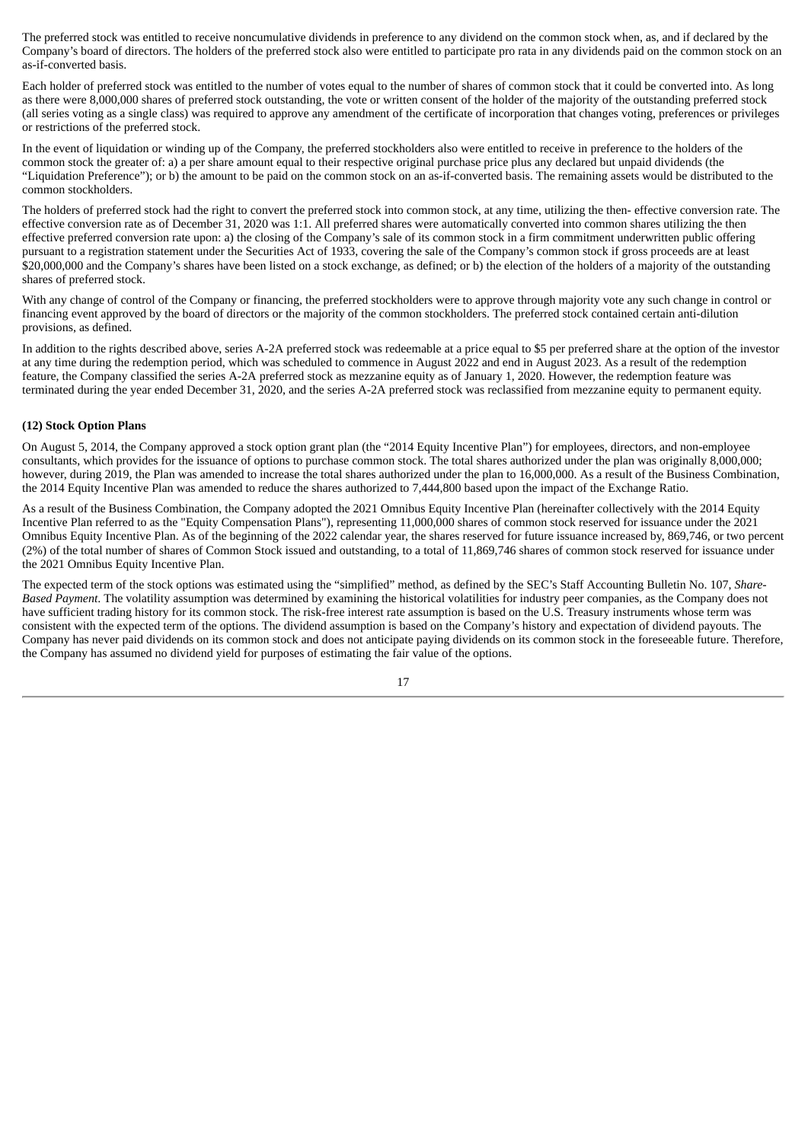The preferred stock was entitled to receive noncumulative dividends in preference to any dividend on the common stock when, as, and if declared by the Company's board of directors. The holders of the preferred stock also were entitled to participate pro rata in any dividends paid on the common stock on an as-if-converted basis.

Each holder of preferred stock was entitled to the number of votes equal to the number of shares of common stock that it could be converted into. As long as there were 8,000,000 shares of preferred stock outstanding, the vote or written consent of the holder of the majority of the outstanding preferred stock (all series voting as a single class) was required to approve any amendment of the certificate of incorporation that changes voting, preferences or privileges or restrictions of the preferred stock.

In the event of liquidation or winding up of the Company, the preferred stockholders also were entitled to receive in preference to the holders of the common stock the greater of: a) a per share amount equal to their respective original purchase price plus any declared but unpaid dividends (the "Liquidation Preference"); or b) the amount to be paid on the common stock on an as-if-converted basis. The remaining assets would be distributed to the common stockholders.

The holders of preferred stock had the right to convert the preferred stock into common stock, at any time, utilizing the then- effective conversion rate. The effective conversion rate as of December 31, 2020 was 1:1. All preferred shares were automatically converted into common shares utilizing the then effective preferred conversion rate upon: a) the closing of the Company's sale of its common stock in a firm commitment underwritten public offering pursuant to a registration statement under the Securities Act of 1933, covering the sale of the Company's common stock if gross proceeds are at least \$20,000,000 and the Company's shares have been listed on a stock exchange, as defined; or b) the election of the holders of a majority of the outstanding shares of preferred stock.

With any change of control of the Company or financing, the preferred stockholders were to approve through majority vote any such change in control or financing event approved by the board of directors or the majority of the common stockholders. The preferred stock contained certain anti-dilution provisions, as defined.

In addition to the rights described above, series A-2A preferred stock was redeemable at a price equal to \$5 per preferred share at the option of the investor at any time during the redemption period, which was scheduled to commence in August 2022 and end in August 2023. As a result of the redemption feature, the Company classified the series A-2A preferred stock as mezzanine equity as of January 1, 2020. However, the redemption feature was terminated during the year ended December 31, 2020, and the series A-2A preferred stock was reclassified from mezzanine equity to permanent equity.

# **(12) Stock Option Plans**

On August 5, 2014, the Company approved a stock option grant plan (the "2014 Equity Incentive Plan") for employees, directors, and non-employee consultants, which provides for the issuance of options to purchase common stock. The total shares authorized under the plan was originally 8,000,000; however, during 2019, the Plan was amended to increase the total shares authorized under the plan to 16,000,000. As a result of the Business Combination, the 2014 Equity Incentive Plan was amended to reduce the shares authorized to 7,444,800 based upon the impact of the Exchange Ratio.

As a result of the Business Combination, the Company adopted the 2021 Omnibus Equity Incentive Plan (hereinafter collectively with the 2014 Equity Incentive Plan referred to as the "Equity Compensation Plans"), representing 11,000,000 shares of common stock reserved for issuance under the 2021 Omnibus Equity Incentive Plan. As of the beginning of the 2022 calendar year, the shares reserved for future issuance increased by, 869,746, or two percent (2%) of the total number of shares of Common Stock issued and outstanding, to a total of 11,869,746 shares of common stock reserved for issuance under the 2021 Omnibus Equity Incentive Plan.

The expected term of the stock options was estimated using the "simplified" method, as defined by the SEC's Staff Accounting Bulletin No. 107, *Share-Based Payment*. The volatility assumption was determined by examining the historical volatilities for industry peer companies, as the Company does not have sufficient trading history for its common stock. The risk-free interest rate assumption is based on the U.S. Treasury instruments whose term was consistent with the expected term of the options. The dividend assumption is based on the Company's history and expectation of dividend payouts. The Company has never paid dividends on its common stock and does not anticipate paying dividends on its common stock in the foreseeable future. Therefore, the Company has assumed no dividend yield for purposes of estimating the fair value of the options.

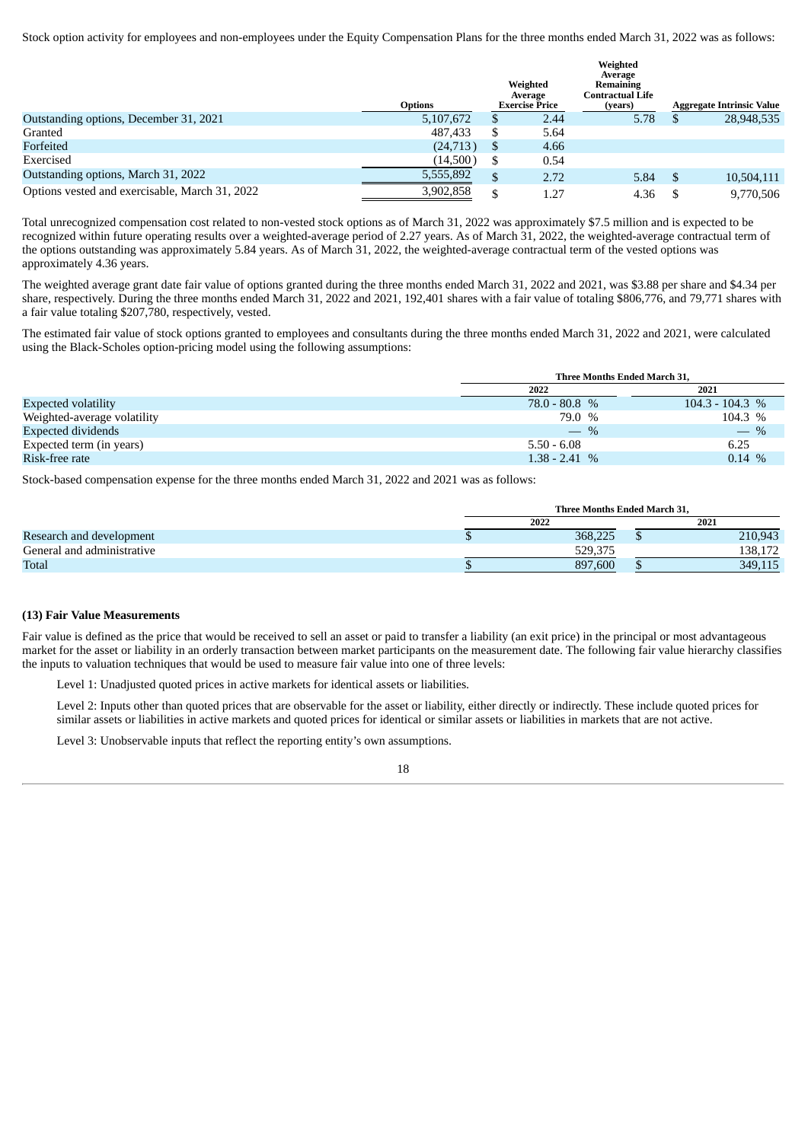Stock option activity for employees and non-employees under the Equity Compensation Plans for the three months ended March 31, 2022 was as follows:

|                                                | <b>Options</b> |     | Weighted<br>Average<br><b>Exercise Price</b> | Weighted<br>Average<br><b>Remaining</b><br>Contractual Life<br>(vears) | <b>Aggregate Intrinsic Value</b> |
|------------------------------------------------|----------------|-----|----------------------------------------------|------------------------------------------------------------------------|----------------------------------|
| Outstanding options, December 31, 2021         | 5,107,672      | S   | 2.44                                         | 5.78                                                                   | 28,948,535                       |
| Granted                                        | 487.433        | S   | 5.64                                         |                                                                        |                                  |
| Forfeited                                      | (24,713)       | \$. | 4.66                                         |                                                                        |                                  |
| Exercised                                      | (14,500)       | S   | 0.54                                         |                                                                        |                                  |
| Outstanding options, March 31, 2022            | 5,555,892      | \$  | 2.72                                         | 5.84                                                                   | 10,504,111                       |
| Options vested and exercisable, March 31, 2022 | 3,902,858      | \$  | 1.27                                         | 4.36                                                                   | 9.770.506                        |

Total unrecognized compensation cost related to non-vested stock options as of March 31, 2022 was approximately \$7.5 million and is expected to be recognized within future operating results over a weighted-average period of 2.27 years. As of March 31, 2022, the weighted-average contractual term of the options outstanding was approximately 5.84 years. As of March 31, 2022, the weighted-average contractual term of the vested options was approximately 4.36 years.

The weighted average grant date fair value of options granted during the three months ended March 31, 2022 and 2021, was \$3.88 per share and \$4.34 per share, respectively. During the three months ended March 31, 2022 and 2021, 192,401 shares with a fair value of totaling \$806,776, and 79,771 shares with a fair value totaling \$207,780, respectively, vested.

The estimated fair value of stock options granted to employees and consultants during the three months ended March 31, 2022 and 2021, were calculated using the Black-Scholes option-pricing model using the following assumptions:

|                             | <b>Three Months Ended March 31.</b> |                   |  |  |  |
|-----------------------------|-------------------------------------|-------------------|--|--|--|
|                             | 2022                                | 2021              |  |  |  |
| <b>Expected volatility</b>  | $78.0 - 80.8 %$                     | $104.3 - 104.3$ % |  |  |  |
| Weighted-average volatility | 79.0 %                              | 104.3 %           |  |  |  |
| <b>Expected dividends</b>   | $-$ %                               | $-$ %             |  |  |  |
| Expected term (in years)    | $5.50 - 6.08$                       | 6.25              |  |  |  |
| Risk-free rate              | $1.38 - 2.41%$                      | $0.14\%$          |  |  |  |

Stock-based compensation expense for the three months ended March 31, 2022 and 2021 was as follows:

|                            | Three Months Ended March 31, |         |  |         |  |  |  |
|----------------------------|------------------------------|---------|--|---------|--|--|--|
|                            | 2022                         |         |  | 2021    |  |  |  |
| Research and development   |                              | 368,225 |  | 210,943 |  |  |  |
| General and administrative |                              | 529,375 |  | 138.172 |  |  |  |
| Total                      |                              | 897,600 |  | 349,115 |  |  |  |

### **(13) Fair Value Measurements**

Fair value is defined as the price that would be received to sell an asset or paid to transfer a liability (an exit price) in the principal or most advantageous market for the asset or liability in an orderly transaction between market participants on the measurement date. The following fair value hierarchy classifies the inputs to valuation techniques that would be used to measure fair value into one of three levels:

Level 1: Unadjusted quoted prices in active markets for identical assets or liabilities.

Level 2: Inputs other than quoted prices that are observable for the asset or liability, either directly or indirectly. These include quoted prices for similar assets or liabilities in active markets and quoted prices for identical or similar assets or liabilities in markets that are not active.

Level 3: Unobservable inputs that reflect the reporting entity's own assumptions.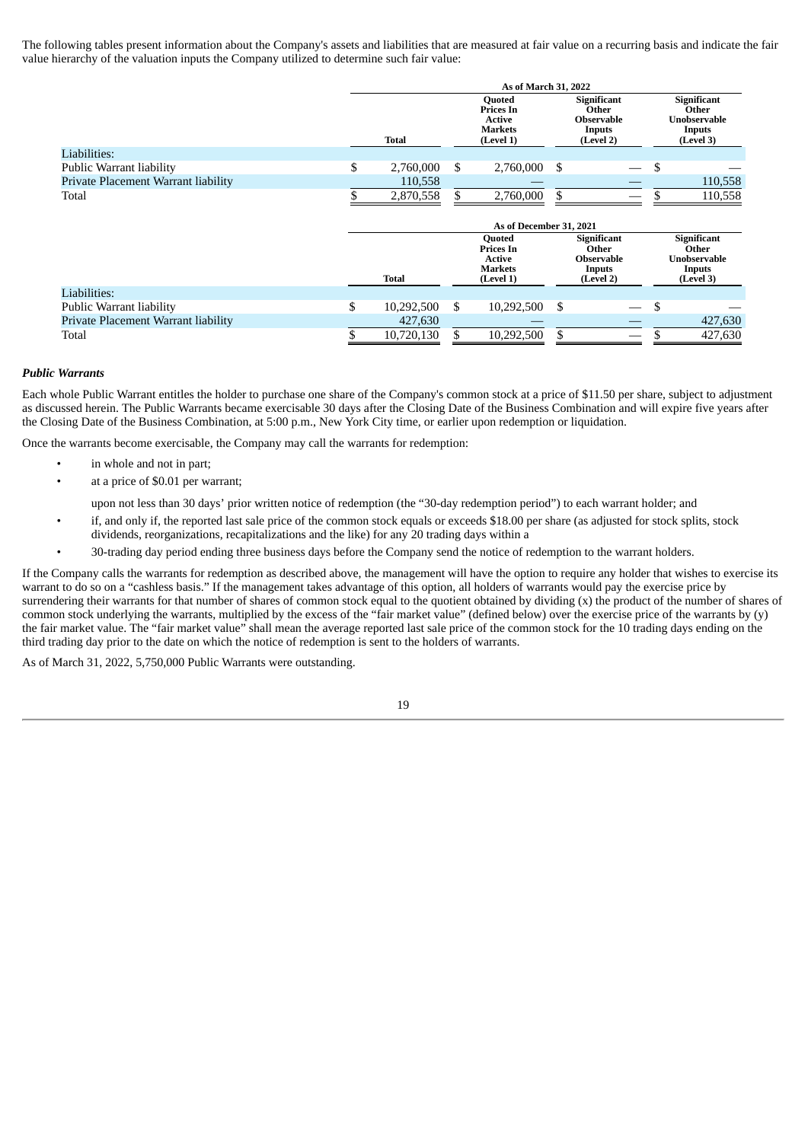The following tables present information about the Company's assets and liabilities that are measured at fair value on a recurring basis and indicate the fair value hierarchy of the valuation inputs the Company utilized to determine such fair value:

|                                     | As of March 31, 2022    |              |    |                                                                            |    |                                                                  |    |                                                                    |
|-------------------------------------|-------------------------|--------------|----|----------------------------------------------------------------------------|----|------------------------------------------------------------------|----|--------------------------------------------------------------------|
|                                     |                         | <b>Total</b> |    | <b>Quoted</b><br>Prices In<br><b>Active</b><br>Markets<br>(Level 1)        |    | Significant<br>Other<br><b>Observable</b><br>Inputs<br>(Level 2) |    | <b>Significant</b><br>Other<br>Unobservable<br>Inputs<br>(Level 3) |
| Liabilities:                        |                         |              |    |                                                                            |    |                                                                  |    |                                                                    |
| Public Warrant liability            | \$                      | 2,760,000    | \$ | 2,760,000                                                                  | \$ |                                                                  | S  |                                                                    |
| Private Placement Warrant liability |                         | 110,558      |    |                                                                            |    |                                                                  |    | 110,558                                                            |
| Total                               |                         | 2,870,558    | \$ | 2,760,000                                                                  | \$ |                                                                  |    | 110,558                                                            |
|                                     | As of December 31, 2021 |              |    |                                                                            |    |                                                                  |    |                                                                    |
|                                     |                         | <b>Total</b> |    | <b>Quoted</b><br>Prices In<br><b>Active</b><br><b>Markets</b><br>(Level 1) |    | Significant<br>Other<br><b>Observable</b><br>Inputs<br>(Level 2) |    | <b>Significant</b><br>Other<br>Unobservable<br>Inputs<br>(Level 3) |
| Liabilities:                        |                         |              |    |                                                                            |    |                                                                  |    |                                                                    |
| Public Warrant liability            | \$                      | 10,292,500   | \$ | 10,292,500                                                                 | \$ |                                                                  | \$ |                                                                    |
| Private Placement Warrant liability |                         | 427,630      |    |                                                                            |    |                                                                  |    | 427,630                                                            |
| Total                               | \$                      | 10,720,130   | \$ | 10,292,500                                                                 | \$ |                                                                  |    | 427,630                                                            |

# *Public Warrants*

Each whole Public Warrant entitles the holder to purchase one share of the Company's common stock at a price of \$11.50 per share, subject to adjustment as discussed herein. The Public Warrants became exercisable 30 days after the Closing Date of the Business Combination and will expire five years after the Closing Date of the Business Combination, at 5:00 p.m., New York City time, or earlier upon redemption or liquidation.

Once the warrants become exercisable, the Company may call the warrants for redemption:

- in whole and not in part;
- at a price of \$0.01 per warrant;

upon not less than 30 days' prior written notice of redemption (the "30-day redemption period") to each warrant holder; and

- if, and only if, the reported last sale price of the common stock equals or exceeds \$18.00 per share (as adjusted for stock splits, stock dividends, reorganizations, recapitalizations and the like) for any 20 trading days within a
- 30-trading day period ending three business days before the Company send the notice of redemption to the warrant holders.

If the Company calls the warrants for redemption as described above, the management will have the option to require any holder that wishes to exercise its warrant to do so on a "cashless basis." If the management takes advantage of this option, all holders of warrants would pay the exercise price by surrendering their warrants for that number of shares of common stock equal to the quotient obtained by dividing (x) the product of the number of shares of common stock underlying the warrants, multiplied by the excess of the "fair market value" (defined below) over the exercise price of the warrants by (y) the fair market value. The "fair market value" shall mean the average reported last sale price of the common stock for the 10 trading days ending on the third trading day prior to the date on which the notice of redemption is sent to the holders of warrants.

As of March 31, 2022, 5,750,000 Public Warrants were outstanding.

| I | ٠                |
|---|------------------|
|   | I<br>I<br>×<br>۹ |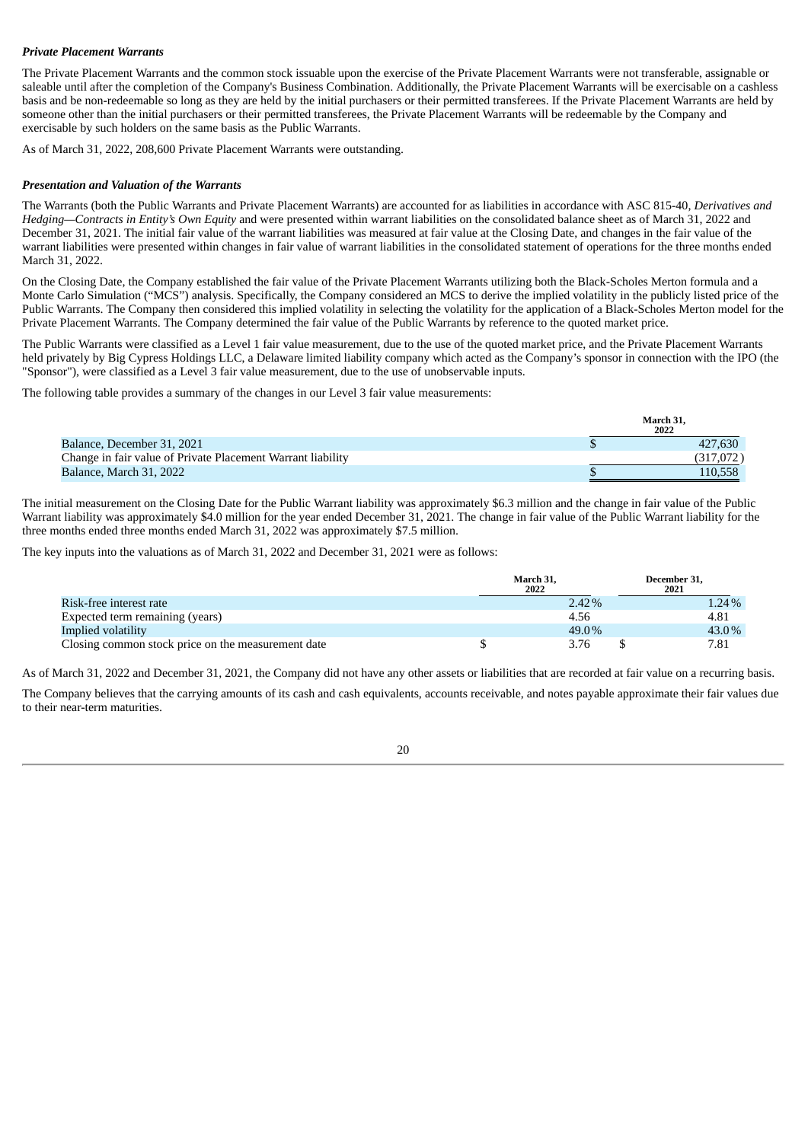# *Private Placement Warrants*

The Private Placement Warrants and the common stock issuable upon the exercise of the Private Placement Warrants were not transferable, assignable or saleable until after the completion of the Company's Business Combination. Additionally, the Private Placement Warrants will be exercisable on a cashless basis and be non-redeemable so long as they are held by the initial purchasers or their permitted transferees. If the Private Placement Warrants are held by someone other than the initial purchasers or their permitted transferees, the Private Placement Warrants will be redeemable by the Company and exercisable by such holders on the same basis as the Public Warrants.

As of March 31, 2022, 208,600 Private Placement Warrants were outstanding.

# *Presentation and Valuation of the Warrants*

The Warrants (both the Public Warrants and Private Placement Warrants) are accounted for as liabilities in accordance with ASC 815-40, *Derivatives and Hedging—Contracts in Entity's Own Equity* and were presented within warrant liabilities on the consolidated balance sheet as of March 31, 2022 and December 31, 2021. The initial fair value of the warrant liabilities was measured at fair value at the Closing Date, and changes in the fair value of the warrant liabilities were presented within changes in fair value of warrant liabilities in the consolidated statement of operations for the three months ended March 31, 2022.

On the Closing Date, the Company established the fair value of the Private Placement Warrants utilizing both the Black-Scholes Merton formula and a Monte Carlo Simulation ("MCS") analysis. Specifically, the Company considered an MCS to derive the implied volatility in the publicly listed price of the Public Warrants. The Company then considered this implied volatility in selecting the volatility for the application of a Black-Scholes Merton model for the Private Placement Warrants. The Company determined the fair value of the Public Warrants by reference to the quoted market price.

The Public Warrants were classified as a Level 1 fair value measurement, due to the use of the quoted market price, and the Private Placement Warrants held privately by Big Cypress Holdings LLC, a Delaware limited liability company which acted as the Company's sponsor in connection with the IPO (the "Sponsor"), were classified as a Level 3 fair value measurement, due to the use of unobservable inputs.

The following table provides a summary of the changes in our Level 3 fair value measurements:

|                                                             | March 31,<br>2022 |
|-------------------------------------------------------------|-------------------|
| Balance, December 31, 2021                                  | 427,630           |
| Change in fair value of Private Placement Warrant liability | (317.072)         |
| Balance, March 31, 2022                                     | 110.558           |

The initial measurement on the Closing Date for the Public Warrant liability was approximately \$6.3 million and the change in fair value of the Public Warrant liability was approximately \$4.0 million for the year ended December 31, 2021. The change in fair value of the Public Warrant liability for the three months ended three months ended March 31, 2022 was approximately \$7.5 million.

The key inputs into the valuations as of March 31, 2022 and December 31, 2021 were as follows:

|                                                    | March 31.<br>2022 |          | December 31,<br>2021 |       |
|----------------------------------------------------|-------------------|----------|----------------------|-------|
| Risk-free interest rate                            |                   | $2.42\%$ |                      | 1.24% |
| Expected term remaining (years)                    |                   | 4.56     |                      | 4.81  |
| Implied volatility                                 |                   | 49.0%    |                      | 43.0% |
| Closing common stock price on the measurement date |                   | 3.76     |                      | 7.81  |

As of March 31, 2022 and December 31, 2021, the Company did not have any other assets or liabilities that are recorded at fair value on a recurring basis.

The Company believes that the carrying amounts of its cash and cash equivalents, accounts receivable, and notes payable approximate their fair values due to their near-term maturities.

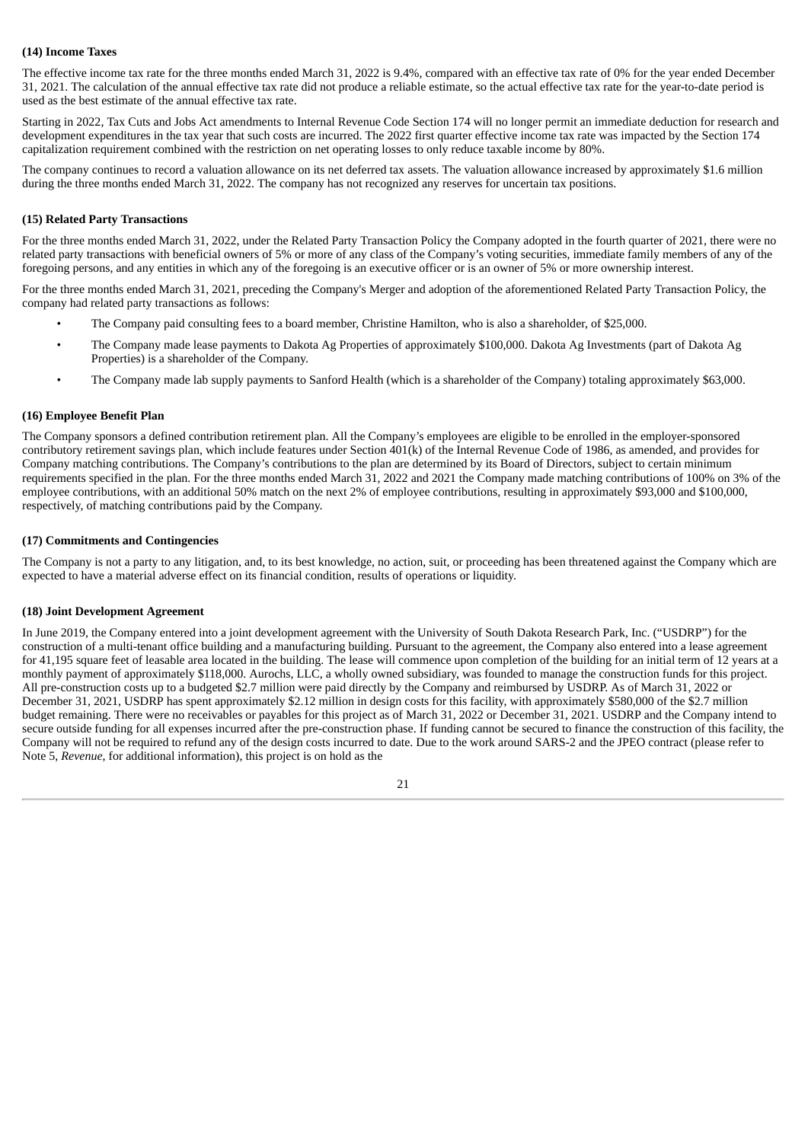# **(14) Income Taxes**

The effective income tax rate for the three months ended March 31, 2022 is 9.4%, compared with an effective tax rate of 0% for the year ended December 31, 2021. The calculation of the annual effective tax rate did not produce a reliable estimate, so the actual effective tax rate for the year-to-date period is used as the best estimate of the annual effective tax rate.

Starting in 2022, Tax Cuts and Jobs Act amendments to Internal Revenue Code Section 174 will no longer permit an immediate deduction for research and development expenditures in the tax year that such costs are incurred. The 2022 first quarter effective income tax rate was impacted by the Section 174 capitalization requirement combined with the restriction on net operating losses to only reduce taxable income by 80%.

The company continues to record a valuation allowance on its net deferred tax assets. The valuation allowance increased by approximately \$1.6 million during the three months ended March 31, 2022. The company has not recognized any reserves for uncertain tax positions.

# **(15) Related Party Transactions**

For the three months ended March 31, 2022, under the Related Party Transaction Policy the Company adopted in the fourth quarter of 2021, there were no related party transactions with beneficial owners of 5% or more of any class of the Company's voting securities, immediate family members of any of the foregoing persons, and any entities in which any of the foregoing is an executive officer or is an owner of 5% or more ownership interest.

For the three months ended March 31, 2021, preceding the Company's Merger and adoption of the aforementioned Related Party Transaction Policy, the company had related party transactions as follows:

- The Company paid consulting fees to a board member, Christine Hamilton, who is also a shareholder, of \$25,000.
- The Company made lease payments to Dakota Ag Properties of approximately \$100,000. Dakota Ag Investments (part of Dakota Ag Properties) is a shareholder of the Company.
- The Company made lab supply payments to Sanford Health (which is a shareholder of the Company) totaling approximately \$63,000.

# **(16) Employee Benefit Plan**

The Company sponsors a defined contribution retirement plan. All the Company's employees are eligible to be enrolled in the employer-sponsored contributory retirement savings plan, which include features under Section 401(k) of the Internal Revenue Code of 1986, as amended, and provides for Company matching contributions. The Company's contributions to the plan are determined by its Board of Directors, subject to certain minimum requirements specified in the plan. For the three months ended March 31, 2022 and 2021 the Company made matching contributions of 100% on 3% of the employee contributions, with an additional 50% match on the next 2% of employee contributions, resulting in approximately \$93,000 and \$100,000, respectively, of matching contributions paid by the Company.

# **(17) Commitments and Contingencies**

The Company is not a party to any litigation, and, to its best knowledge, no action, suit, or proceeding has been threatened against the Company which are expected to have a material adverse effect on its financial condition, results of operations or liquidity.

# **(18) Joint Development Agreement**

In June 2019, the Company entered into a joint development agreement with the University of South Dakota Research Park, Inc. ("USDRP") for the construction of a multi-tenant office building and a manufacturing building. Pursuant to the agreement, the Company also entered into a lease agreement for 41,195 square feet of leasable area located in the building. The lease will commence upon completion of the building for an initial term of 12 years at a monthly payment of approximately \$118,000. Aurochs, LLC, a wholly owned subsidiary, was founded to manage the construction funds for this project. All pre-construction costs up to a budgeted \$2.7 million were paid directly by the Company and reimbursed by USDRP. As of March 31, 2022 or December 31, 2021, USDRP has spent approximately \$2.12 million in design costs for this facility, with approximately \$580,000 of the \$2.7 million budget remaining. There were no receivables or payables for this project as of March 31, 2022 or December 31, 2021. USDRP and the Company intend to secure outside funding for all expenses incurred after the pre-construction phase. If funding cannot be secured to finance the construction of this facility, the Company will not be required to refund any of the design costs incurred to date. Due to the work around SARS-2 and the JPEO contract (please refer to Note 5, *Revenue*, for additional information), this project is on hold as the

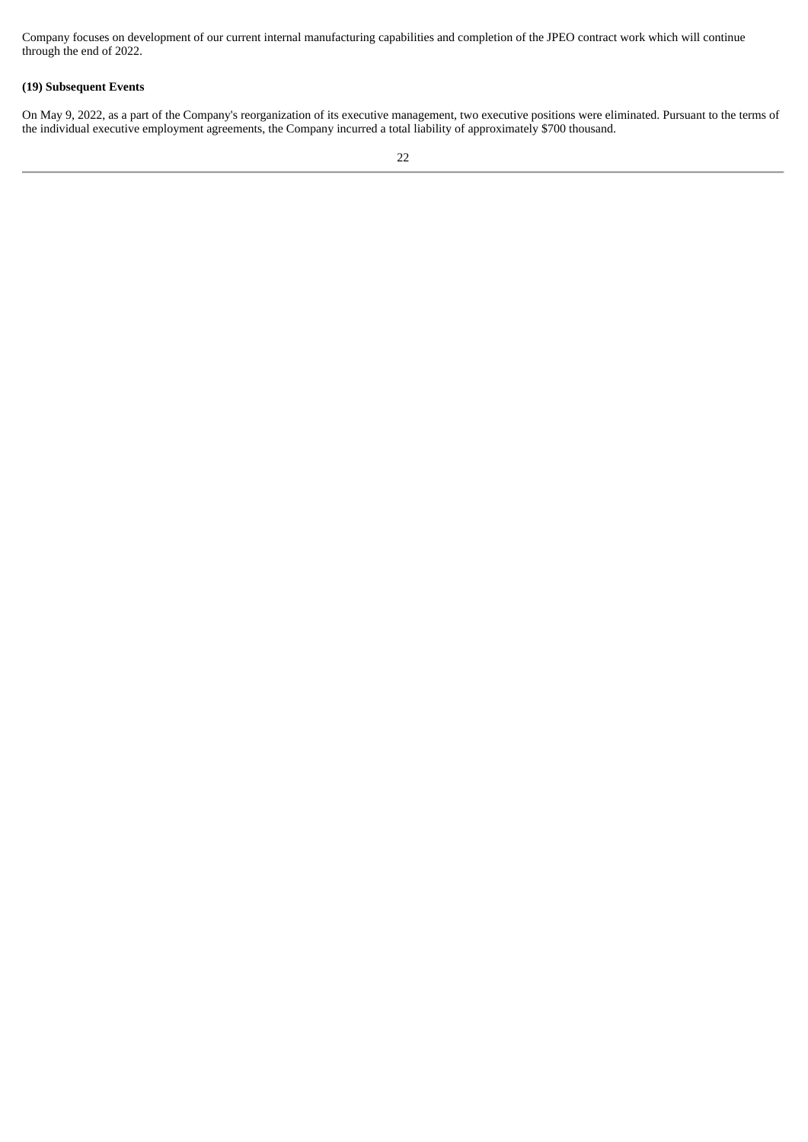Company focuses on development of our current internal manufacturing capabilities and completion of the JPEO contract work which will continue through the end of 2022.

# **(19) Subsequent Events**

On May 9, 2022, as a part of the Company's reorganization of its executive management, two executive positions were eliminated. Pursuant to the terms of the individual executive employment agreements, the Company incurred a total liability of approximately \$700 thousand.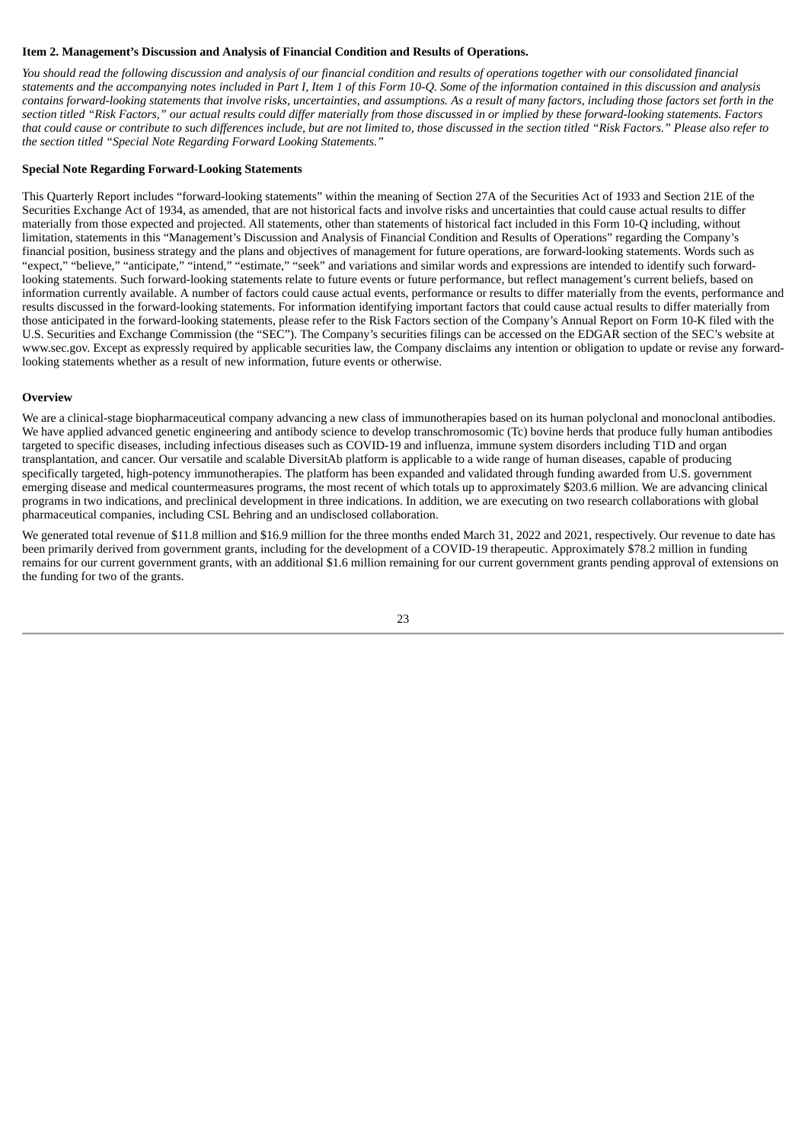# <span id="page-25-0"></span>**Item 2. Management's Discussion and Analysis of Financial Condition and Results of Operations.**

You should read the following discussion and analysis of our financial condition and results of operations together with our consolidated financial statements and the accompanying notes included in Part I, Item 1 of this Form 10-Q. Some of the information contained in this discussion and analysis contains forward-looking statements that involve risks, uncertainties, and assumptions. As a result of many factors, including those factors set forth in the section titled "Risk Factors." our actual results could differ materially from those discussed in or implied by these forward-looking statements. Factors that could cause or contribute to such differences include, but are not limited to, those discussed in the section titled "Risk Factors." Please also refer to *the section titled "Special Note Regarding Forward Looking Statements."*

### **Special Note Regarding Forward-Looking Statements**

This Quarterly Report includes "forward-looking statements" within the meaning of Section 27A of the Securities Act of 1933 and Section 21E of the Securities Exchange Act of 1934, as amended, that are not historical facts and involve risks and uncertainties that could cause actual results to differ materially from those expected and projected. All statements, other than statements of historical fact included in this Form 10-Q including, without limitation, statements in this "Management's Discussion and Analysis of Financial Condition and Results of Operations" regarding the Company's financial position, business strategy and the plans and objectives of management for future operations, are forward-looking statements. Words such as "expect," "believe," "anticipate," "intend," "estimate," "seek" and variations and similar words and expressions are intended to identify such forwardlooking statements. Such forward-looking statements relate to future events or future performance, but reflect management's current beliefs, based on information currently available. A number of factors could cause actual events, performance or results to differ materially from the events, performance and results discussed in the forward-looking statements. For information identifying important factors that could cause actual results to differ materially from those anticipated in the forward-looking statements, please refer to the Risk Factors section of the Company's Annual Report on Form 10-K filed with the U.S. Securities and Exchange Commission (the "SEC"). The Company's securities filings can be accessed on the EDGAR section of the SEC's website at www.sec.gov. Except as expressly required by applicable securities law, the Company disclaims any intention or obligation to update or revise any forwardlooking statements whether as a result of new information, future events or otherwise.

### **Overview**

We are a clinical-stage biopharmaceutical company advancing a new class of immunotherapies based on its human polyclonal and monoclonal antibodies. We have applied advanced genetic engineering and antibody science to develop transchromosomic (Tc) bovine herds that produce fully human antibodies targeted to specific diseases, including infectious diseases such as COVID-19 and influenza, immune system disorders including T1D and organ transplantation, and cancer. Our versatile and scalable DiversitAb platform is applicable to a wide range of human diseases, capable of producing specifically targeted, high-potency immunotherapies. The platform has been expanded and validated through funding awarded from U.S. government emerging disease and medical countermeasures programs, the most recent of which totals up to approximately \$203.6 million. We are advancing clinical programs in two indications, and preclinical development in three indications. In addition, we are executing on two research collaborations with global pharmaceutical companies, including CSL Behring and an undisclosed collaboration.

We generated total revenue of \$11.8 million and \$16.9 million for the three months ended March 31, 2022 and 2021, respectively. Our revenue to date has been primarily derived from government grants, including for the development of a COVID-19 therapeutic. Approximately \$78.2 million in funding remains for our current government grants, with an additional \$1.6 million remaining for our current government grants pending approval of extensions on the funding for two of the grants.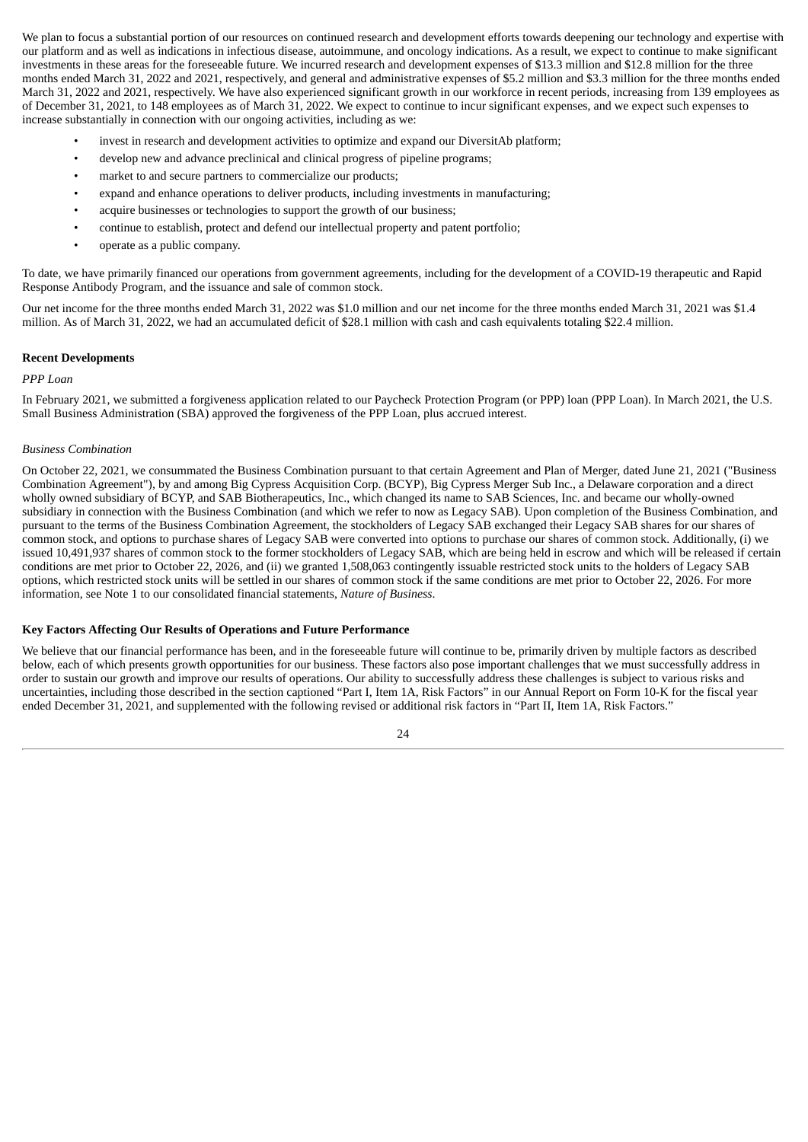We plan to focus a substantial portion of our resources on continued research and development efforts towards deepening our technology and expertise with our platform and as well as indications in infectious disease, autoimmune, and oncology indications. As a result, we expect to continue to make significant investments in these areas for the foreseeable future. We incurred research and development expenses of \$13.3 million and \$12.8 million for the three months ended March 31, 2022 and 2021, respectively, and general and administrative expenses of \$5.2 million and \$3.3 million for the three months ended March 31, 2022 and 2021, respectively. We have also experienced significant growth in our workforce in recent periods, increasing from 139 employees as of December 31, 2021, to 148 employees as of March 31, 2022. We expect to continue to incur significant expenses, and we expect such expenses to increase substantially in connection with our ongoing activities, including as we:

- invest in research and development activities to optimize and expand our DiversitAb platform;
- develop new and advance preclinical and clinical progress of pipeline programs;
- market to and secure partners to commercialize our products;
- expand and enhance operations to deliver products, including investments in manufacturing;
- acquire businesses or technologies to support the growth of our business;
- continue to establish, protect and defend our intellectual property and patent portfolio;
- operate as a public company.

To date, we have primarily financed our operations from government agreements, including for the development of a COVID-19 therapeutic and Rapid Response Antibody Program, and the issuance and sale of common stock.

Our net income for the three months ended March 31, 2022 was \$1.0 million and our net income for the three months ended March 31, 2021 was \$1.4 million. As of March 31, 2022, we had an accumulated deficit of \$28.1 million with cash and cash equivalents totaling \$22.4 million.

### **Recent Developments**

# *PPP Loan*

In February 2021, we submitted a forgiveness application related to our Paycheck Protection Program (or PPP) loan (PPP Loan). In March 2021, the U.S. Small Business Administration (SBA) approved the forgiveness of the PPP Loan, plus accrued interest.

### *Business Combination*

On October 22, 2021, we consummated the Business Combination pursuant to that certain Agreement and Plan of Merger, dated June 21, 2021 ("Business Combination Agreement"), by and among Big Cypress Acquisition Corp. (BCYP), Big Cypress Merger Sub Inc., a Delaware corporation and a direct wholly owned subsidiary of BCYP, and SAB Biotherapeutics, Inc., which changed its name to SAB Sciences, Inc. and became our wholly-owned subsidiary in connection with the Business Combination (and which we refer to now as Legacy SAB). Upon completion of the Business Combination, and pursuant to the terms of the Business Combination Agreement, the stockholders of Legacy SAB exchanged their Legacy SAB shares for our shares of common stock, and options to purchase shares of Legacy SAB were converted into options to purchase our shares of common stock. Additionally, (i) we issued 10,491,937 shares of common stock to the former stockholders of Legacy SAB, which are being held in escrow and which will be released if certain conditions are met prior to October 22, 2026, and (ii) we granted 1,508,063 contingently issuable restricted stock units to the holders of Legacy SAB options, which restricted stock units will be settled in our shares of common stock if the same conditions are met prior to October 22, 2026. For more information, see Note 1 to our consolidated financial statements, *Nature of Business*.

# **Key Factors Affecting Our Results of Operations and Future Performance**

We believe that our financial performance has been, and in the foreseeable future will continue to be, primarily driven by multiple factors as described below, each of which presents growth opportunities for our business. These factors also pose important challenges that we must successfully address in order to sustain our growth and improve our results of operations. Our ability to successfully address these challenges is subject to various risks and uncertainties, including those described in the section captioned "Part I, Item 1A, Risk Factors" in our Annual Report on Form 10-K for the fiscal year ended December 31, 2021, and supplemented with the following revised or additional risk factors in "Part II, Item 1A, Risk Factors."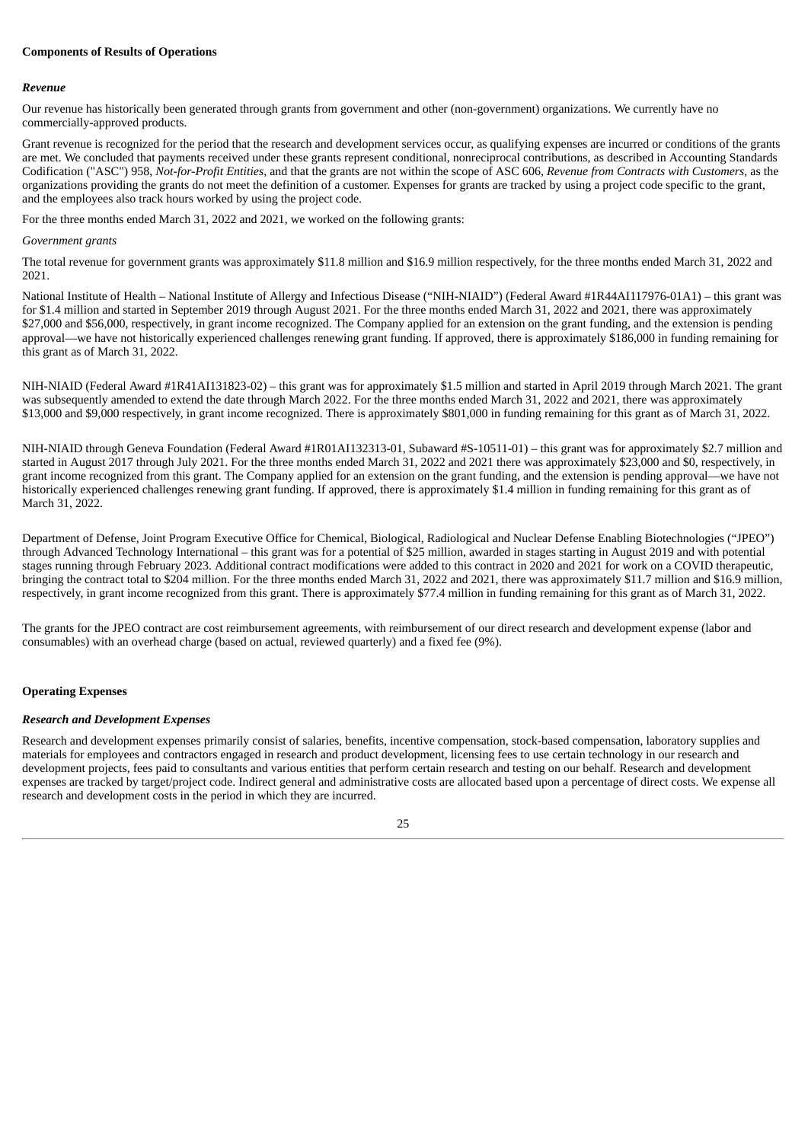# **Components of Results of Operations**

### *Revenue*

Our revenue has historically been generated through grants from government and other (non-government) organizations. We currently have no commercially-approved products.

Grant revenue is recognized for the period that the research and development services occur, as qualifying expenses are incurred or conditions of the grants are met. We concluded that payments received under these grants represent conditional, nonreciprocal contributions, as described in Accounting Standards Codification ("ASC") 958, *Not-for-Profit Entities*, and that the grants are not within the scope of ASC 606, *Revenue from Contracts with Customers*, as the organizations providing the grants do not meet the definition of a customer. Expenses for grants are tracked by using a project code specific to the grant, and the employees also track hours worked by using the project code.

For the three months ended March 31, 2022 and 2021, we worked on the following grants:

### *Government grants*

The total revenue for government grants was approximately \$11.8 million and \$16.9 million respectively, for the three months ended March 31, 2022 and 2021.

National Institute of Health – National Institute of Allergy and Infectious Disease ("NIH-NIAID") (Federal Award #1R44AI117976-01A1) – this grant was for \$1.4 million and started in September 2019 through August 2021. For the three months ended March 31, 2022 and 2021, there was approximately \$27,000 and \$56,000, respectively, in grant income recognized. The Company applied for an extension on the grant funding, and the extension is pending approval—we have not historically experienced challenges renewing grant funding. If approved, there is approximately \$186,000 in funding remaining for this grant as of March 31, 2022.

NIH-NIAID (Federal Award #1R41AI131823-02) – this grant was for approximately \$1.5 million and started in April 2019 through March 2021. The grant was subsequently amended to extend the date through March 2022. For the three months ended March 31, 2022 and 2021, there was approximately \$13,000 and \$9,000 respectively, in grant income recognized. There is approximately \$801,000 in funding remaining for this grant as of March 31, 2022.

NIH-NIAID through Geneva Foundation (Federal Award #1R01AI132313-01, Subaward #S-10511-01) – this grant was for approximately \$2.7 million and started in August 2017 through July 2021. For the three months ended March 31, 2022 and 2021 there was approximately \$23,000 and \$0, respectively, in grant income recognized from this grant. The Company applied for an extension on the grant funding, and the extension is pending approval—we have not historically experienced challenges renewing grant funding. If approved, there is approximately \$1.4 million in funding remaining for this grant as of March 31, 2022.

Department of Defense, Joint Program Executive Office for Chemical, Biological, Radiological and Nuclear Defense Enabling Biotechnologies ("JPEO") through Advanced Technology International – this grant was for a potential of \$25 million, awarded in stages starting in August 2019 and with potential stages running through February 2023. Additional contract modifications were added to this contract in 2020 and 2021 for work on a COVID therapeutic, bringing the contract total to \$204 million. For the three months ended March 31, 2022 and 2021, there was approximately \$11.7 million and \$16.9 million, respectively, in grant income recognized from this grant. There is approximately \$77.4 million in funding remaining for this grant as of March 31, 2022.

The grants for the JPEO contract are cost reimbursement agreements, with reimbursement of our direct research and development expense (labor and consumables) with an overhead charge (based on actual, reviewed quarterly) and a fixed fee (9%).

### **Operating Expenses**

### *Research and Development Expenses*

Research and development expenses primarily consist of salaries, benefits, incentive compensation, stock-based compensation, laboratory supplies and materials for employees and contractors engaged in research and product development, licensing fees to use certain technology in our research and development projects, fees paid to consultants and various entities that perform certain research and testing on our behalf. Research and development expenses are tracked by target/project code. Indirect general and administrative costs are allocated based upon a percentage of direct costs. We expense all research and development costs in the period in which they are incurred.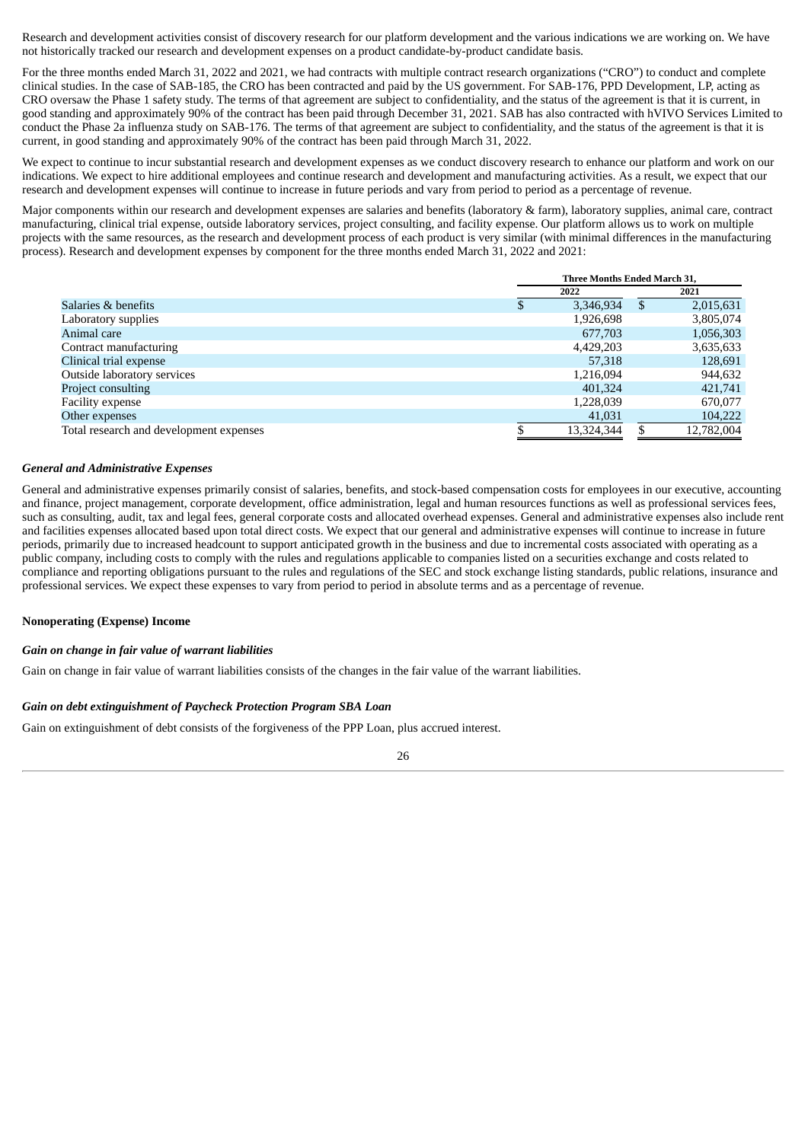Research and development activities consist of discovery research for our platform development and the various indications we are working on. We have not historically tracked our research and development expenses on a product candidate-by-product candidate basis.

For the three months ended March 31, 2022 and 2021, we had contracts with multiple contract research organizations ("CRO") to conduct and complete clinical studies. In the case of SAB-185, the CRO has been contracted and paid by the US government. For SAB-176, PPD Development, LP, acting as CRO oversaw the Phase 1 safety study. The terms of that agreement are subject to confidentiality, and the status of the agreement is that it is current, in good standing and approximately 90% of the contract has been paid through December 31, 2021. SAB has also contracted with hVIVO Services Limited to conduct the Phase 2a influenza study on SAB-176. The terms of that agreement are subject to confidentiality, and the status of the agreement is that it is current, in good standing and approximately 90% of the contract has been paid through March 31, 2022.

We expect to continue to incur substantial research and development expenses as we conduct discovery research to enhance our platform and work on our indications. We expect to hire additional employees and continue research and development and manufacturing activities. As a result, we expect that our research and development expenses will continue to increase in future periods and vary from period to period as a percentage of revenue.

Major components within our research and development expenses are salaries and benefits (laboratory & farm), laboratory supplies, animal care, contract manufacturing, clinical trial expense, outside laboratory services, project consulting, and facility expense. Our platform allows us to work on multiple projects with the same resources, as the research and development process of each product is very similar (with minimal differences in the manufacturing process). Research and development expenses by component for the three months ended March 31, 2022 and 2021:

|                                         |   | Three Months Ended March 31, |   |            |  |  |  |  |
|-----------------------------------------|---|------------------------------|---|------------|--|--|--|--|
|                                         |   | 2022                         |   | 2021       |  |  |  |  |
| Salaries & benefits                     | Ъ | 3,346,934                    | S | 2,015,631  |  |  |  |  |
| Laboratory supplies                     |   | 1,926,698                    |   | 3,805,074  |  |  |  |  |
| Animal care                             |   | 677,703                      |   | 1,056,303  |  |  |  |  |
| Contract manufacturing                  |   | 4,429,203                    |   | 3,635,633  |  |  |  |  |
| Clinical trial expense                  |   | 57,318                       |   | 128,691    |  |  |  |  |
| Outside laboratory services             |   | 1,216,094                    |   | 944,632    |  |  |  |  |
| <b>Project consulting</b>               |   | 401,324                      |   | 421.741    |  |  |  |  |
| Facility expense                        |   | 1,228,039                    |   | 670.077    |  |  |  |  |
| Other expenses                          |   | 41,031                       |   | 104,222    |  |  |  |  |
| Total research and development expenses |   | 13,324,344                   |   | 12,782,004 |  |  |  |  |

### *General and Administrative Expenses*

General and administrative expenses primarily consist of salaries, benefits, and stock-based compensation costs for employees in our executive, accounting and finance, project management, corporate development, office administration, legal and human resources functions as well as professional services fees, such as consulting, audit, tax and legal fees, general corporate costs and allocated overhead expenses. General and administrative expenses also include rent and facilities expenses allocated based upon total direct costs. We expect that our general and administrative expenses will continue to increase in future periods, primarily due to increased headcount to support anticipated growth in the business and due to incremental costs associated with operating as a public company, including costs to comply with the rules and regulations applicable to companies listed on a securities exchange and costs related to compliance and reporting obligations pursuant to the rules and regulations of the SEC and stock exchange listing standards, public relations, insurance and professional services. We expect these expenses to vary from period to period in absolute terms and as a percentage of revenue.

# **Nonoperating (Expense) Income**

#### *Gain on change in fair value of warrant liabilities*

Gain on change in fair value of warrant liabilities consists of the changes in the fair value of the warrant liabilities.

#### *Gain on debt extinguishment of Paycheck Protection Program SBA Loan*

Gain on extinguishment of debt consists of the forgiveness of the PPP Loan, plus accrued interest.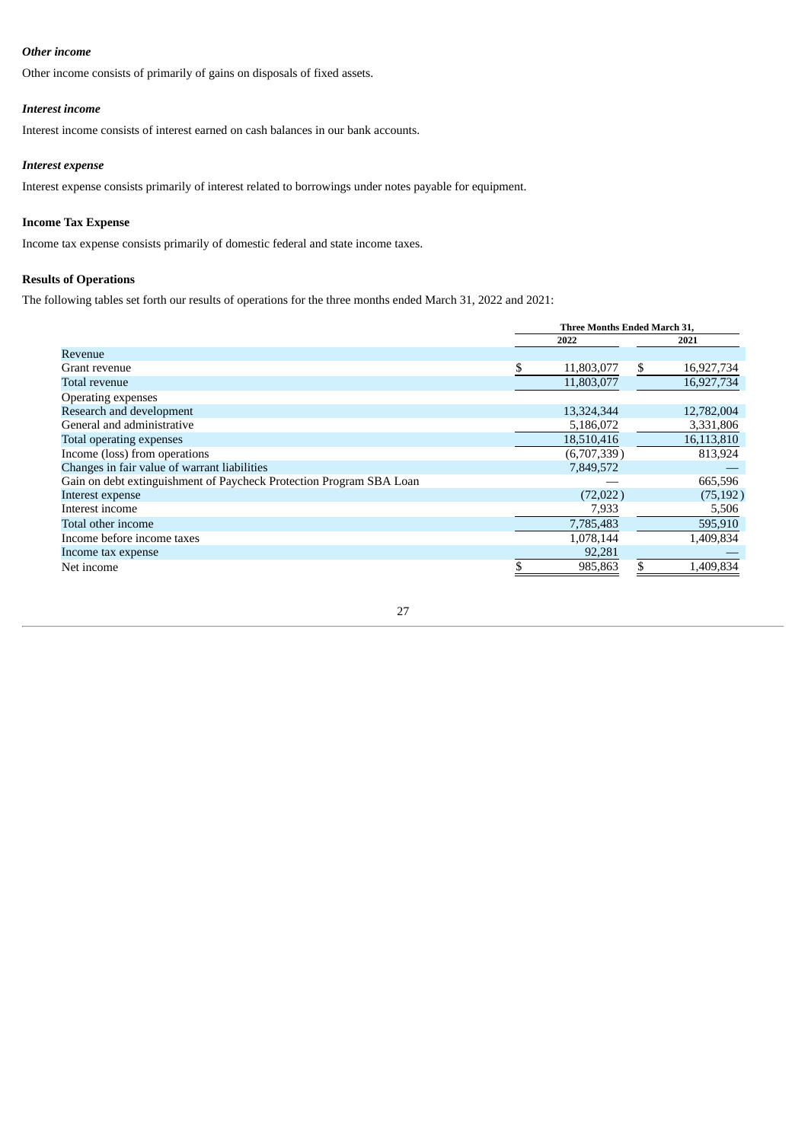# *Other income*

Other income consists of primarily of gains on disposals of fixed assets.

### *Interest income*

Interest income consists of interest earned on cash balances in our bank accounts.

# *Interest expense*

Interest expense consists primarily of interest related to borrowings under notes payable for equipment.

# **Income Tax Expense**

Income tax expense consists primarily of domestic federal and state income taxes.

# **Results of Operations**

The following tables set forth our results of operations for the three months ended March 31, 2022 and 2021:

|                                                                     | Three Months Ended March 31, |             |    |            |  |  |  |  |
|---------------------------------------------------------------------|------------------------------|-------------|----|------------|--|--|--|--|
|                                                                     |                              | 2022        |    | 2021       |  |  |  |  |
| Revenue                                                             |                              |             |    |            |  |  |  |  |
| Grant revenue                                                       |                              | 11,803,077  | \$ | 16,927,734 |  |  |  |  |
| <b>Total revenue</b>                                                |                              | 11,803,077  |    | 16,927,734 |  |  |  |  |
| Operating expenses                                                  |                              |             |    |            |  |  |  |  |
| Research and development                                            |                              | 13,324,344  |    | 12,782,004 |  |  |  |  |
| General and administrative                                          |                              | 5,186,072   |    | 3,331,806  |  |  |  |  |
| Total operating expenses                                            |                              | 18,510,416  |    | 16,113,810 |  |  |  |  |
| Income (loss) from operations                                       |                              | (6,707,339) |    | 813,924    |  |  |  |  |
| Changes in fair value of warrant liabilities                        |                              | 7,849,572   |    |            |  |  |  |  |
| Gain on debt extinguishment of Paycheck Protection Program SBA Loan |                              |             |    | 665,596    |  |  |  |  |
| Interest expense                                                    |                              | (72,022)    |    | (75, 192)  |  |  |  |  |
| Interest income                                                     |                              | 7,933       |    | 5,506      |  |  |  |  |
| Total other income                                                  |                              | 7,785,483   |    | 595,910    |  |  |  |  |
| Income before income taxes                                          |                              | 1,078,144   |    | 1,409,834  |  |  |  |  |
| Income tax expense                                                  |                              | 92,281      |    |            |  |  |  |  |
| Net income                                                          |                              | 985,863     | \$ | 1,409,834  |  |  |  |  |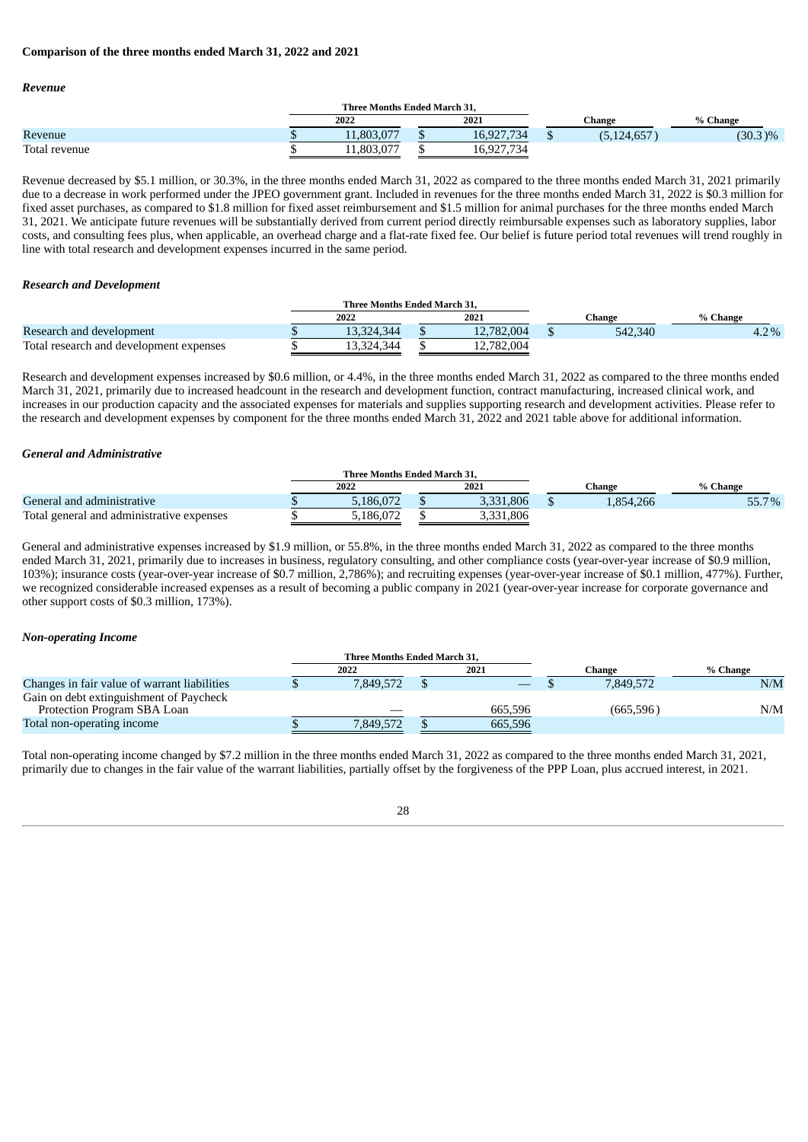# **Comparison of the three months ended March 31, 2022 and 2021**

### *Revenue*

|               | Three Months Ended March 31, |      |                                  |  |           |            |
|---------------|------------------------------|------|----------------------------------|--|-----------|------------|
|               | 2022                         | 2021 |                                  |  | Change    | % Change   |
| Revenue       | 11.803.077                   |      | 16,927,734                       |  | 0.124,657 | $(30.3)\%$ |
| Total revenue | 1,803,07                     |      | 16 077 734<br>10, J21<br>$\cdot$ |  |           |            |

Revenue decreased by \$5.1 million, or 30.3%, in the three months ended March 31, 2022 as compared to the three months ended March 31, 2021 primarily due to a decrease in work performed under the JPEO government grant. Included in revenues for the three months ended March 31, 2022 is \$0.3 million for fixed asset purchases, as compared to \$1.8 million for fixed asset reimbursement and \$1.5 million for animal purchases for the three months ended March 31, 2021. We anticipate future revenues will be substantially derived from current period directly reimbursable expenses such as laboratory supplies, labor costs, and consulting fees plus, when applicable, an overhead charge and a flat-rate fixed fee. Our belief is future period total revenues will trend roughly in line with total research and development expenses incurred in the same period.

### *Research and Development*

|                                         |              | Three Months Ended March 31. |  |            |         |          |
|-----------------------------------------|--------------|------------------------------|--|------------|---------|----------|
|                                         | 2022<br>2021 |                              |  |            | Change  | % Change |
| Research and development                |              | 13,324,344                   |  | 12,782,004 | 542.340 | 4.2%     |
| Total research and development expenses |              | 13.324.344                   |  | 12.782.004 |         |          |

Research and development expenses increased by \$0.6 million, or 4.4%, in the three months ended March 31, 2022 as compared to the three months ended March 31, 2021, primarily due to increased headcount in the research and development function, contract manufacturing, increased clinical work, and increases in our production capacity and the associated expenses for materials and supplies supporting research and development activities. Please refer to the research and development expenses by component for the three months ended March 31, 2022 and 2021 table above for additional information.

# *General and Administrative*

|                                           |              | <b>Three Months Ended March 31.</b> |  |           |           |       |
|-------------------------------------------|--------------|-------------------------------------|--|-----------|-----------|-------|
|                                           | 2022<br>2021 |                                     |  | Change    | % Change  |       |
| General and administrative                |              | 5.186.072                           |  | 3,331,806 | 1.854.266 | 55.7% |
| Total general and administrative expenses |              | 5.186.072                           |  | 3,331,806 |           |       |

General and administrative expenses increased by \$1.9 million, or 55.8%, in the three months ended March 31, 2022 as compared to the three months ended March 31, 2021, primarily due to increases in business, regulatory consulting, and other compliance costs (year-over-year increase of \$0.9 million, 103%); insurance costs (year-over-year increase of \$0.7 million, 2,786%); and recruiting expenses (year-over-year increase of \$0.1 million, 477%). Further, we recognized considerable increased expenses as a result of becoming a public company in 2021 (year-over-year increase for corporate governance and other support costs of \$0.3 million, 173%).

# *Non-operating Income*

|                                                                        | <b>Three Months Ended March 31.</b> |         |            |          |
|------------------------------------------------------------------------|-------------------------------------|---------|------------|----------|
|                                                                        | 2022                                | 2021    | Change     | % Change |
| Changes in fair value of warrant liabilities                           | 7.849.572                           |         | 7.849.572  | N/M      |
| Gain on debt extinguishment of Paycheck<br>Protection Program SBA Loan |                                     | 665.596 | (665, 596) | N/M      |
| Total non-operating income                                             | 7.849.572                           | 665,596 |            |          |

Total non-operating income changed by \$7.2 million in the three months ended March 31, 2022 as compared to the three months ended March 31, 2021, primarily due to changes in the fair value of the warrant liabilities, partially offset by the forgiveness of the PPP Loan, plus accrued interest, in 2021.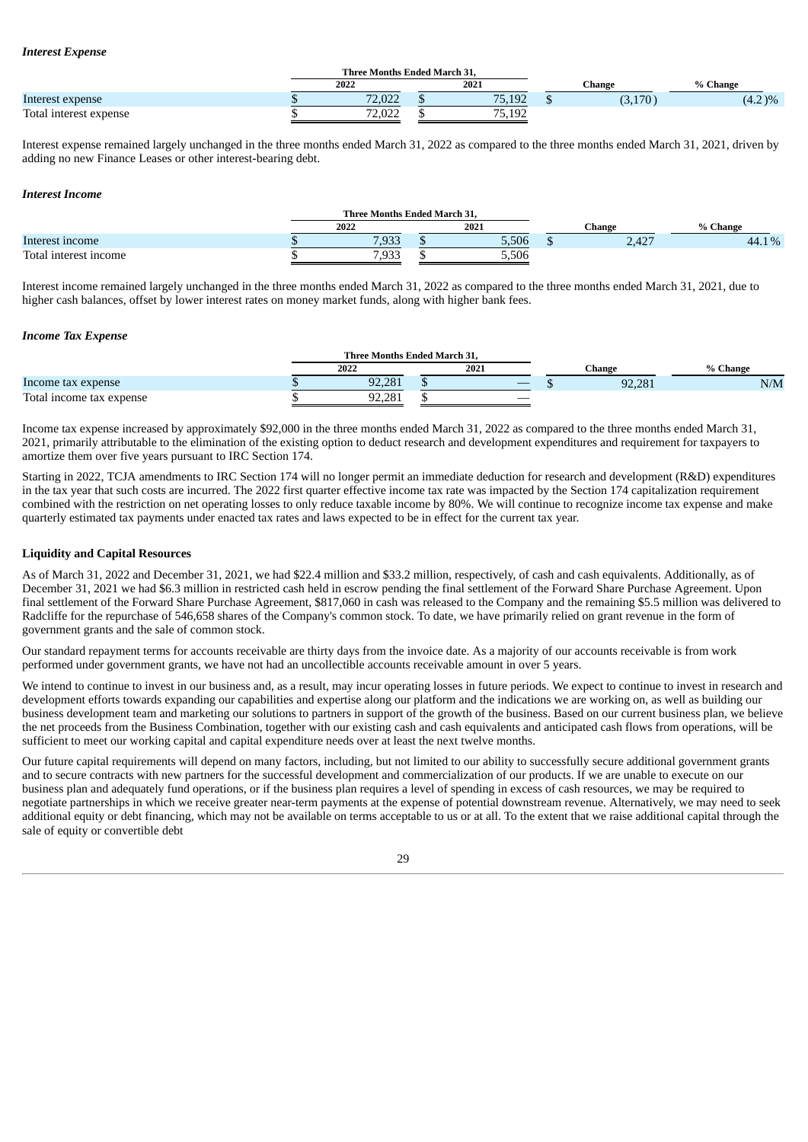### *Interest Expense*

|                        | <b>Three Months Ended March 31.</b> |                                  |         |           |  |  |
|------------------------|-------------------------------------|----------------------------------|---------|-----------|--|--|
|                        | 2022                                | 2021                             | Change  | % Change  |  |  |
| Interest expense       | 72,022                              | 75 192<br>D.IJZ                  | (3,170) | $(4.2)\%$ |  |  |
| Total interest expense | ברח בד<br>2.UZZ                     | 75<br>, 19 <sup>°</sup><br>J.IJZ |         |           |  |  |

Interest expense remained largely unchanged in the three months ended March 31, 2022 as compared to the three months ended March 31, 2021, driven by adding no new Finance Leases or other interest-bearing debt.

#### *Interest Income*

|                       |      | Three Months Ended March 31. |       |              |          |  |  |
|-----------------------|------|------------------------------|-------|--------------|----------|--|--|
|                       | 2022 |                              | 2021  | Change       | % Change |  |  |
| Interest income       |      | 7,933                        | 5,506 | 127<br>2.42, | 44.1%    |  |  |
| Total interest income |      | 7,933                        | 5,506 |              |          |  |  |

Interest income remained largely unchanged in the three months ended March 31, 2022 as compared to the three months ended March 31, 2021, due to higher cash balances, offset by lower interest rates on money market funds, along with higher bank fees.

# *Income Tax Expense*

|                          |  | Three Months Ended March 31. |      |  |                          |        |          |  |  |
|--------------------------|--|------------------------------|------|--|--------------------------|--------|----------|--|--|
|                          |  | 2022                         | 2021 |  |                          | ∵hange | % Change |  |  |
| Income tax expense       |  | 92.281                       |      |  |                          | 92,281 | N/M      |  |  |
| Total income tax expense |  | ΩD<br>281                    |      |  | $\overline{\phantom{a}}$ |        |          |  |  |

Income tax expense increased by approximately \$92,000 in the three months ended March 31, 2022 as compared to the three months ended March 31, 2021, primarily attributable to the elimination of the existing option to deduct research and development expenditures and requirement for taxpayers to amortize them over five years pursuant to IRC Section 174.

Starting in 2022, TCJA amendments to IRC Section 174 will no longer permit an immediate deduction for research and development (R&D) expenditures in the tax year that such costs are incurred. The 2022 first quarter effective income tax rate was impacted by the Section 174 capitalization requirement combined with the restriction on net operating losses to only reduce taxable income by 80%. We will continue to recognize income tax expense and make quarterly estimated tax payments under enacted tax rates and laws expected to be in effect for the current tax year.

# **Liquidity and Capital Resources**

As of March 31, 2022 and December 31, 2021, we had \$22.4 million and \$33.2 million, respectively, of cash and cash equivalents. Additionally, as of December 31, 2021 we had \$6.3 million in restricted cash held in escrow pending the final settlement of the Forward Share Purchase Agreement. Upon final settlement of the Forward Share Purchase Agreement, \$817,060 in cash was released to the Company and the remaining \$5.5 million was delivered to Radcliffe for the repurchase of 546,658 shares of the Company's common stock. To date, we have primarily relied on grant revenue in the form of government grants and the sale of common stock.

Our standard repayment terms for accounts receivable are thirty days from the invoice date. As a majority of our accounts receivable is from work performed under government grants, we have not had an uncollectible accounts receivable amount in over 5 years.

We intend to continue to invest in our business and, as a result, may incur operating losses in future periods. We expect to continue to invest in research and development efforts towards expanding our capabilities and expertise along our platform and the indications we are working on, as well as building our business development team and marketing our solutions to partners in support of the growth of the business. Based on our current business plan, we believe the net proceeds from the Business Combination, together with our existing cash and cash equivalents and anticipated cash flows from operations, will be sufficient to meet our working capital and capital expenditure needs over at least the next twelve months.

Our future capital requirements will depend on many factors, including, but not limited to our ability to successfully secure additional government grants and to secure contracts with new partners for the successful development and commercialization of our products. If we are unable to execute on our business plan and adequately fund operations, or if the business plan requires a level of spending in excess of cash resources, we may be required to negotiate partnerships in which we receive greater near-term payments at the expense of potential downstream revenue. Alternatively, we may need to seek additional equity or debt financing, which may not be available on terms acceptable to us or at all. To the extent that we raise additional capital through the sale of equity or convertible debt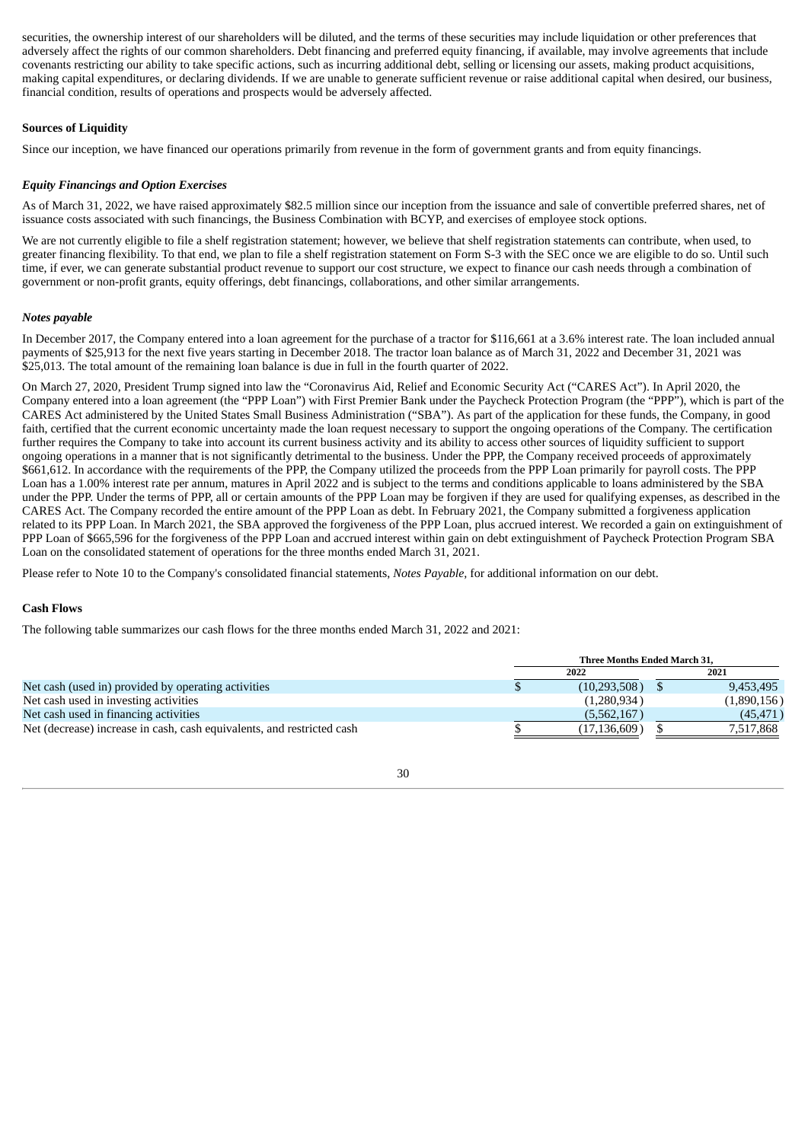securities, the ownership interest of our shareholders will be diluted, and the terms of these securities may include liquidation or other preferences that adversely affect the rights of our common shareholders. Debt financing and preferred equity financing, if available, may involve agreements that include covenants restricting our ability to take specific actions, such as incurring additional debt, selling or licensing our assets, making product acquisitions, making capital expenditures, or declaring dividends. If we are unable to generate sufficient revenue or raise additional capital when desired, our business, financial condition, results of operations and prospects would be adversely affected.

# **Sources of Liquidity**

Since our inception, we have financed our operations primarily from revenue in the form of government grants and from equity financings.

# *Equity Financings and Option Exercises*

As of March 31, 2022, we have raised approximately \$82.5 million since our inception from the issuance and sale of convertible preferred shares, net of issuance costs associated with such financings, the Business Combination with BCYP, and exercises of employee stock options.

We are not currently eligible to file a shelf registration statement; however, we believe that shelf registration statements can contribute, when used, to greater financing flexibility. To that end, we plan to file a shelf registration statement on Form S-3 with the SEC once we are eligible to do so. Until such time, if ever, we can generate substantial product revenue to support our cost structure, we expect to finance our cash needs through a combination of government or non-profit grants, equity offerings, debt financings, collaborations, and other similar arrangements.

# *Notes payable*

In December 2017, the Company entered into a loan agreement for the purchase of a tractor for \$116,661 at a 3.6% interest rate. The loan included annual payments of \$25,913 for the next five years starting in December 2018. The tractor loan balance as of March 31, 2022 and December 31, 2021 was \$25,013. The total amount of the remaining loan balance is due in full in the fourth quarter of 2022.

On March 27, 2020, President Trump signed into law the "Coronavirus Aid, Relief and Economic Security Act ("CARES Act"). In April 2020, the Company entered into a loan agreement (the "PPP Loan") with First Premier Bank under the Paycheck Protection Program (the "PPP"), which is part of the CARES Act administered by the United States Small Business Administration ("SBA"). As part of the application for these funds, the Company, in good faith, certified that the current economic uncertainty made the loan request necessary to support the ongoing operations of the Company. The certification further requires the Company to take into account its current business activity and its ability to access other sources of liquidity sufficient to support ongoing operations in a manner that is not significantly detrimental to the business. Under the PPP, the Company received proceeds of approximately \$661,612. In accordance with the requirements of the PPP, the Company utilized the proceeds from the PPP Loan primarily for payroll costs. The PPP Loan has a 1.00% interest rate per annum, matures in April 2022 and is subject to the terms and conditions applicable to loans administered by the SBA under the PPP. Under the terms of PPP, all or certain amounts of the PPP Loan may be forgiven if they are used for qualifying expenses, as described in the CARES Act. The Company recorded the entire amount of the PPP Loan as debt. In February 2021, the Company submitted a forgiveness application related to its PPP Loan. In March 2021, the SBA approved the forgiveness of the PPP Loan, plus accrued interest. We recorded a gain on extinguishment of PPP Loan of \$665,596 for the forgiveness of the PPP Loan and accrued interest within gain on debt extinguishment of Paycheck Protection Program SBA Loan on the consolidated statement of operations for the three months ended March 31, 2021.

Please refer to Note 10 to the Company's consolidated financial statements, *Notes Payable,* for additional information on our debt.

### **Cash Flows**

The following table summarizes our cash flows for the three months ended March 31, 2022 and 2021:

|                                                                        | <b>Three Months Ended March 31.</b> |              |  |             |  |  |  |  |
|------------------------------------------------------------------------|-------------------------------------|--------------|--|-------------|--|--|--|--|
|                                                                        |                                     | 2022         |  | 2021        |  |  |  |  |
| Net cash (used in) provided by operating activities                    |                                     | (10,293,508) |  | 9,453,495   |  |  |  |  |
| Net cash used in investing activities                                  |                                     | (1,280,934)  |  | (1,890,156) |  |  |  |  |
| Net cash used in financing activities                                  |                                     | (5,562,167)  |  | (45, 471)   |  |  |  |  |
| Net (decrease) increase in cash, cash equivalents, and restricted cash |                                     | (17,136,609) |  | 7.517.868   |  |  |  |  |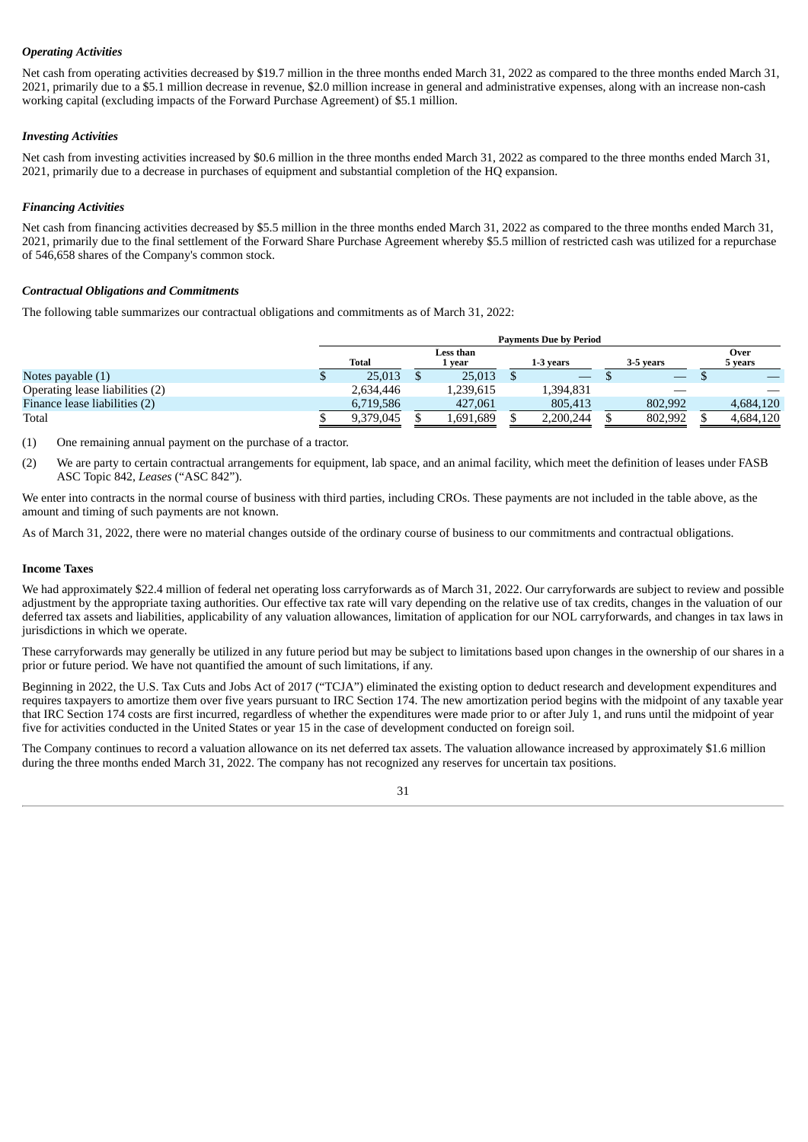# *Operating Activities*

Net cash from operating activities decreased by \$19.7 million in the three months ended March 31, 2022 as compared to the three months ended March 31, 2021, primarily due to a \$5.1 million decrease in revenue, \$2.0 million increase in general and administrative expenses, along with an increase non-cash working capital (excluding impacts of the Forward Purchase Agreement) of \$5.1 million.

# *Investing Activities*

Net cash from investing activities increased by \$0.6 million in the three months ended March 31, 2022 as compared to the three months ended March 31, 2021, primarily due to a decrease in purchases of equipment and substantial completion of the HQ expansion.

# *Financing Activities*

Net cash from financing activities decreased by \$5.5 million in the three months ended March 31, 2022 as compared to the three months ended March 31, 2021, primarily due to the final settlement of the Forward Share Purchase Agreement whereby \$5.5 million of restricted cash was utilized for a repurchase of 546,658 shares of the Company's common stock.

# *Contractual Obligations and Commitments*

The following table summarizes our contractual obligations and commitments as of March 31, 2022:

|                                 |  | Total     | Less than<br>l vear |           | 1-3 vears |           | 3-5 vears |         | Over<br>5 years |           |
|---------------------------------|--|-----------|---------------------|-----------|-----------|-----------|-----------|---------|-----------------|-----------|
| Notes payable $(1)$             |  | 25,013    |                     | 25,013    |           |           |           |         |                 |           |
| Operating lease liabilities (2) |  | 2,634,446 |                     | 1,239,615 |           | 1.394.831 |           |         |                 |           |
| Finance lease liabilities (2)   |  | 6,719,586 |                     | 427,061   |           | 805.413   |           | 802,992 |                 | 4,684,120 |
| Total                           |  | 9,379,045 |                     | 1,691,689 |           | 2,200,244 |           | 802,992 |                 | 4,684,120 |

(1) One remaining annual payment on the purchase of a tractor.

(2) We are party to certain contractual arrangements for equipment, lab space, and an animal facility, which meet the definition of leases under FASB ASC Topic 842, *Leases* ("ASC 842").

We enter into contracts in the normal course of business with third parties, including CROs. These payments are not included in the table above, as the amount and timing of such payments are not known.

As of March 31, 2022, there were no material changes outside of the ordinary course of business to our commitments and contractual obligations.

# **Income Taxes**

We had approximately \$22.4 million of federal net operating loss carryforwards as of March 31, 2022. Our carryforwards are subject to review and possible adjustment by the appropriate taxing authorities. Our effective tax rate will vary depending on the relative use of tax credits, changes in the valuation of our deferred tax assets and liabilities, applicability of any valuation allowances, limitation of application for our NOL carryforwards, and changes in tax laws in jurisdictions in which we operate.

These carryforwards may generally be utilized in any future period but may be subject to limitations based upon changes in the ownership of our shares in a prior or future period. We have not quantified the amount of such limitations, if any.

Beginning in 2022, the U.S. Tax Cuts and Jobs Act of 2017 ("TCJA") eliminated the existing option to deduct research and development expenditures and requires taxpayers to amortize them over five years pursuant to IRC Section 174. The new amortization period begins with the midpoint of any taxable year that IRC Section 174 costs are first incurred, regardless of whether the expenditures were made prior to or after July 1, and runs until the midpoint of year five for activities conducted in the United States or year 15 in the case of development conducted on foreign soil.

The Company continues to record a valuation allowance on its net deferred tax assets. The valuation allowance increased by approximately \$1.6 million during the three months ended March 31, 2022. The company has not recognized any reserves for uncertain tax positions.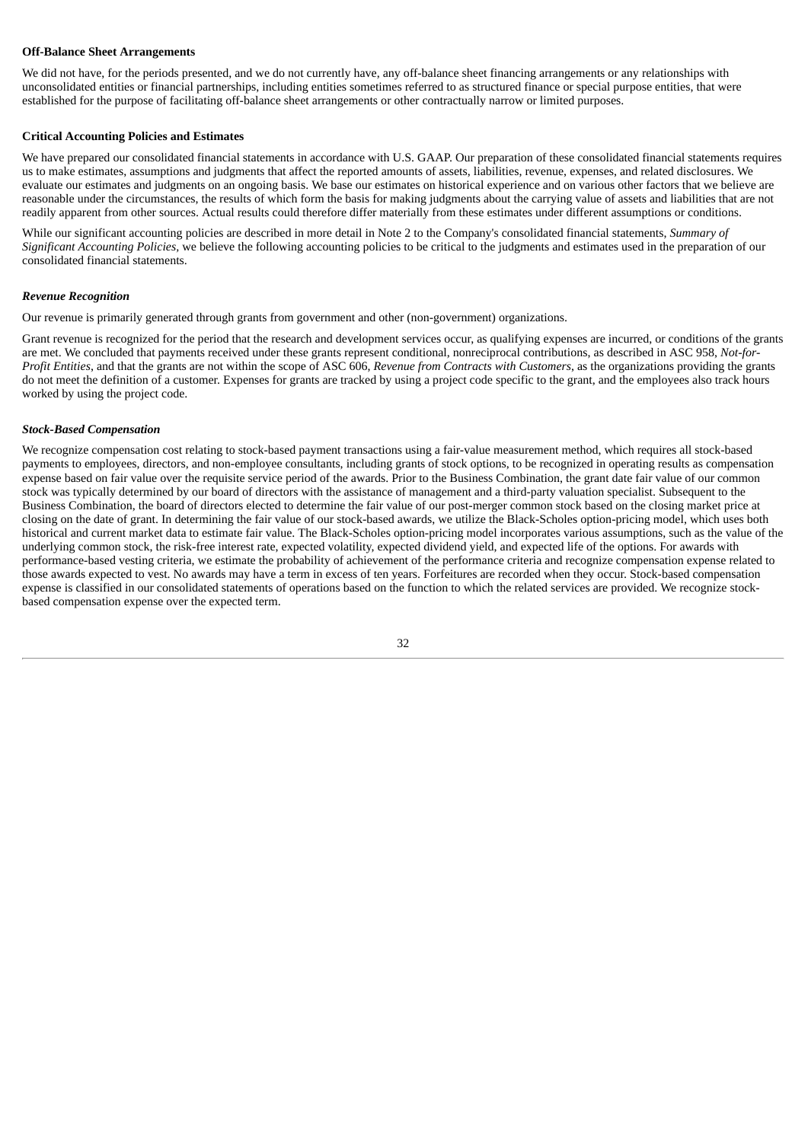# **Off-Balance Sheet Arrangements**

We did not have, for the periods presented, and we do not currently have, any off-balance sheet financing arrangements or any relationships with unconsolidated entities or financial partnerships, including entities sometimes referred to as structured finance or special purpose entities, that were established for the purpose of facilitating off-balance sheet arrangements or other contractually narrow or limited purposes.

# **Critical Accounting Policies and Estimates**

We have prepared our consolidated financial statements in accordance with U.S. GAAP. Our preparation of these consolidated financial statements requires us to make estimates, assumptions and judgments that affect the reported amounts of assets, liabilities, revenue, expenses, and related disclosures. We evaluate our estimates and judgments on an ongoing basis. We base our estimates on historical experience and on various other factors that we believe are reasonable under the circumstances, the results of which form the basis for making judgments about the carrying value of assets and liabilities that are not readily apparent from other sources. Actual results could therefore differ materially from these estimates under different assumptions or conditions.

While our significant accounting policies are described in more detail in Note 2 to the Company's consolidated financial statements, *Summary of Significant Accounting Policies,* we believe the following accounting policies to be critical to the judgments and estimates used in the preparation of our consolidated financial statements.

# *Revenue Recognition*

Our revenue is primarily generated through grants from government and other (non-government) organizations.

Grant revenue is recognized for the period that the research and development services occur, as qualifying expenses are incurred, or conditions of the grants are met. We concluded that payments received under these grants represent conditional, nonreciprocal contributions, as described in ASC 958, *Not-for-Profit Entities*, and that the grants are not within the scope of ASC 606, *Revenue from Contracts with Customers*, as the organizations providing the grants do not meet the definition of a customer. Expenses for grants are tracked by using a project code specific to the grant, and the employees also track hours worked by using the project code.

### *Stock-Based Compensation*

We recognize compensation cost relating to stock-based payment transactions using a fair-value measurement method, which requires all stock-based payments to employees, directors, and non-employee consultants, including grants of stock options, to be recognized in operating results as compensation expense based on fair value over the requisite service period of the awards. Prior to the Business Combination, the grant date fair value of our common stock was typically determined by our board of directors with the assistance of management and a third-party valuation specialist. Subsequent to the Business Combination, the board of directors elected to determine the fair value of our post-merger common stock based on the closing market price at closing on the date of grant. In determining the fair value of our stock-based awards, we utilize the Black-Scholes option-pricing model, which uses both historical and current market data to estimate fair value. The Black-Scholes option-pricing model incorporates various assumptions, such as the value of the underlying common stock, the risk-free interest rate, expected volatility, expected dividend yield, and expected life of the options. For awards with performance-based vesting criteria, we estimate the probability of achievement of the performance criteria and recognize compensation expense related to those awards expected to vest. No awards may have a term in excess of ten years. Forfeitures are recorded when they occur. Stock-based compensation expense is classified in our consolidated statements of operations based on the function to which the related services are provided. We recognize stockbased compensation expense over the expected term.

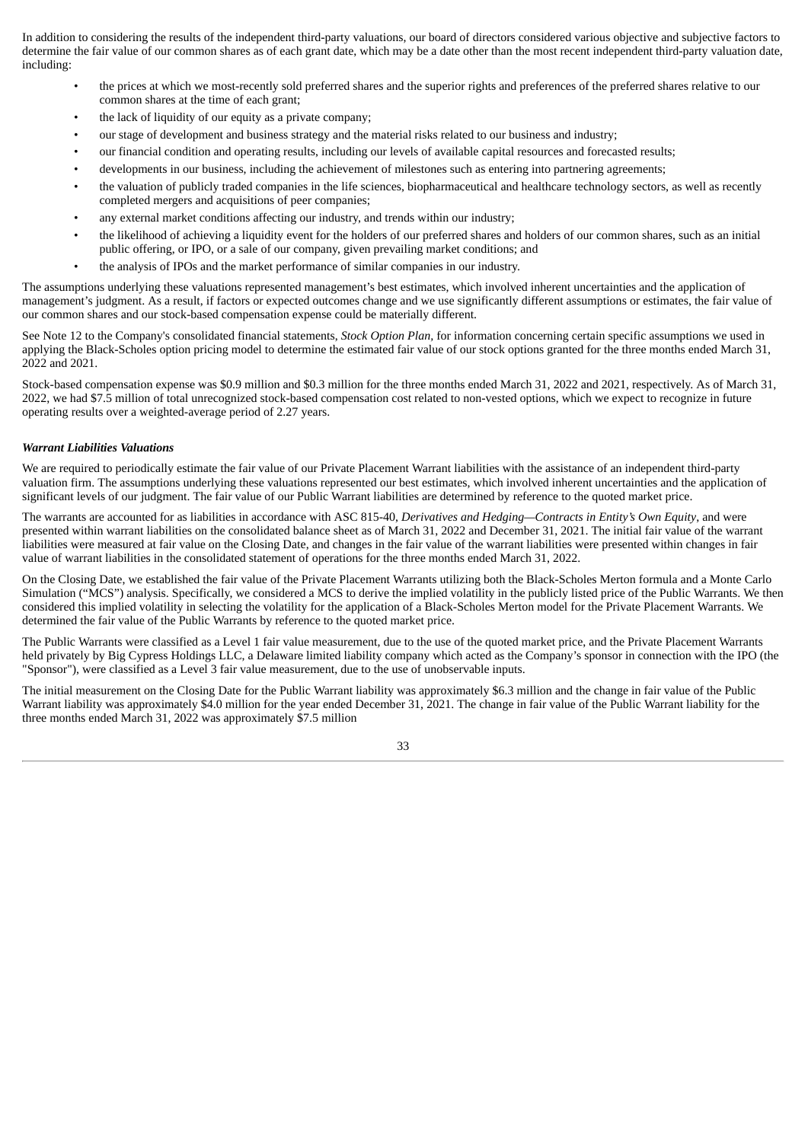In addition to considering the results of the independent third-party valuations, our board of directors considered various objective and subjective factors to determine the fair value of our common shares as of each grant date, which may be a date other than the most recent independent third-party valuation date, including:

- the prices at which we most-recently sold preferred shares and the superior rights and preferences of the preferred shares relative to our common shares at the time of each grant;
- the lack of liquidity of our equity as a private company;
- our stage of development and business strategy and the material risks related to our business and industry;
- our financial condition and operating results, including our levels of available capital resources and forecasted results;
- developments in our business, including the achievement of milestones such as entering into partnering agreements;
- the valuation of publicly traded companies in the life sciences, biopharmaceutical and healthcare technology sectors, as well as recently completed mergers and acquisitions of peer companies;
- any external market conditions affecting our industry, and trends within our industry;
- the likelihood of achieving a liquidity event for the holders of our preferred shares and holders of our common shares, such as an initial public offering, or IPO, or a sale of our company, given prevailing market conditions; and
- the analysis of IPOs and the market performance of similar companies in our industry.

The assumptions underlying these valuations represented management's best estimates, which involved inherent uncertainties and the application of management's judgment. As a result, if factors or expected outcomes change and we use significantly different assumptions or estimates, the fair value of our common shares and our stock-based compensation expense could be materially different.

See Note 12 to the Company's consolidated financial statements, *Stock Option Plan,* for information concerning certain specific assumptions we used in applying the Black-Scholes option pricing model to determine the estimated fair value of our stock options granted for the three months ended March 31, 2022 and 2021.

Stock-based compensation expense was \$0.9 million and \$0.3 million for the three months ended March 31, 2022 and 2021, respectively. As of March 31, 2022, we had \$7.5 million of total unrecognized stock-based compensation cost related to non-vested options, which we expect to recognize in future operating results over a weighted-average period of 2.27 years.

# *Warrant Liabilities Valuations*

We are required to periodically estimate the fair value of our Private Placement Warrant liabilities with the assistance of an independent third-party valuation firm. The assumptions underlying these valuations represented our best estimates, which involved inherent uncertainties and the application of significant levels of our judgment. The fair value of our Public Warrant liabilities are determined by reference to the quoted market price.

The warrants are accounted for as liabilities in accordance with ASC 815-40, *Derivatives and Hedging—Contracts in Entity's Own Equity*, and were presented within warrant liabilities on the consolidated balance sheet as of March 31, 2022 and December 31, 2021. The initial fair value of the warrant liabilities were measured at fair value on the Closing Date, and changes in the fair value of the warrant liabilities were presented within changes in fair value of warrant liabilities in the consolidated statement of operations for the three months ended March 31, 2022.

On the Closing Date, we established the fair value of the Private Placement Warrants utilizing both the Black-Scholes Merton formula and a Monte Carlo Simulation ("MCS") analysis. Specifically, we considered a MCS to derive the implied volatility in the publicly listed price of the Public Warrants. We then considered this implied volatility in selecting the volatility for the application of a Black-Scholes Merton model for the Private Placement Warrants. We determined the fair value of the Public Warrants by reference to the quoted market price.

The Public Warrants were classified as a Level 1 fair value measurement, due to the use of the quoted market price, and the Private Placement Warrants held privately by Big Cypress Holdings LLC, a Delaware limited liability company which acted as the Company's sponsor in connection with the IPO (the "Sponsor"), were classified as a Level 3 fair value measurement, due to the use of unobservable inputs.

The initial measurement on the Closing Date for the Public Warrant liability was approximately \$6.3 million and the change in fair value of the Public Warrant liability was approximately \$4.0 million for the year ended December 31, 2021. The change in fair value of the Public Warrant liability for the three months ended March 31, 2022 was approximately \$7.5 million

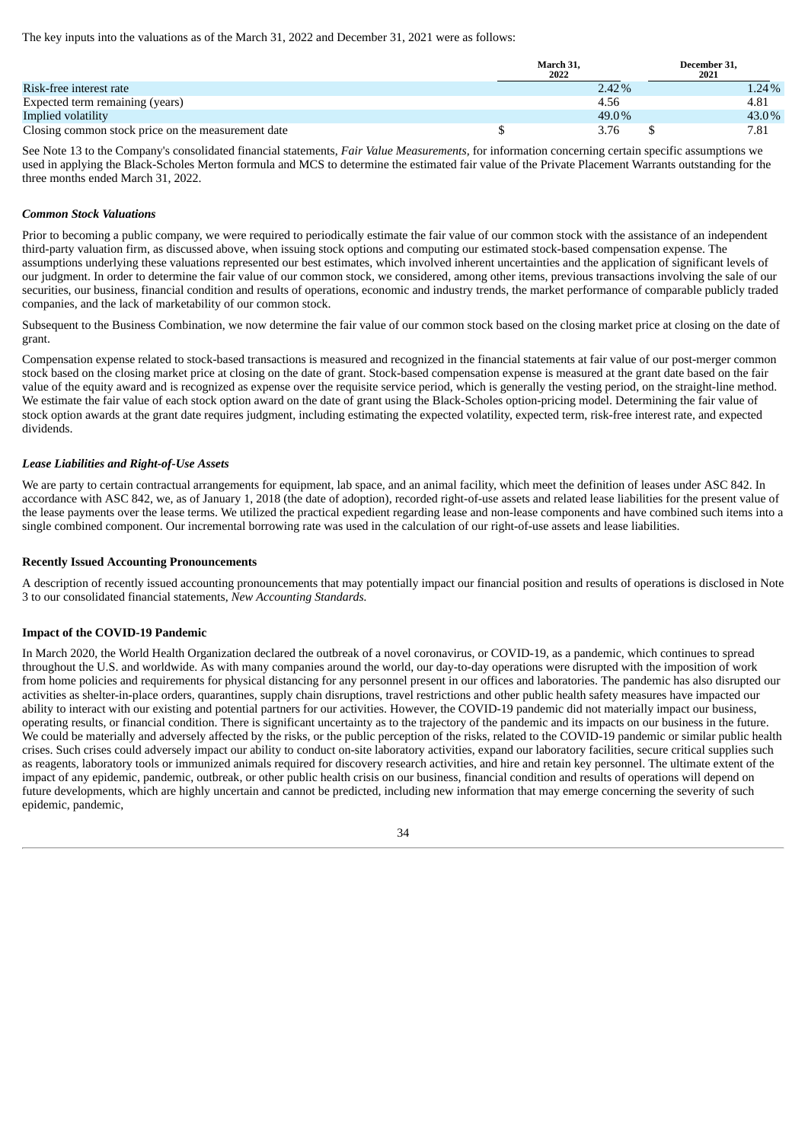The key inputs into the valuations as of the March 31, 2022 and December 31, 2021 were as follows:

|                                                    | March 31.<br>2022 | December 31.<br>2021 |  |
|----------------------------------------------------|-------------------|----------------------|--|
| Risk-free interest rate                            | $2.42\%$          | 1.24%                |  |
| Expected term remaining (years)                    | 4.56              | 4.81                 |  |
| Implied volatility                                 | 49.0%             | 43.0%                |  |
| Closing common stock price on the measurement date | 3.76              | 7.81                 |  |

See Note 13 to the Company's consolidated financial statements, *Fair Value Measurements,* for information concerning certain specific assumptions we used in applying the Black-Scholes Merton formula and MCS to determine the estimated fair value of the Private Placement Warrants outstanding for the three months ended March 31, 2022.

# *Common Stock Valuations*

Prior to becoming a public company, we were required to periodically estimate the fair value of our common stock with the assistance of an independent third-party valuation firm, as discussed above, when issuing stock options and computing our estimated stock-based compensation expense. The assumptions underlying these valuations represented our best estimates, which involved inherent uncertainties and the application of significant levels of our judgment. In order to determine the fair value of our common stock, we considered, among other items, previous transactions involving the sale of our securities, our business, financial condition and results of operations, economic and industry trends, the market performance of comparable publicly traded companies, and the lack of marketability of our common stock.

Subsequent to the Business Combination, we now determine the fair value of our common stock based on the closing market price at closing on the date of grant.

Compensation expense related to stock-based transactions is measured and recognized in the financial statements at fair value of our post-merger common stock based on the closing market price at closing on the date of grant. Stock-based compensation expense is measured at the grant date based on the fair value of the equity award and is recognized as expense over the requisite service period, which is generally the vesting period, on the straight-line method. We estimate the fair value of each stock option award on the date of grant using the Black-Scholes option-pricing model. Determining the fair value of stock option awards at the grant date requires judgment, including estimating the expected volatility, expected term, risk-free interest rate, and expected dividends.

# *Lease Liabilities and Right-of-Use Assets*

We are party to certain contractual arrangements for equipment, lab space, and an animal facility, which meet the definition of leases under ASC 842. In accordance with ASC 842, we, as of January 1, 2018 (the date of adoption), recorded right-of-use assets and related lease liabilities for the present value of the lease payments over the lease terms. We utilized the practical expedient regarding lease and non-lease components and have combined such items into a single combined component. Our incremental borrowing rate was used in the calculation of our right-of-use assets and lease liabilities.

# **Recently Issued Accounting Pronouncements**

A description of recently issued accounting pronouncements that may potentially impact our financial position and results of operations is disclosed in Note 3 to our consolidated financial statements, *New Accounting Standards.*

# **Impact of the COVID-19 Pandemic**

In March 2020, the World Health Organization declared the outbreak of a novel coronavirus, or COVID-19, as a pandemic, which continues to spread throughout the U.S. and worldwide. As with many companies around the world, our day-to-day operations were disrupted with the imposition of work from home policies and requirements for physical distancing for any personnel present in our offices and laboratories. The pandemic has also disrupted our activities as shelter-in-place orders, quarantines, supply chain disruptions, travel restrictions and other public health safety measures have impacted our ability to interact with our existing and potential partners for our activities. However, the COVID-19 pandemic did not materially impact our business, operating results, or financial condition. There is significant uncertainty as to the trajectory of the pandemic and its impacts on our business in the future. We could be materially and adversely affected by the risks, or the public perception of the risks, related to the COVID-19 pandemic or similar public health crises. Such crises could adversely impact our ability to conduct on-site laboratory activities, expand our laboratory facilities, secure critical supplies such as reagents, laboratory tools or immunized animals required for discovery research activities, and hire and retain key personnel. The ultimate extent of the impact of any epidemic, pandemic, outbreak, or other public health crisis on our business, financial condition and results of operations will depend on future developments, which are highly uncertain and cannot be predicted, including new information that may emerge concerning the severity of such epidemic, pandemic,

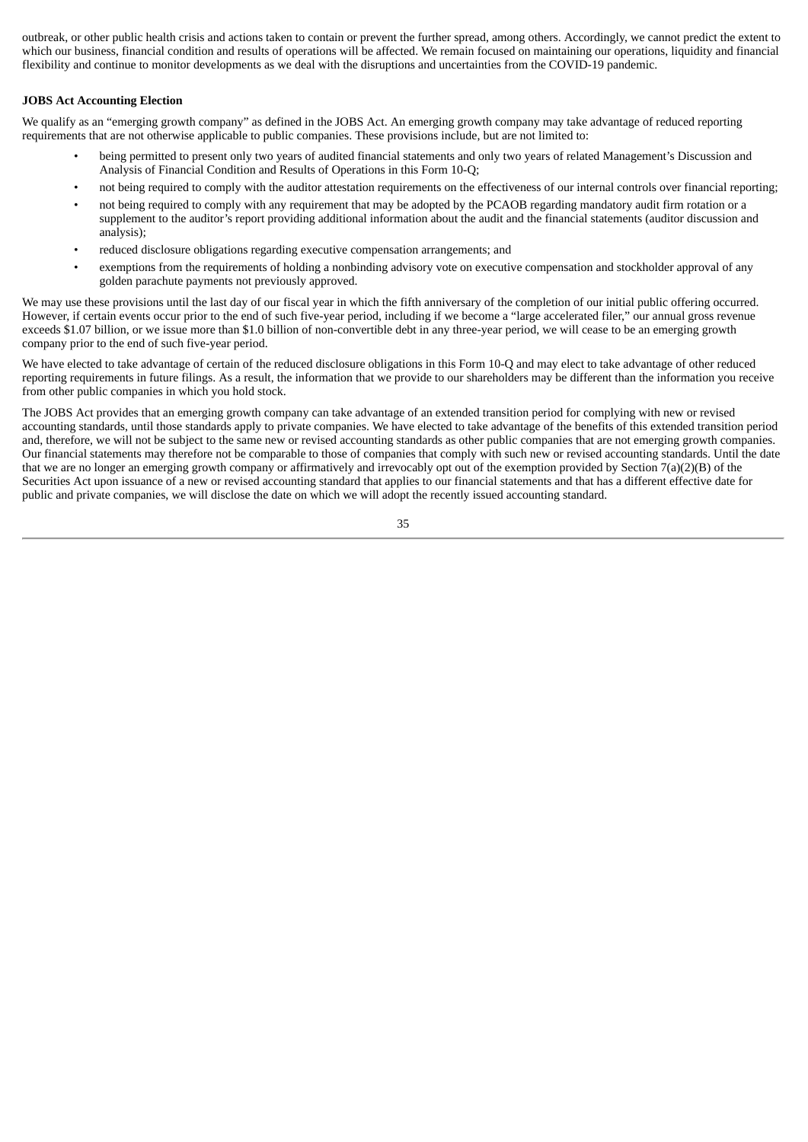outbreak, or other public health crisis and actions taken to contain or prevent the further spread, among others. Accordingly, we cannot predict the extent to which our business, financial condition and results of operations will be affected. We remain focused on maintaining our operations, liquidity and financial flexibility and continue to monitor developments as we deal with the disruptions and uncertainties from the COVID-19 pandemic.

# **JOBS Act Accounting Election**

We qualify as an "emerging growth company" as defined in the JOBS Act. An emerging growth company may take advantage of reduced reporting requirements that are not otherwise applicable to public companies. These provisions include, but are not limited to:

- being permitted to present only two years of audited financial statements and only two years of related Management's Discussion and Analysis of Financial Condition and Results of Operations in this Form 10-Q;
- not being required to comply with the auditor attestation requirements on the effectiveness of our internal controls over financial reporting;
- not being required to comply with any requirement that may be adopted by the PCAOB regarding mandatory audit firm rotation or a supplement to the auditor's report providing additional information about the audit and the financial statements (auditor discussion and analysis);
- reduced disclosure obligations regarding executive compensation arrangements; and
- exemptions from the requirements of holding a nonbinding advisory vote on executive compensation and stockholder approval of any golden parachute payments not previously approved.

We may use these provisions until the last day of our fiscal year in which the fifth anniversary of the completion of our initial public offering occurred. However, if certain events occur prior to the end of such five-year period, including if we become a "large accelerated filer," our annual gross revenue exceeds \$1.07 billion, or we issue more than \$1.0 billion of non-convertible debt in any three-year period, we will cease to be an emerging growth company prior to the end of such five-year period.

We have elected to take advantage of certain of the reduced disclosure obligations in this Form 10-Q and may elect to take advantage of other reduced reporting requirements in future filings. As a result, the information that we provide to our shareholders may be different than the information you receive from other public companies in which you hold stock.

The JOBS Act provides that an emerging growth company can take advantage of an extended transition period for complying with new or revised accounting standards, until those standards apply to private companies. We have elected to take advantage of the benefits of this extended transition period and, therefore, we will not be subject to the same new or revised accounting standards as other public companies that are not emerging growth companies. Our financial statements may therefore not be comparable to those of companies that comply with such new or revised accounting standards. Until the date that we are no longer an emerging growth company or affirmatively and irrevocably opt out of the exemption provided by Section 7(a)(2)(B) of the Securities Act upon issuance of a new or revised accounting standard that applies to our financial statements and that has a different effective date for public and private companies, we will disclose the date on which we will adopt the recently issued accounting standard.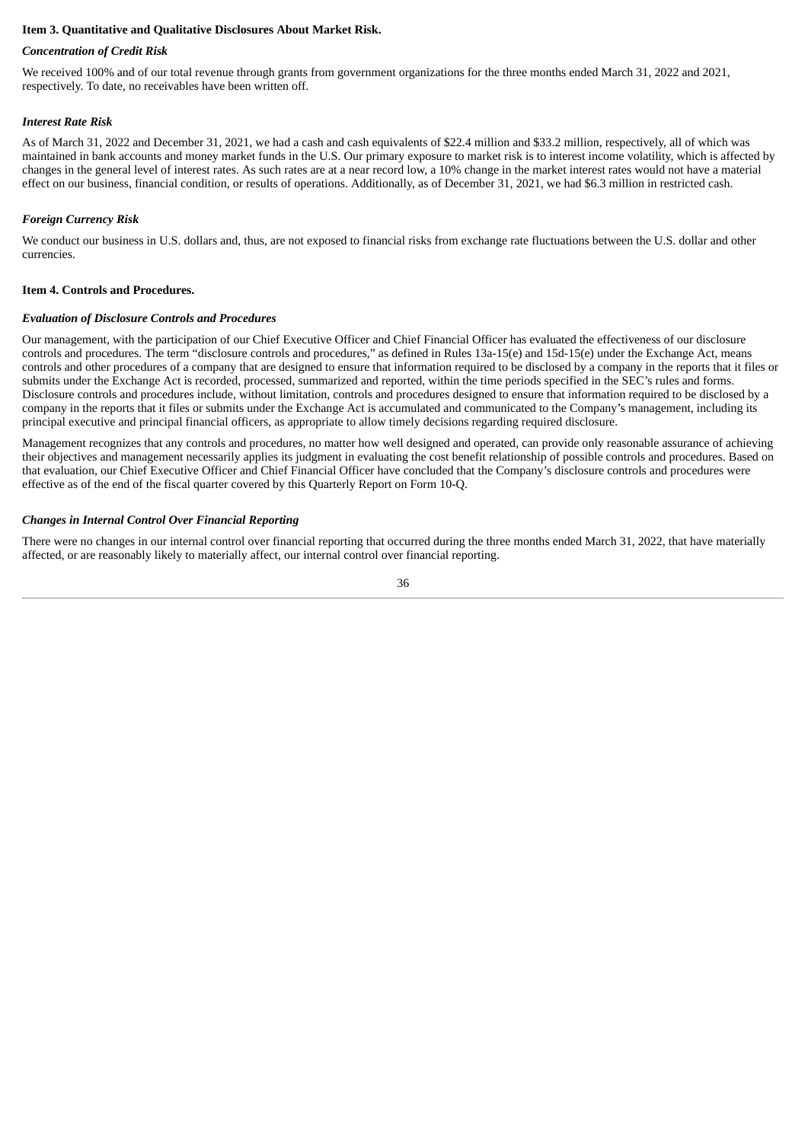# <span id="page-38-0"></span>**Item 3. Quantitative and Qualitative Disclosures About Market Risk.**

# *Concentration of Credit Risk*

We received 100% and of our total revenue through grants from government organizations for the three months ended March 31, 2022 and 2021, respectively. To date, no receivables have been written off.

# *Interest Rate Risk*

As of March 31, 2022 and December 31, 2021, we had a cash and cash equivalents of \$22.4 million and \$33.2 million, respectively, all of which was maintained in bank accounts and money market funds in the U.S. Our primary exposure to market risk is to interest income volatility, which is affected by changes in the general level of interest rates. As such rates are at a near record low, a 10% change in the market interest rates would not have a material effect on our business, financial condition, or results of operations. Additionally, as of December 31, 2021, we had \$6.3 million in restricted cash.

# *Foreign Currency Risk*

We conduct our business in U.S. dollars and, thus, are not exposed to financial risks from exchange rate fluctuations between the U.S. dollar and other currencies.

# <span id="page-38-1"></span>**Item 4. Controls and Procedures.**

# *Evaluation of Disclosure Controls and Procedures*

Our management, with the participation of our Chief Executive Officer and Chief Financial Officer has evaluated the effectiveness of our disclosure controls and procedures. The term "disclosure controls and procedures," as defined in Rules 13a-15(e) and 15d-15(e) under the Exchange Act, means controls and other procedures of a company that are designed to ensure that information required to be disclosed by a company in the reports that it files or submits under the Exchange Act is recorded, processed, summarized and reported, within the time periods specified in the SEC's rules and forms. Disclosure controls and procedures include, without limitation, controls and procedures designed to ensure that information required to be disclosed by a company in the reports that it files or submits under the Exchange Act is accumulated and communicated to the Company's management, including its principal executive and principal financial officers, as appropriate to allow timely decisions regarding required disclosure.

Management recognizes that any controls and procedures, no matter how well designed and operated, can provide only reasonable assurance of achieving their objectives and management necessarily applies its judgment in evaluating the cost benefit relationship of possible controls and procedures. Based on that evaluation, our Chief Executive Officer and Chief Financial Officer have concluded that the Company's disclosure controls and procedures were effective as of the end of the fiscal quarter covered by this Quarterly Report on Form 10-Q.

# *Changes in Internal Control Over Financial Reporting*

There were no changes in our internal control over financial reporting that occurred during the three months ended March 31, 2022, that have materially affected, or are reasonably likely to materially affect, our internal control over financial reporting.

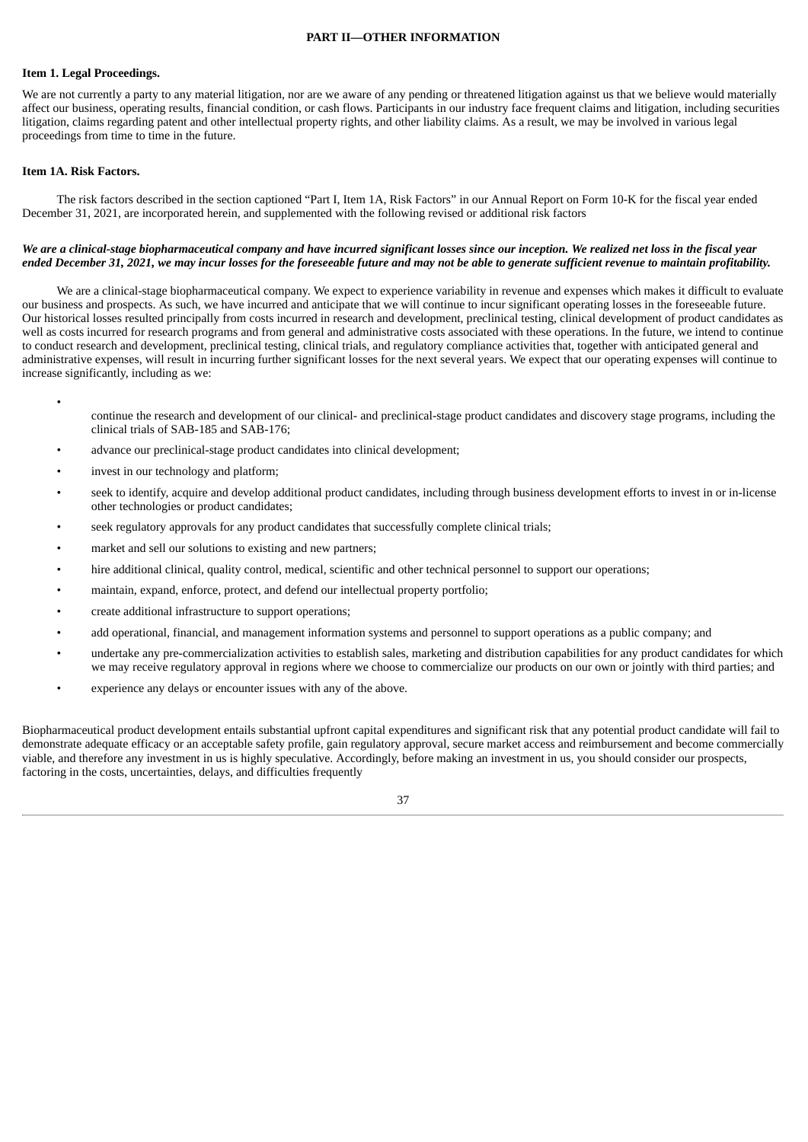#### **PART II—OTHER INFORMATION**

### <span id="page-39-1"></span><span id="page-39-0"></span>**Item 1. Legal Proceedings.**

We are not currently a party to any material litigation, nor are we aware of any pending or threatened litigation against us that we believe would materially affect our business, operating results, financial condition, or cash flows. Participants in our industry face frequent claims and litigation, including securities litigation, claims regarding patent and other intellectual property rights, and other liability claims. As a result, we may be involved in various legal proceedings from time to time in the future.

# <span id="page-39-2"></span>**Item 1A. Risk Factors.**

•

The risk factors described in the section captioned "Part I, Item 1A, Risk Factors" in our Annual Report on Form 10-K for the fiscal year ended December 31, 2021, are incorporated herein, and supplemented with the following revised or additional risk factors

### We are a clinical-stage biopharmaceutical company and have incurred significant losses since our inception. We realized net loss in the fiscal year ended December 31, 2021, we may incur losses for the foreseeable future and may not be able to generate sufficient revenue to maintain profitability.

We are a clinical-stage biopharmaceutical company. We expect to experience variability in revenue and expenses which makes it difficult to evaluate our business and prospects. As such, we have incurred and anticipate that we will continue to incur significant operating losses in the foreseeable future. Our historical losses resulted principally from costs incurred in research and development, preclinical testing, clinical development of product candidates as well as costs incurred for research programs and from general and administrative costs associated with these operations. In the future, we intend to continue to conduct research and development, preclinical testing, clinical trials, and regulatory compliance activities that, together with anticipated general and administrative expenses, will result in incurring further significant losses for the next several years. We expect that our operating expenses will continue to increase significantly, including as we:

- continue the research and development of our clinical- and preclinical-stage product candidates and discovery stage programs, including the clinical trials of SAB-185 and SAB-176;
- advance our preclinical-stage product candidates into clinical development;
- invest in our technology and platform;
- seek to identify, acquire and develop additional product candidates, including through business development efforts to invest in or in-license other technologies or product candidates;
- seek regulatory approvals for any product candidates that successfully complete clinical trials;
- market and sell our solutions to existing and new partners;
- hire additional clinical, quality control, medical, scientific and other technical personnel to support our operations;
- maintain, expand, enforce, protect, and defend our intellectual property portfolio;
- create additional infrastructure to support operations;
- add operational, financial, and management information systems and personnel to support operations as a public company; and
- undertake any pre-commercialization activities to establish sales, marketing and distribution capabilities for any product candidates for which we may receive regulatory approval in regions where we choose to commercialize our products on our own or jointly with third parties; and
- experience any delays or encounter issues with any of the above.

Biopharmaceutical product development entails substantial upfront capital expenditures and significant risk that any potential product candidate will fail to demonstrate adequate efficacy or an acceptable safety profile, gain regulatory approval, secure market access and reimbursement and become commercially viable, and therefore any investment in us is highly speculative. Accordingly, before making an investment in us, you should consider our prospects, factoring in the costs, uncertainties, delays, and difficulties frequently

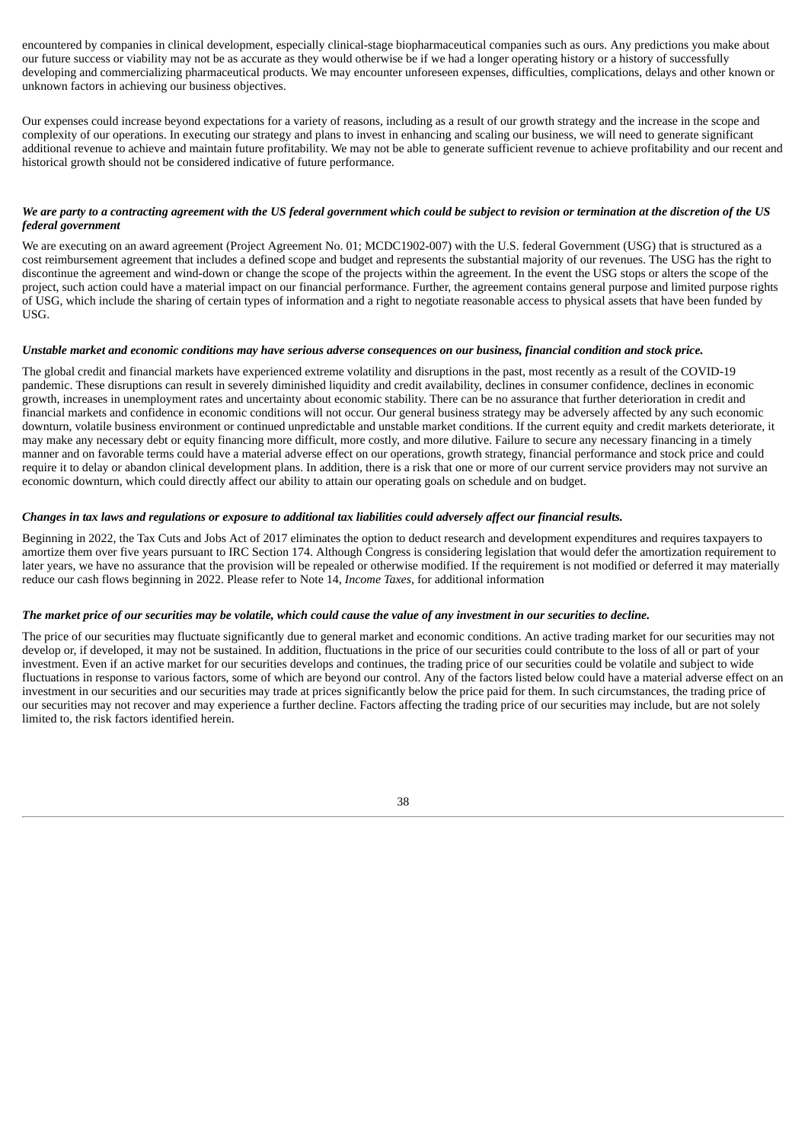encountered by companies in clinical development, especially clinical-stage biopharmaceutical companies such as ours. Any predictions you make about our future success or viability may not be as accurate as they would otherwise be if we had a longer operating history or a history of successfully developing and commercializing pharmaceutical products. We may encounter unforeseen expenses, difficulties, complications, delays and other known or unknown factors in achieving our business objectives.

Our expenses could increase beyond expectations for a variety of reasons, including as a result of our growth strategy and the increase in the scope and complexity of our operations. In executing our strategy and plans to invest in enhancing and scaling our business, we will need to generate significant additional revenue to achieve and maintain future profitability. We may not be able to generate sufficient revenue to achieve profitability and our recent and historical growth should not be considered indicative of future performance.

# We are party to a contracting agreement with the US federal government which could be subject to revision or termination at the discretion of the US *federal government*

We are executing on an award agreement (Project Agreement No. 01; MCDC1902-007) with the U.S. federal Government (USG) that is structured as a cost reimbursement agreement that includes a defined scope and budget and represents the substantial majority of our revenues. The USG has the right to discontinue the agreement and wind-down or change the scope of the projects within the agreement. In the event the USG stops or alters the scope of the project, such action could have a material impact on our financial performance. Further, the agreement contains general purpose and limited purpose rights of USG, which include the sharing of certain types of information and a right to negotiate reasonable access to physical assets that have been funded by USG.

# Unstable market and economic conditions may have serious adverse consequences on our business, financial condition and stock price.

The global credit and financial markets have experienced extreme volatility and disruptions in the past, most recently as a result of the COVID-19 pandemic. These disruptions can result in severely diminished liquidity and credit availability, declines in consumer confidence, declines in economic growth, increases in unemployment rates and uncertainty about economic stability. There can be no assurance that further deterioration in credit and financial markets and confidence in economic conditions will not occur. Our general business strategy may be adversely affected by any such economic downturn, volatile business environment or continued unpredictable and unstable market conditions. If the current equity and credit markets deteriorate, it may make any necessary debt or equity financing more difficult, more costly, and more dilutive. Failure to secure any necessary financing in a timely manner and on favorable terms could have a material adverse effect on our operations, growth strategy, financial performance and stock price and could require it to delay or abandon clinical development plans. In addition, there is a risk that one or more of our current service providers may not survive an economic downturn, which could directly affect our ability to attain our operating goals on schedule and on budget.

# Changes in tax laws and regulations or exposure to additional tax liabilities could adversely affect our financial results.

Beginning in 2022, the Tax Cuts and Jobs Act of 2017 eliminates the option to deduct research and development expenditures and requires taxpayers to amortize them over five years pursuant to IRC Section 174. Although Congress is considering legislation that would defer the amortization requirement to later years, we have no assurance that the provision will be repealed or otherwise modified. If the requirement is not modified or deferred it may materially reduce our cash flows beginning in 2022. Please refer to Note 14, *Income Taxes*, for additional information

### The market price of our securities may be volatile, which could cause the value of any investment in our securities to decline.

The price of our securities may fluctuate significantly due to general market and economic conditions. An active trading market for our securities may not develop or, if developed, it may not be sustained. In addition, fluctuations in the price of our securities could contribute to the loss of all or part of your investment. Even if an active market for our securities develops and continues, the trading price of our securities could be volatile and subject to wide fluctuations in response to various factors, some of which are beyond our control. Any of the factors listed below could have a material adverse effect on an investment in our securities and our securities may trade at prices significantly below the price paid for them. In such circumstances, the trading price of our securities may not recover and may experience a further decline. Factors affecting the trading price of our securities may include, but are not solely limited to, the risk factors identified herein.

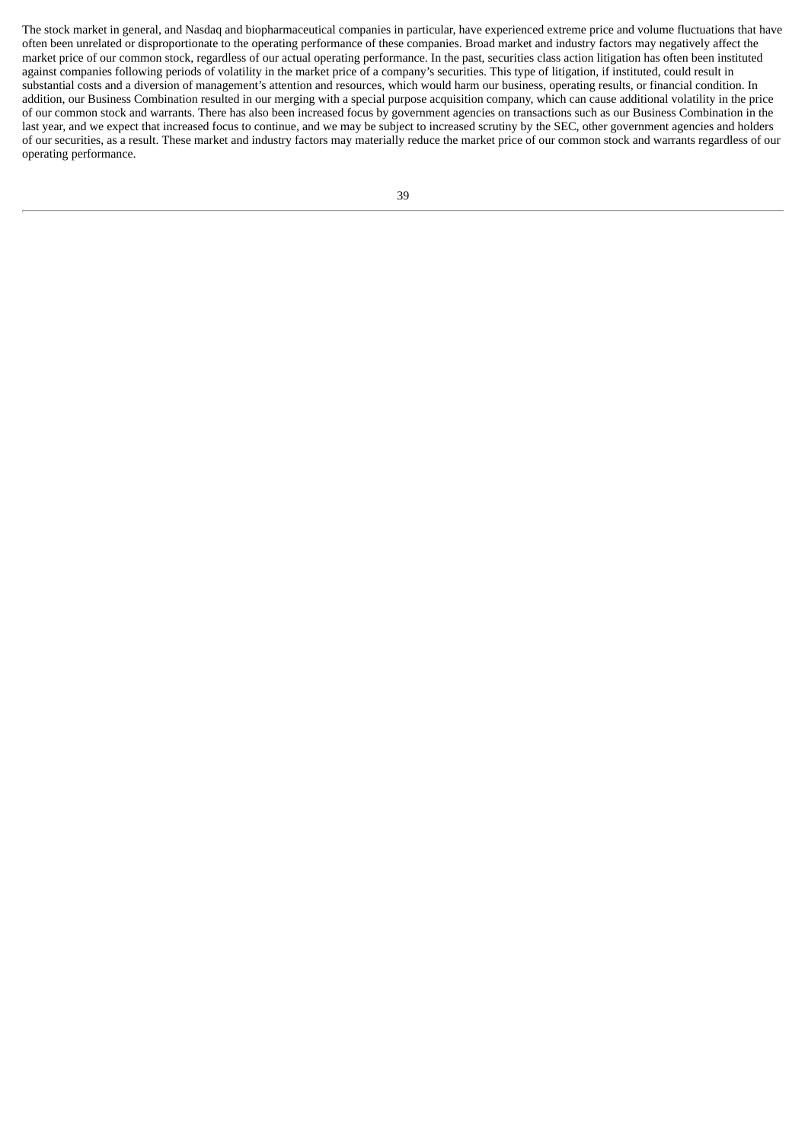The stock market in general, and Nasdaq and biopharmaceutical companies in particular, have experienced extreme price and volume fluctuations that have often been unrelated or disproportionate to the operating performance of these companies. Broad market and industry factors may negatively affect the market price of our common stock, regardless of our actual operating performance. In the past, securities class action litigation has often been instituted against companies following periods of volatility in the market price of a company's securities. This type of litigation, if instituted, could result in substantial costs and a diversion of management's attention and resources, which would harm our business, operating results, or financial condition. In addition, our Business Combination resulted in our merging with a special purpose acquisition company, which can cause additional volatility in the price of our common stock and warrants. There has also been increased focus by government agencies on transactions such as our Business Combination in the last year, and we expect that increased focus to continue, and we may be subject to increased scrutiny by the SEC, other government agencies and holders of our securities, as a result. These market and industry factors may materially reduce the market price of our common stock and warrants regardless of our operating performance.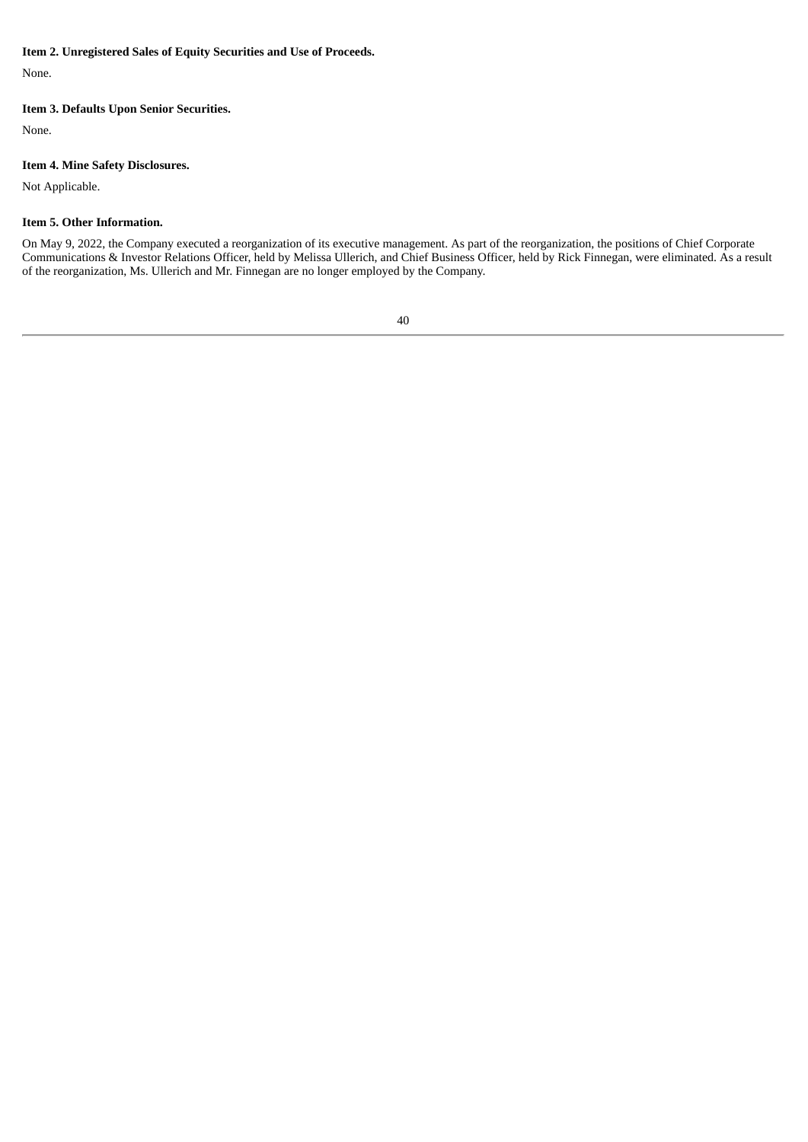# <span id="page-42-0"></span>**Item 2. Unregistered Sales of Equity Securities and Use of Proceeds.**

None.

# <span id="page-42-1"></span>**Item 3. Defaults Upon Senior Securities.**

None.

# <span id="page-42-2"></span>**Item 4. Mine Safety Disclosures.**

Not Applicable.

# <span id="page-42-3"></span>**Item 5. Other Information.**

On May 9, 2022, the Company executed a reorganization of its executive management. As part of the reorganization, the positions of Chief Corporate Communications & Investor Relations Officer, held by Melissa Ullerich, and Chief Business Officer, held by Rick Finnegan, were eliminated. As a result of the reorganization, Ms. Ullerich and Mr. Finnegan are no longer employed by the Company.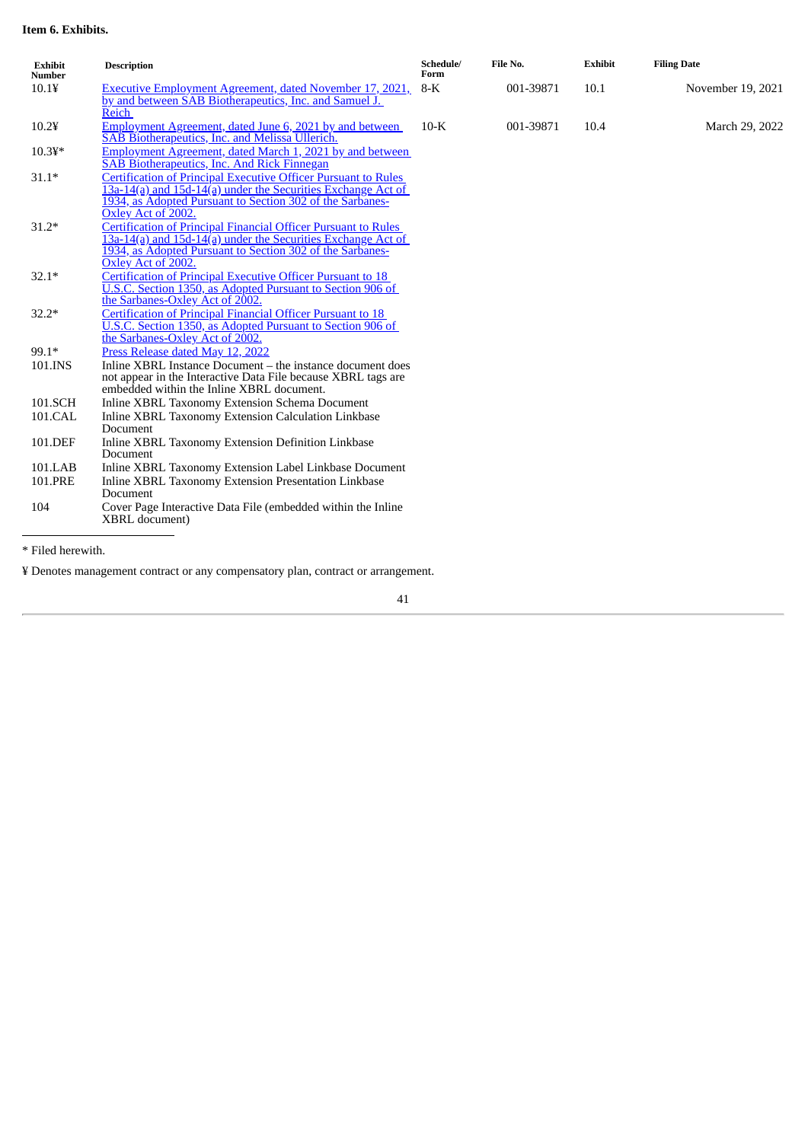# <span id="page-43-0"></span>**Item 6. Exhibits.**

| <b>Exhibit</b><br><b>Number</b> | <b>Description</b>                                                                                                                                                                                                                             | Schedule/<br>Form | File No.  | <b>Exhibit</b> | <b>Filing Date</b> |
|---------------------------------|------------------------------------------------------------------------------------------------------------------------------------------------------------------------------------------------------------------------------------------------|-------------------|-----------|----------------|--------------------|
| $10.1$ ¥                        | <b>Executive Employment Agreement, dated November 17, 2021,</b><br>by and between SAB Biotherapeutics, Inc. and Samuel J.<br>Reich                                                                                                             | $8-K$             | 001-39871 | 10.1           | November 19, 2021  |
| $10.2$ ¥                        | Employment Agreement, dated June 6, 2021 by and between<br><b>SAB Biotherapeutics, Inc. and Melissa Ullerich.</b>                                                                                                                              | $10-K$            | 001-39871 | 10.4           | March 29, 2022     |
| $10.34*$                        | Employment Agreement, dated March 1, 2021 by and between<br>SAB Biotherapeutics, Inc. And Rick Finnegan                                                                                                                                        |                   |           |                |                    |
| $31.1*$                         | <b>Certification of Principal Executive Officer Pursuant to Rules</b><br>13a-14(a) and 15d-14(a) under the Securities Exchange Act of<br>1934, as Adopted Pursuant to Section 302 of the Sarbanes-                                             |                   |           |                |                    |
| $31.2*$                         | Oxley Act of 2002.<br><b>Certification of Principal Financial Officer Pursuant to Rules</b><br>13a-14(a) and 15d-14(a) under the Securities Exchange Act of<br>1934, as Adopted Pursuant to Section 302 of the Sarbanes-<br>Oxley Act of 2002. |                   |           |                |                    |
| $32.1*$                         | <b>Certification of Principal Executive Officer Pursuant to 18</b><br>U.S.C. Section 1350, as Adopted Pursuant to Section 906 of<br>the Sarbanes-Oxley Act of 2002.                                                                            |                   |           |                |                    |
| $32.2*$                         | <b>Certification of Principal Financial Officer Pursuant to 18</b><br>U.S.C. Section 1350, as Adopted Pursuant to Section 906 of<br>the Sarbanes-Oxley Act of 2002.                                                                            |                   |           |                |                    |
| 99.1*                           | Press Release dated May 12, 2022                                                                                                                                                                                                               |                   |           |                |                    |
| 101.INS                         | Inline XBRL Instance Document – the instance document does<br>not appear in the Interactive Data File because XBRL tags are<br>embedded within the Inline XBRL document.                                                                       |                   |           |                |                    |
| 101.SCH                         | Inline XBRL Taxonomy Extension Schema Document                                                                                                                                                                                                 |                   |           |                |                    |
| 101.CAL                         | Inline XBRL Taxonomy Extension Calculation Linkbase<br>Document                                                                                                                                                                                |                   |           |                |                    |
| 101.DEF                         | Inline XBRL Taxonomy Extension Definition Linkbase<br>Document                                                                                                                                                                                 |                   |           |                |                    |
| 101.LAB                         | Inline XBRL Taxonomy Extension Label Linkbase Document                                                                                                                                                                                         |                   |           |                |                    |
| 101.PRE                         | Inline XBRL Taxonomy Extension Presentation Linkbase<br>Document                                                                                                                                                                               |                   |           |                |                    |
| 104                             | Cover Page Interactive Data File (embedded within the Inline<br>XBRL document)                                                                                                                                                                 |                   |           |                |                    |

\* Filed herewith.

¥ Denotes management contract or any compensatory plan, contract or arrangement.